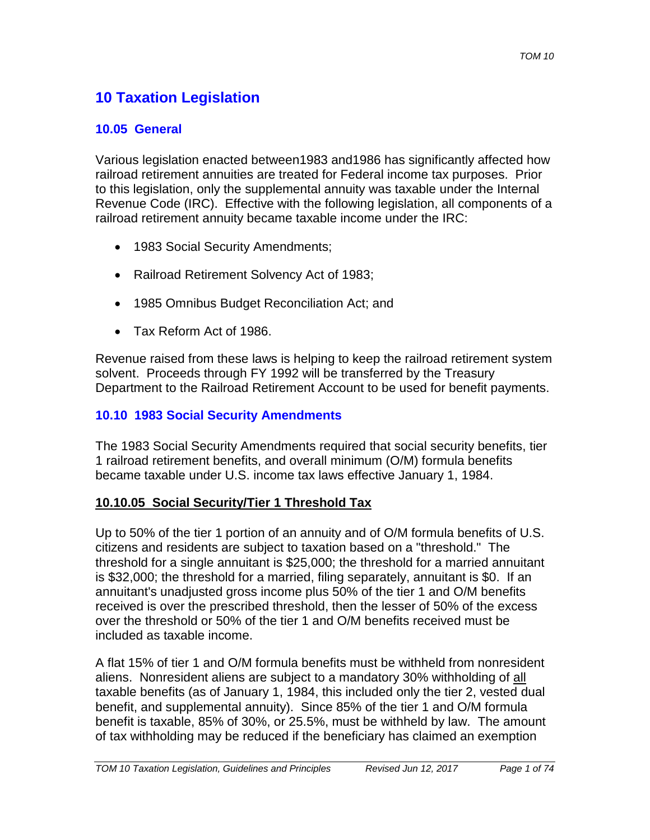# **10 Taxation Legislation**

### **10.05 General**

Various legislation enacted between1983 and1986 has significantly affected how railroad retirement annuities are treated for Federal income tax purposes. Prior to this legislation, only the supplemental annuity was taxable under the Internal Revenue Code (IRC). Effective with the following legislation, all components of a railroad retirement annuity became taxable income under the IRC:

- 1983 Social Security Amendments;
- Railroad Retirement Solvency Act of 1983;
- 1985 Omnibus Budget Reconciliation Act; and
- Tax Reform Act of 1986.

Revenue raised from these laws is helping to keep the railroad retirement system solvent. Proceeds through FY 1992 will be transferred by the Treasury Department to the Railroad Retirement Account to be used for benefit payments.

#### **10.10 1983 Social Security Amendments**

The 1983 Social Security Amendments required that social security benefits, tier 1 railroad retirement benefits, and overall minimum (O/M) formula benefits became taxable under U.S. income tax laws effective January 1, 1984.

#### **10.10.05 Social Security/Tier 1 Threshold Tax**

Up to 50% of the tier 1 portion of an annuity and of O/M formula benefits of U.S. citizens and residents are subject to taxation based on a "threshold." The threshold for a single annuitant is \$25,000; the threshold for a married annuitant is \$32,000; the threshold for a married, filing separately, annuitant is \$0. If an annuitant's unadjusted gross income plus 50% of the tier 1 and O/M benefits received is over the prescribed threshold, then the lesser of 50% of the excess over the threshold or 50% of the tier 1 and O/M benefits received must be included as taxable income.

A flat 15% of tier 1 and O/M formula benefits must be withheld from nonresident aliens. Nonresident aliens are subject to a mandatory 30% withholding of all taxable benefits (as of January 1, 1984, this included only the tier 2, vested dual benefit, and supplemental annuity). Since 85% of the tier 1 and O/M formula benefit is taxable, 85% of 30%, or 25.5%, must be withheld by law. The amount of tax withholding may be reduced if the beneficiary has claimed an exemption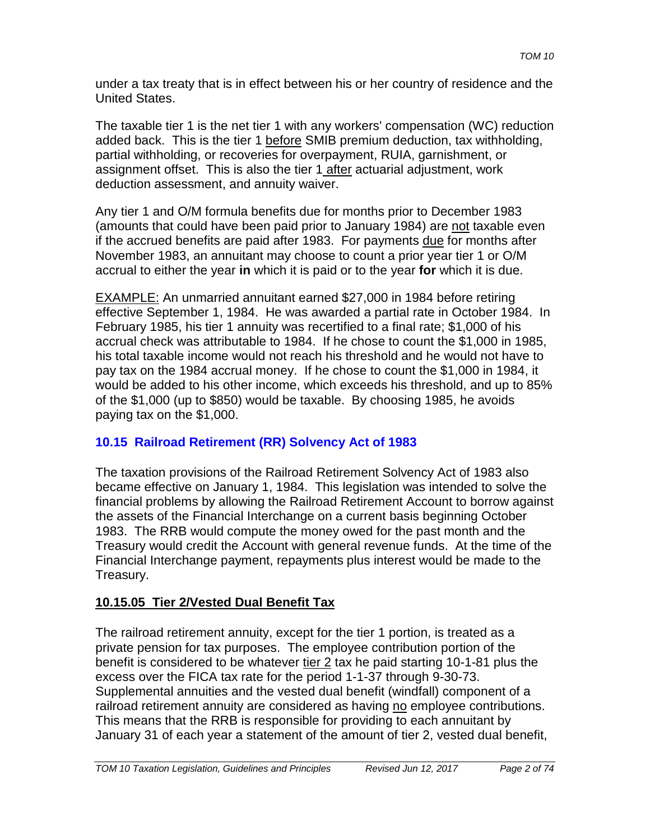under a tax treaty that is in effect between his or her country of residence and the United States.

The taxable tier 1 is the net tier 1 with any workers' compensation (WC) reduction added back. This is the tier 1 before SMIB premium deduction, tax withholding, partial withholding, or recoveries for overpayment, RUIA, garnishment, or assignment offset. This is also the tier 1 after actuarial adjustment, work deduction assessment, and annuity waiver.

Any tier 1 and O/M formula benefits due for months prior to December 1983 (amounts that could have been paid prior to January 1984) are not taxable even if the accrued benefits are paid after 1983. For payments due for months after November 1983, an annuitant may choose to count a prior year tier 1 or O/M accrual to either the year **in** which it is paid or to the year **for** which it is due.

EXAMPLE: An unmarried annuitant earned \$27,000 in 1984 before retiring effective September 1, 1984. He was awarded a partial rate in October 1984. In February 1985, his tier 1 annuity was recertified to a final rate; \$1,000 of his accrual check was attributable to 1984. If he chose to count the \$1,000 in 1985, his total taxable income would not reach his threshold and he would not have to pay tax on the 1984 accrual money. If he chose to count the \$1,000 in 1984, it would be added to his other income, which exceeds his threshold, and up to 85% of the \$1,000 (up to \$850) would be taxable. By choosing 1985, he avoids paying tax on the \$1,000.

# **10.15 Railroad Retirement (RR) Solvency Act of 1983**

The taxation provisions of the Railroad Retirement Solvency Act of 1983 also became effective on January 1, 1984. This legislation was intended to solve the financial problems by allowing the Railroad Retirement Account to borrow against the assets of the Financial Interchange on a current basis beginning October 1983. The RRB would compute the money owed for the past month and the Treasury would credit the Account with general revenue funds. At the time of the Financial Interchange payment, repayments plus interest would be made to the Treasury.

### **10.15.05 Tier 2/Vested Dual Benefit Tax**

The railroad retirement annuity, except for the tier 1 portion, is treated as a private pension for tax purposes. The employee contribution portion of the benefit is considered to be whatever tier 2 tax he paid starting 10-1-81 plus the excess over the FICA tax rate for the period 1-1-37 through 9-30-73. Supplemental annuities and the vested dual benefit (windfall) component of a railroad retirement annuity are considered as having no employee contributions. This means that the RRB is responsible for providing to each annuitant by January 31 of each year a statement of the amount of tier 2, vested dual benefit,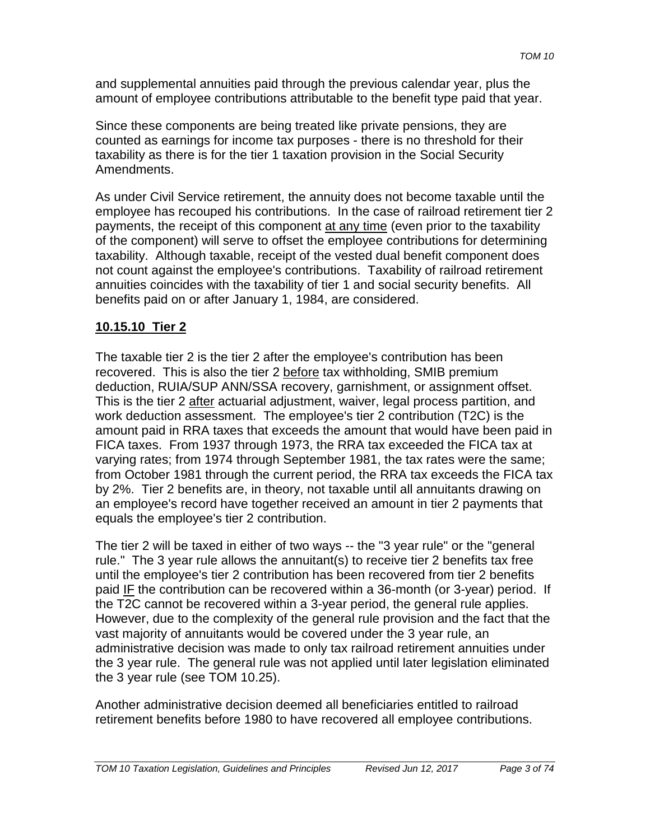and supplemental annuities paid through the previous calendar year, plus the amount of employee contributions attributable to the benefit type paid that year.

Since these components are being treated like private pensions, they are counted as earnings for income tax purposes - there is no threshold for their taxability as there is for the tier 1 taxation provision in the Social Security Amendments.

As under Civil Service retirement, the annuity does not become taxable until the employee has recouped his contributions. In the case of railroad retirement tier 2 payments, the receipt of this component at any time (even prior to the taxability of the component) will serve to offset the employee contributions for determining taxability. Although taxable, receipt of the vested dual benefit component does not count against the employee's contributions. Taxability of railroad retirement annuities coincides with the taxability of tier 1 and social security benefits. All benefits paid on or after January 1, 1984, are considered.

### **10.15.10 Tier 2**

The taxable tier 2 is the tier 2 after the employee's contribution has been recovered. This is also the tier 2 before tax withholding, SMIB premium deduction, RUIA/SUP ANN/SSA recovery, garnishment, or assignment offset. This is the tier 2 after actuarial adjustment, waiver, legal process partition, and work deduction assessment. The employee's tier 2 contribution (T2C) is the amount paid in RRA taxes that exceeds the amount that would have been paid in FICA taxes. From 1937 through 1973, the RRA tax exceeded the FICA tax at varying rates; from 1974 through September 1981, the tax rates were the same; from October 1981 through the current period, the RRA tax exceeds the FICA tax by 2%. Tier 2 benefits are, in theory, not taxable until all annuitants drawing on an employee's record have together received an amount in tier 2 payments that equals the employee's tier 2 contribution.

The tier 2 will be taxed in either of two ways -- the "3 year rule" or the "general rule." The 3 year rule allows the annuitant(s) to receive tier 2 benefits tax free until the employee's tier 2 contribution has been recovered from tier 2 benefits paid IF the contribution can be recovered within a 36-month (or 3-year) period. If the T2C cannot be recovered within a 3-year period, the general rule applies. However, due to the complexity of the general rule provision and the fact that the vast majority of annuitants would be covered under the 3 year rule, an administrative decision was made to only tax railroad retirement annuities under the 3 year rule. The general rule was not applied until later legislation eliminated the 3 year rule (see TOM 10.25).

Another administrative decision deemed all beneficiaries entitled to railroad retirement benefits before 1980 to have recovered all employee contributions.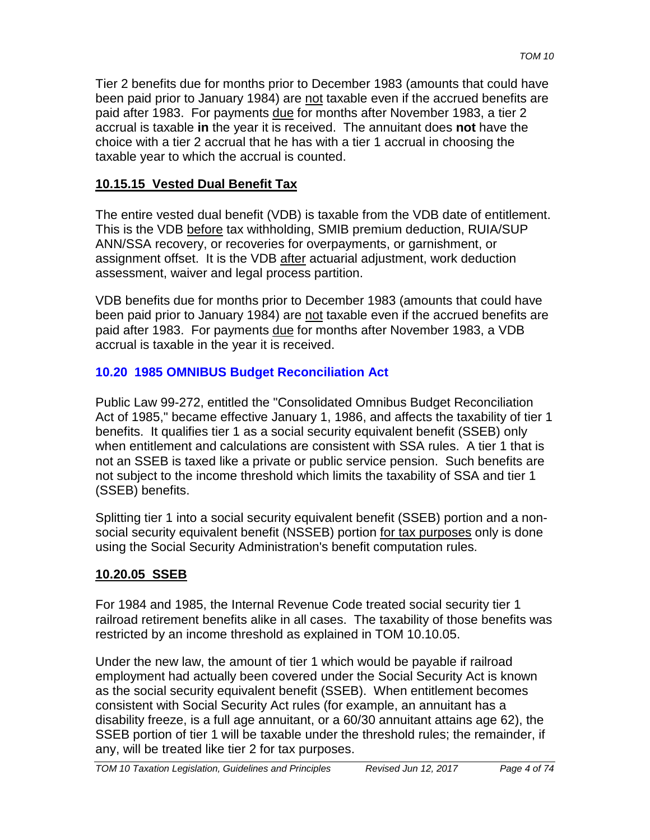Tier 2 benefits due for months prior to December 1983 (amounts that could have been paid prior to January 1984) are not taxable even if the accrued benefits are paid after 1983. For payments due for months after November 1983, a tier 2 accrual is taxable **in** the year it is received. The annuitant does **not** have the choice with a tier 2 accrual that he has with a tier 1 accrual in choosing the taxable year to which the accrual is counted.

#### **10.15.15 Vested Dual Benefit Tax**

The entire vested dual benefit (VDB) is taxable from the VDB date of entitlement. This is the VDB before tax withholding, SMIB premium deduction, RUIA/SUP ANN/SSA recovery, or recoveries for overpayments, or garnishment, or assignment offset. It is the VDB after actuarial adjustment, work deduction assessment, waiver and legal process partition.

VDB benefits due for months prior to December 1983 (amounts that could have been paid prior to January 1984) are not taxable even if the accrued benefits are paid after 1983. For payments due for months after November 1983, a VDB accrual is taxable in the year it is received.

### **10.20 1985 OMNIBUS Budget Reconciliation Act**

Public Law 99-272, entitled the "Consolidated Omnibus Budget Reconciliation Act of 1985," became effective January 1, 1986, and affects the taxability of tier 1 benefits. It qualifies tier 1 as a social security equivalent benefit (SSEB) only when entitlement and calculations are consistent with SSA rules. A tier 1 that is not an SSEB is taxed like a private or public service pension. Such benefits are not subject to the income threshold which limits the taxability of SSA and tier 1 (SSEB) benefits.

Splitting tier 1 into a social security equivalent benefit (SSEB) portion and a nonsocial security equivalent benefit (NSSEB) portion for tax purposes only is done using the Social Security Administration's benefit computation rules.

#### **10.20.05 SSEB**

For 1984 and 1985, the Internal Revenue Code treated social security tier 1 railroad retirement benefits alike in all cases. The taxability of those benefits was restricted by an income threshold as explained in TOM 10.10.05.

Under the new law, the amount of tier 1 which would be payable if railroad employment had actually been covered under the Social Security Act is known as the social security equivalent benefit (SSEB). When entitlement becomes consistent with Social Security Act rules (for example, an annuitant has a disability freeze, is a full age annuitant, or a 60/30 annuitant attains age 62), the SSEB portion of tier 1 will be taxable under the threshold rules; the remainder, if any, will be treated like tier 2 for tax purposes.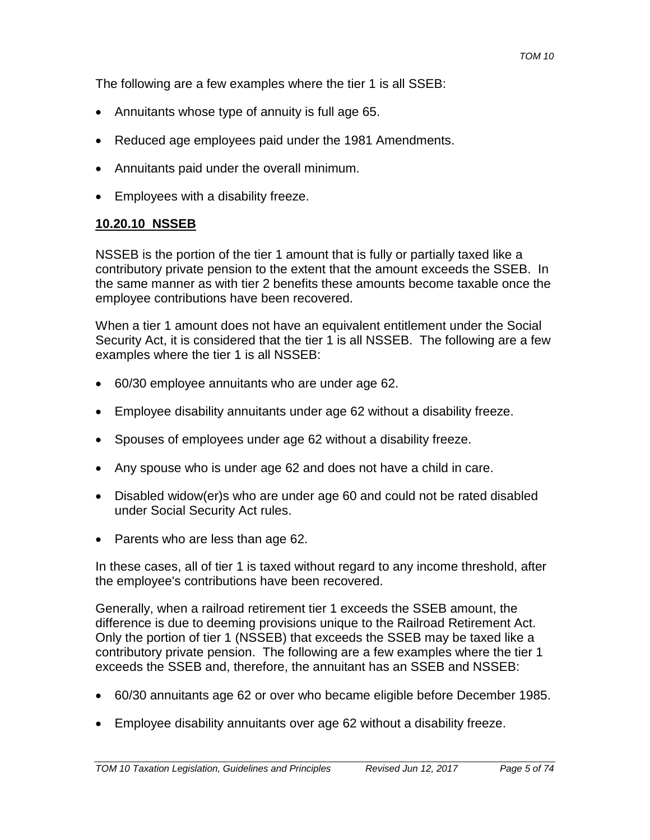The following are a few examples where the tier 1 is all SSEB:

- Annuitants whose type of annuity is full age 65.
- Reduced age employees paid under the 1981 Amendments.
- Annuitants paid under the overall minimum.
- Employees with a disability freeze.

### **10.20.10 NSSEB**

NSSEB is the portion of the tier 1 amount that is fully or partially taxed like a contributory private pension to the extent that the amount exceeds the SSEB. In the same manner as with tier 2 benefits these amounts become taxable once the employee contributions have been recovered.

When a tier 1 amount does not have an equivalent entitlement under the Social Security Act, it is considered that the tier 1 is all NSSEB. The following are a few examples where the tier 1 is all NSSEB:

- 60/30 employee annuitants who are under age 62.
- Employee disability annuitants under age 62 without a disability freeze.
- Spouses of employees under age 62 without a disability freeze.
- Any spouse who is under age 62 and does not have a child in care.
- Disabled widow(er)s who are under age 60 and could not be rated disabled under Social Security Act rules.
- Parents who are less than age 62.

In these cases, all of tier 1 is taxed without regard to any income threshold, after the employee's contributions have been recovered.

Generally, when a railroad retirement tier 1 exceeds the SSEB amount, the difference is due to deeming provisions unique to the Railroad Retirement Act. Only the portion of tier 1 (NSSEB) that exceeds the SSEB may be taxed like a contributory private pension. The following are a few examples where the tier 1 exceeds the SSEB and, therefore, the annuitant has an SSEB and NSSEB:

- 60/30 annuitants age 62 or over who became eligible before December 1985.
- Employee disability annuitants over age 62 without a disability freeze.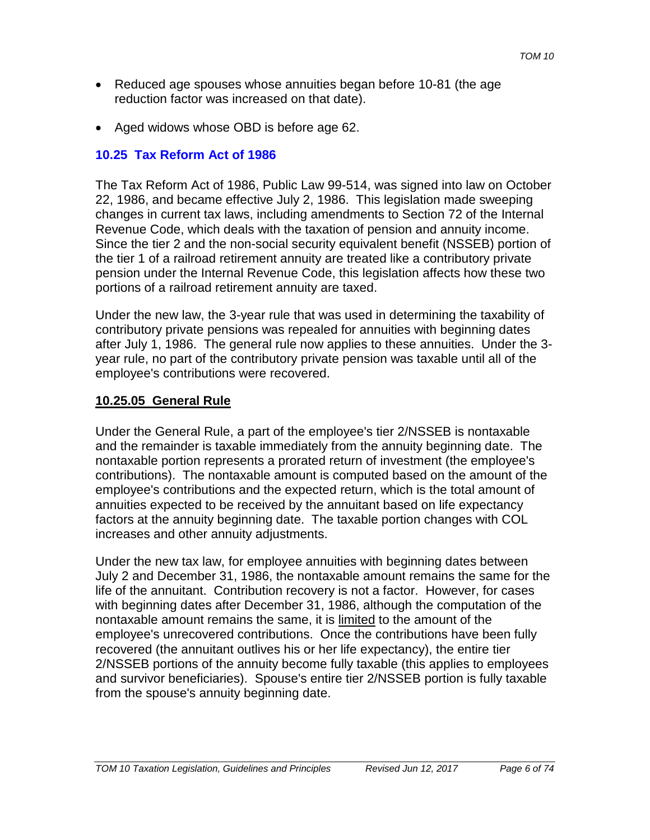- Reduced age spouses whose annuities began before 10-81 (the age reduction factor was increased on that date).
- Aged widows whose OBD is before age 62.

### **10.25 Tax Reform Act of 1986**

The Tax Reform Act of 1986, Public Law 99-514, was signed into law on October 22, 1986, and became effective July 2, 1986. This legislation made sweeping changes in current tax laws, including amendments to Section 72 of the Internal Revenue Code, which deals with the taxation of pension and annuity income. Since the tier 2 and the non-social security equivalent benefit (NSSEB) portion of the tier 1 of a railroad retirement annuity are treated like a contributory private pension under the Internal Revenue Code, this legislation affects how these two portions of a railroad retirement annuity are taxed.

Under the new law, the 3-year rule that was used in determining the taxability of contributory private pensions was repealed for annuities with beginning dates after July 1, 1986. The general rule now applies to these annuities. Under the 3 year rule, no part of the contributory private pension was taxable until all of the employee's contributions were recovered.

#### **10.25.05 General Rule**

Under the General Rule, a part of the employee's tier 2/NSSEB is nontaxable and the remainder is taxable immediately from the annuity beginning date. The nontaxable portion represents a prorated return of investment (the employee's contributions). The nontaxable amount is computed based on the amount of the employee's contributions and the expected return, which is the total amount of annuities expected to be received by the annuitant based on life expectancy factors at the annuity beginning date. The taxable portion changes with COL increases and other annuity adjustments.

Under the new tax law, for employee annuities with beginning dates between July 2 and December 31, 1986, the nontaxable amount remains the same for the life of the annuitant. Contribution recovery is not a factor. However, for cases with beginning dates after December 31, 1986, although the computation of the nontaxable amount remains the same, it is limited to the amount of the employee's unrecovered contributions. Once the contributions have been fully recovered (the annuitant outlives his or her life expectancy), the entire tier 2/NSSEB portions of the annuity become fully taxable (this applies to employees and survivor beneficiaries). Spouse's entire tier 2/NSSEB portion is fully taxable from the spouse's annuity beginning date.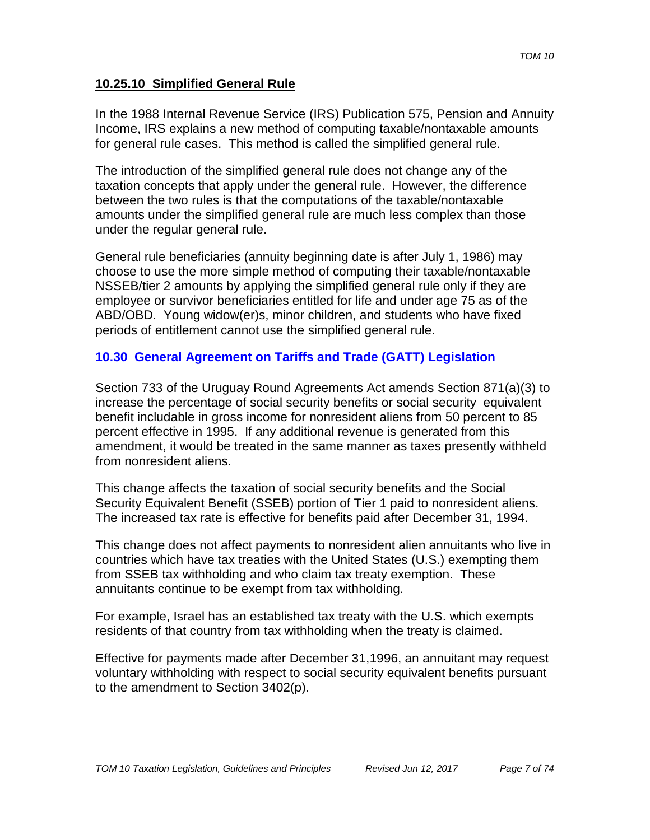#### **10.25.10 Simplified General Rule**

In the 1988 Internal Revenue Service (IRS) Publication 575, Pension and Annuity Income, IRS explains a new method of computing taxable/nontaxable amounts for general rule cases. This method is called the simplified general rule.

The introduction of the simplified general rule does not change any of the taxation concepts that apply under the general rule. However, the difference between the two rules is that the computations of the taxable/nontaxable amounts under the simplified general rule are much less complex than those under the regular general rule.

General rule beneficiaries (annuity beginning date is after July 1, 1986) may choose to use the more simple method of computing their taxable/nontaxable NSSEB/tier 2 amounts by applying the simplified general rule only if they are employee or survivor beneficiaries entitled for life and under age 75 as of the ABD/OBD. Young widow(er)s, minor children, and students who have fixed periods of entitlement cannot use the simplified general rule.

### **10.30 General Agreement on Tariffs and Trade (GATT) Legislation**

Section 733 of the Uruguay Round Agreements Act amends Section 871(a)(3) to increase the percentage of social security benefits or social security equivalent benefit includable in gross income for nonresident aliens from 50 percent to 85 percent effective in 1995. If any additional revenue is generated from this amendment, it would be treated in the same manner as taxes presently withheld from nonresident aliens.

This change affects the taxation of social security benefits and the Social Security Equivalent Benefit (SSEB) portion of Tier 1 paid to nonresident aliens. The increased tax rate is effective for benefits paid after December 31, 1994.

This change does not affect payments to nonresident alien annuitants who live in countries which have tax treaties with the United States (U.S.) exempting them from SSEB tax withholding and who claim tax treaty exemption. These annuitants continue to be exempt from tax withholding.

For example, Israel has an established tax treaty with the U.S. which exempts residents of that country from tax withholding when the treaty is claimed.

Effective for payments made after December 31,1996, an annuitant may request voluntary withholding with respect to social security equivalent benefits pursuant to the amendment to Section 3402(p).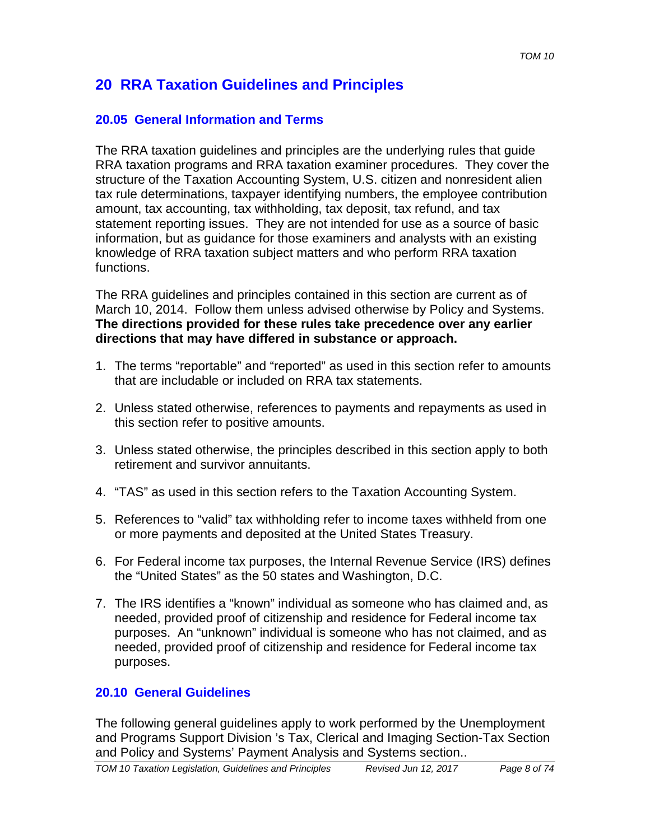# **20 RRA Taxation Guidelines and Principles**

### **20.05 General Information and Terms**

The RRA taxation guidelines and principles are the underlying rules that guide RRA taxation programs and RRA taxation examiner procedures. They cover the structure of the Taxation Accounting System, U.S. citizen and nonresident alien tax rule determinations, taxpayer identifying numbers, the employee contribution amount, tax accounting, tax withholding, tax deposit, tax refund, and tax statement reporting issues. They are not intended for use as a source of basic information, but as guidance for those examiners and analysts with an existing knowledge of RRA taxation subject matters and who perform RRA taxation functions.

The RRA guidelines and principles contained in this section are current as of March 10, 2014. Follow them unless advised otherwise by Policy and Systems. **The directions provided for these rules take precedence over any earlier directions that may have differed in substance or approach.**

- 1. The terms "reportable" and "reported" as used in this section refer to amounts that are includable or included on RRA tax statements.
- 2. Unless stated otherwise, references to payments and repayments as used in this section refer to positive amounts.
- 3. Unless stated otherwise, the principles described in this section apply to both retirement and survivor annuitants.
- 4. "TAS" as used in this section refers to the Taxation Accounting System.
- 5. References to "valid" tax withholding refer to income taxes withheld from one or more payments and deposited at the United States Treasury.
- 6. For Federal income tax purposes, the Internal Revenue Service (IRS) defines the "United States" as the 50 states and Washington, D.C.
- 7. The IRS identifies a "known" individual as someone who has claimed and, as needed, provided proof of citizenship and residence for Federal income tax purposes. An "unknown" individual is someone who has not claimed, and as needed, provided proof of citizenship and residence for Federal income tax purposes.

#### **20.10 General Guidelines**

The following general guidelines apply to work performed by the Unemployment and Programs Support Division 's Tax, Clerical and Imaging Section-Tax Section and Policy and Systems' Payment Analysis and Systems section..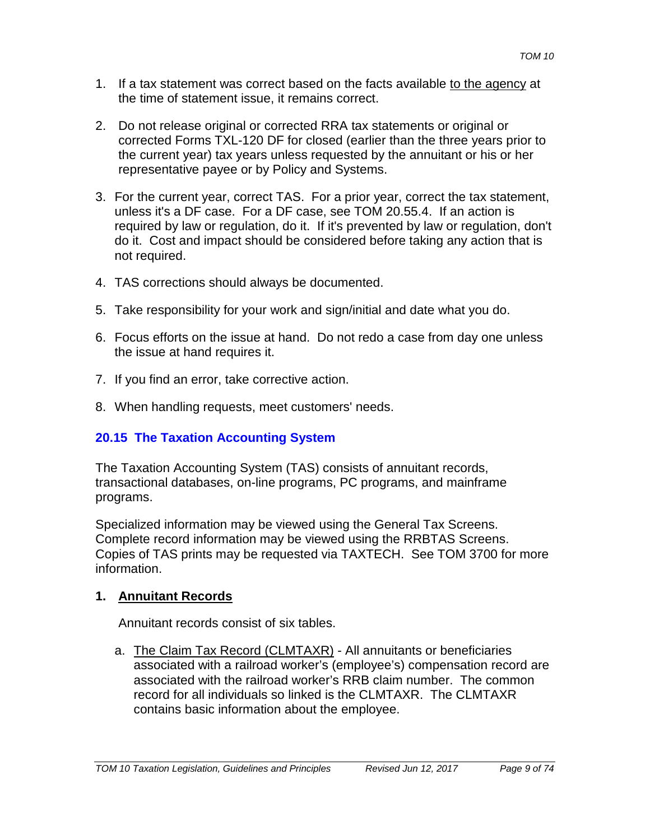- 1. If a tax statement was correct based on the facts available to the agency at the time of statement issue, it remains correct.
- 2. Do not release original or corrected RRA tax statements or original or corrected Forms TXL-120 DF for closed (earlier than the three years prior to the current year) tax years unless requested by the annuitant or his or her representative payee or by Policy and Systems.
- 3. For the current year, correct TAS. For a prior year, correct the tax statement, unless it's a DF case. For a DF case, see TOM 20.55.4. If an action is required by law or regulation, do it. If it's prevented by law or regulation, don't do it. Cost and impact should be considered before taking any action that is not required.
- 4. TAS corrections should always be documented.
- 5. Take responsibility for your work and sign/initial and date what you do.
- 6. Focus efforts on the issue at hand. Do not redo a case from day one unless the issue at hand requires it.
- 7. If you find an error, take corrective action.
- 8. When handling requests, meet customers' needs.

### **20.15 The Taxation Accounting System**

The Taxation Accounting System (TAS) consists of annuitant records, transactional databases, on-line programs, PC programs, and mainframe programs.

Specialized information may be viewed using the General Tax Screens. Complete record information may be viewed using the RRBTAS Screens. Copies of TAS prints may be requested via TAXTECH. See TOM 3700 for more information.

### **1. Annuitant Records**

Annuitant records consist of six tables.

a. The Claim Tax Record (CLMTAXR) - All annuitants or beneficiaries associated with a railroad worker's (employee's) compensation record are associated with the railroad worker's RRB claim number. The common record for all individuals so linked is the CLMTAXR. The CLMTAXR contains basic information about the employee.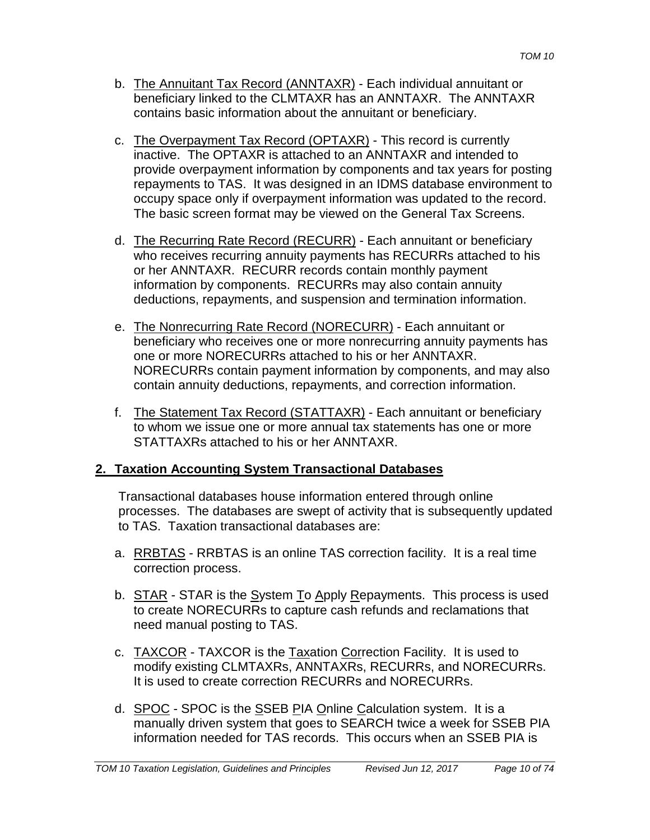- b. The Annuitant Tax Record (ANNTAXR) Each individual annuitant or beneficiary linked to the CLMTAXR has an ANNTAXR. The ANNTAXR contains basic information about the annuitant or beneficiary.
- c. The Overpayment Tax Record (OPTAXR) This record is currently inactive. The OPTAXR is attached to an ANNTAXR and intended to provide overpayment information by components and tax years for posting repayments to TAS. It was designed in an IDMS database environment to occupy space only if overpayment information was updated to the record. The basic screen format may be viewed on the General Tax Screens.
- d. The Recurring Rate Record (RECURR) Each annuitant or beneficiary who receives recurring annuity payments has RECURRs attached to his or her ANNTAXR. RECURR records contain monthly payment information by components. RECURRs may also contain annuity deductions, repayments, and suspension and termination information.
- e. The Nonrecurring Rate Record (NORECURR) Each annuitant or beneficiary who receives one or more nonrecurring annuity payments has one or more NORECURRs attached to his or her ANNTAXR. NORECURRs contain payment information by components, and may also contain annuity deductions, repayments, and correction information.
- f. The Statement Tax Record (STATTAXR) Each annuitant or beneficiary to whom we issue one or more annual tax statements has one or more STATTAXRs attached to his or her ANNTAXR.

### **2. Taxation Accounting System Transactional Databases**

Transactional databases house information entered through online processes. The databases are swept of activity that is subsequently updated to TAS. Taxation transactional databases are:

- a. RRBTAS RRBTAS is an online TAS correction facility. It is a real time correction process.
- b. STAR STAR is the System To Apply Repayments. This process is used to create NORECURRs to capture cash refunds and reclamations that need manual posting to TAS.
- c. **TAXCOR** TAXCOR is the Taxation Correction Facility. It is used to modify existing CLMTAXRs, ANNTAXRs, RECURRs, and NORECURRs. It is used to create correction RECURRs and NORECURRs.
- d. SPOC SPOC is the SSEB PIA Online Calculation system. It is a manually driven system that goes to SEARCH twice a week for SSEB PIA information needed for TAS records. This occurs when an SSEB PIA is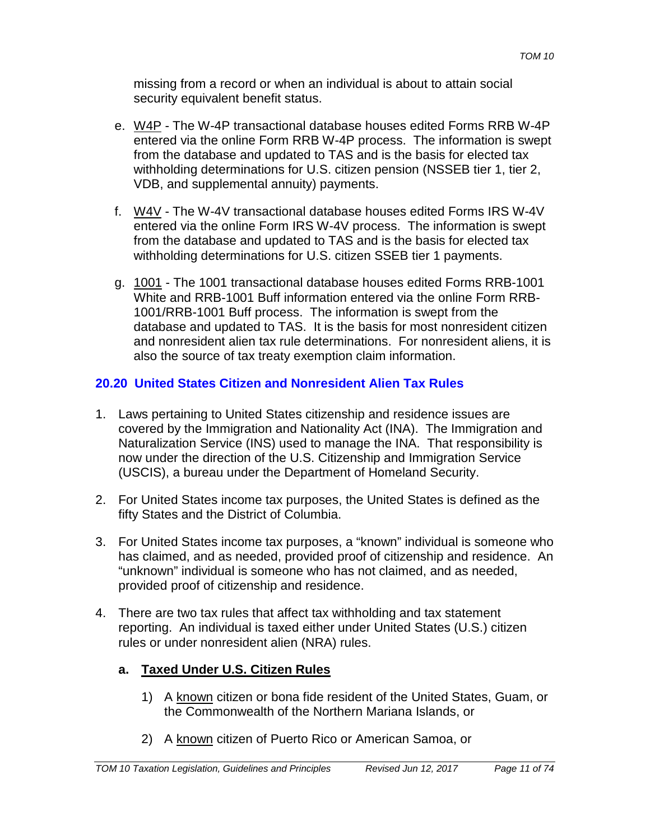missing from a record or when an individual is about to attain social security equivalent benefit status.

- e. W4P The W-4P transactional database houses edited Forms RRB W-4P entered via the online Form RRB W-4P process. The information is swept from the database and updated to TAS and is the basis for elected tax withholding determinations for U.S. citizen pension (NSSEB tier 1, tier 2, VDB, and supplemental annuity) payments.
- f. W4V The W-4V transactional database houses edited Forms IRS W-4V entered via the online Form IRS W-4V process. The information is swept from the database and updated to TAS and is the basis for elected tax withholding determinations for U.S. citizen SSEB tier 1 payments.
- g. 1001 The 1001 transactional database houses edited Forms RRB-1001 White and RRB-1001 Buff information entered via the online Form RRB-1001/RRB-1001 Buff process. The information is swept from the database and updated to TAS. It is the basis for most nonresident citizen and nonresident alien tax rule determinations. For nonresident aliens, it is also the source of tax treaty exemption claim information.

# **20.20 United States Citizen and Nonresident Alien Tax Rules**

- 1. Laws pertaining to United States citizenship and residence issues are covered by the Immigration and Nationality Act (INA). The Immigration and Naturalization Service (INS) used to manage the INA. That responsibility is now under the direction of the U.S. Citizenship and Immigration Service (USCIS), a bureau under the Department of Homeland Security.
- 2. For United States income tax purposes, the United States is defined as the fifty States and the District of Columbia.
- 3. For United States income tax purposes, a "known" individual is someone who has claimed, and as needed, provided proof of citizenship and residence. An "unknown" individual is someone who has not claimed, and as needed, provided proof of citizenship and residence.
- 4. There are two tax rules that affect tax withholding and tax statement reporting. An individual is taxed either under United States (U.S.) citizen rules or under nonresident alien (NRA) rules.

### **a. Taxed Under U.S. Citizen Rules**

- 1) A known citizen or bona fide resident of the United States, Guam, or the Commonwealth of the Northern Mariana Islands, or
- 2) A known citizen of Puerto Rico or American Samoa, or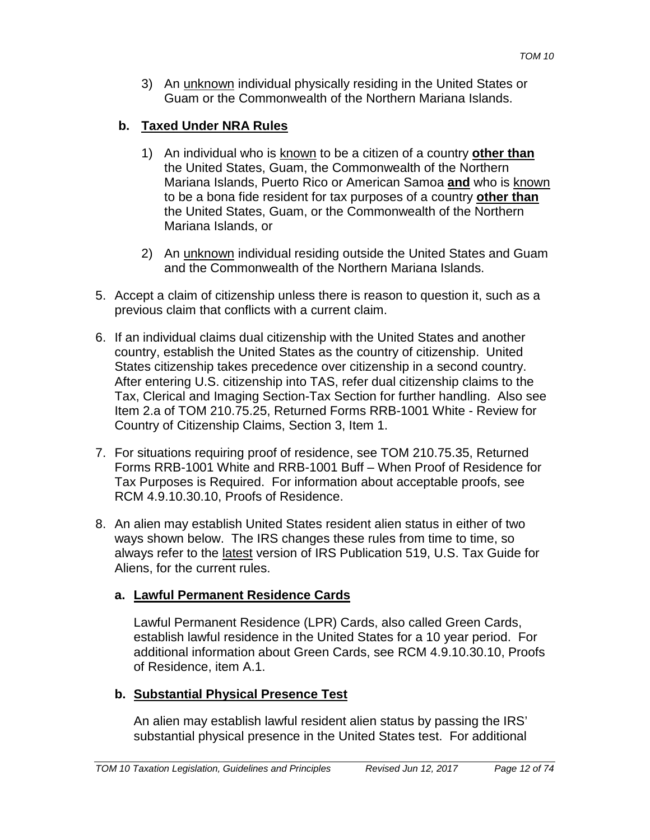3) An unknown individual physically residing in the United States or Guam or the Commonwealth of the Northern Mariana Islands.

### **b. Taxed Under NRA Rules**

- 1) An individual who is known to be a citizen of a country **other than** the United States, Guam, the Commonwealth of the Northern Mariana Islands, Puerto Rico or American Samoa **and** who is known to be a bona fide resident for tax purposes of a country **other than** the United States, Guam, or the Commonwealth of the Northern Mariana Islands, or
- 2) An unknown individual residing outside the United States and Guam and the Commonwealth of the Northern Mariana Islands.
- 5. Accept a claim of citizenship unless there is reason to question it, such as a previous claim that conflicts with a current claim.
- 6. If an individual claims dual citizenship with the United States and another country, establish the United States as the country of citizenship. United States citizenship takes precedence over citizenship in a second country. After entering U.S. citizenship into TAS, refer dual citizenship claims to the Tax, Clerical and Imaging Section-Tax Section for further handling. Also see Item 2.a of TOM 210.75.25, Returned Forms RRB-1001 White - Review for Country of Citizenship Claims, Section 3, Item 1.
- 7. For situations requiring proof of residence, see TOM 210.75.35, Returned Forms RRB-1001 White and RRB-1001 Buff – When Proof of Residence for Tax Purposes is Required. For information about acceptable proofs, see RCM 4.9.10.30.10, Proofs of Residence.
- 8. An alien may establish United States resident alien status in either of two ways shown below. The IRS changes these rules from time to time, so always refer to the latest version of IRS Publication 519, U.S. Tax Guide for Aliens, for the current rules.

### **a. Lawful Permanent Residence Cards**

Lawful Permanent Residence (LPR) Cards, also called Green Cards, establish lawful residence in the United States for a 10 year period. For additional information about Green Cards, see RCM 4.9.10.30.10, Proofs of Residence, item A.1.

### **b. Substantial Physical Presence Test**

An alien may establish lawful resident alien status by passing the IRS' substantial physical presence in the United States test. For additional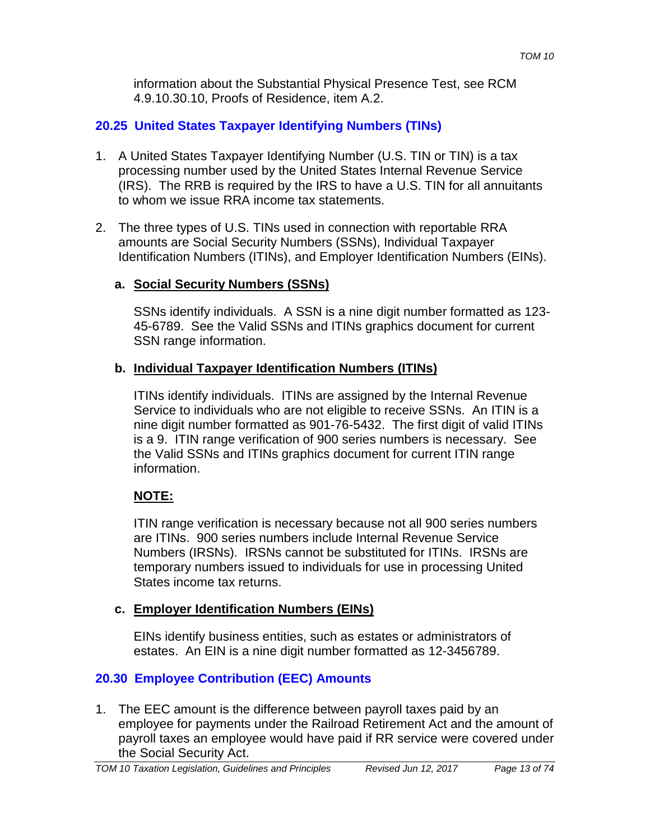information about the Substantial Physical Presence Test, see RCM 4.9.10.30.10, Proofs of Residence, item A.2.

### **20.25 United States Taxpayer Identifying Numbers (TINs)**

- 1. A United States Taxpayer Identifying Number (U.S. TIN or TIN) is a tax processing number used by the United States Internal Revenue Service (IRS). The RRB is required by the IRS to have a U.S. TIN for all annuitants to whom we issue RRA income tax statements.
- 2. The three types of U.S. TINs used in connection with reportable RRA amounts are Social Security Numbers (SSNs), Individual Taxpayer Identification Numbers (ITINs), and Employer Identification Numbers (EINs).

#### **a. Social Security Numbers (SSNs)**

SSNs identify individuals. A SSN is a nine digit number formatted as 123- 45-6789. See the Valid SSNs and ITINs graphics document for current SSN range information.

#### **b. Individual Taxpayer Identification Numbers (ITINs)**

ITINs identify individuals. ITINs are assigned by the Internal Revenue Service to individuals who are not eligible to receive SSNs. An ITIN is a nine digit number formatted as 901-76-5432. The first digit of valid ITINs is a 9. ITIN range verification of 900 series numbers is necessary. See the Valid SSNs and ITINs graphics document for current ITIN range information.

# **NOTE:**

ITIN range verification is necessary because not all 900 series numbers are ITINs. 900 series numbers include Internal Revenue Service Numbers (IRSNs). IRSNs cannot be substituted for ITINs. IRSNs are temporary numbers issued to individuals for use in processing United States income tax returns.

#### **c. Employer Identification Numbers (EINs)**

EINs identify business entities, such as estates or administrators of estates. An EIN is a nine digit number formatted as 12-3456789.

### **20.30 Employee Contribution (EEC) Amounts**

1. The EEC amount is the difference between payroll taxes paid by an employee for payments under the Railroad Retirement Act and the amount of payroll taxes an employee would have paid if RR service were covered under the Social Security Act.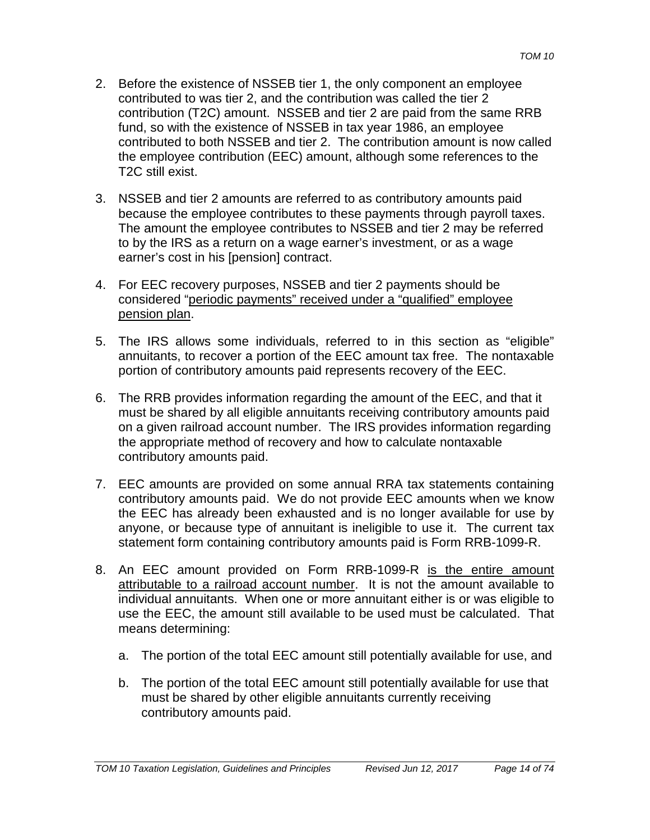- 2. Before the existence of NSSEB tier 1, the only component an employee contributed to was tier 2, and the contribution was called the tier 2 contribution (T2C) amount. NSSEB and tier 2 are paid from the same RRB fund, so with the existence of NSSEB in tax year 1986, an employee contributed to both NSSEB and tier 2. The contribution amount is now called the employee contribution (EEC) amount, although some references to the T2C still exist.
- 3. NSSEB and tier 2 amounts are referred to as contributory amounts paid because the employee contributes to these payments through payroll taxes. The amount the employee contributes to NSSEB and tier 2 may be referred to by the IRS as a return on a wage earner's investment, or as a wage earner's cost in his [pension] contract.
- 4. For EEC recovery purposes, NSSEB and tier 2 payments should be considered "periodic payments" received under a "qualified" employee pension plan.
- 5. The IRS allows some individuals, referred to in this section as "eligible" annuitants, to recover a portion of the EEC amount tax free. The nontaxable portion of contributory amounts paid represents recovery of the EEC.
- 6. The RRB provides information regarding the amount of the EEC, and that it must be shared by all eligible annuitants receiving contributory amounts paid on a given railroad account number. The IRS provides information regarding the appropriate method of recovery and how to calculate nontaxable contributory amounts paid.
- 7. EEC amounts are provided on some annual RRA tax statements containing contributory amounts paid. We do not provide EEC amounts when we know the EEC has already been exhausted and is no longer available for use by anyone, or because type of annuitant is ineligible to use it. The current tax statement form containing contributory amounts paid is Form RRB-1099-R.
- 8. An EEC amount provided on Form RRB-1099-R is the entire amount attributable to a railroad account number. It is not the amount available to individual annuitants. When one or more annuitant either is or was eligible to use the EEC, the amount still available to be used must be calculated. That means determining:
	- a. The portion of the total EEC amount still potentially available for use, and
	- b. The portion of the total EEC amount still potentially available for use that must be shared by other eligible annuitants currently receiving contributory amounts paid.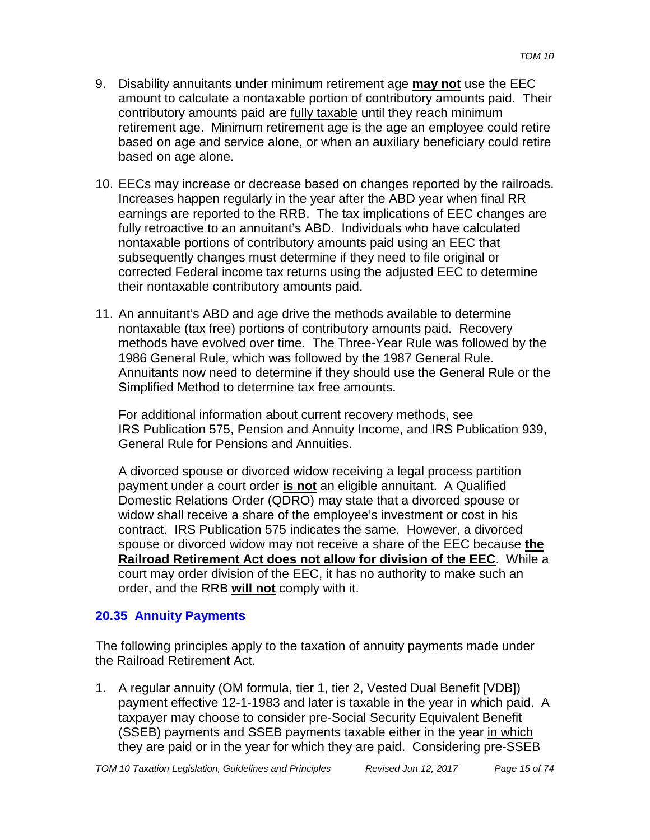- 9. Disability annuitants under minimum retirement age **may not** use the EEC amount to calculate a nontaxable portion of contributory amounts paid. Their contributory amounts paid are fully taxable until they reach minimum retirement age. Minimum retirement age is the age an employee could retire based on age and service alone, or when an auxiliary beneficiary could retire based on age alone.
- 10. EECs may increase or decrease based on changes reported by the railroads. Increases happen regularly in the year after the ABD year when final RR earnings are reported to the RRB. The tax implications of EEC changes are fully retroactive to an annuitant's ABD. Individuals who have calculated nontaxable portions of contributory amounts paid using an EEC that subsequently changes must determine if they need to file original or corrected Federal income tax returns using the adjusted EEC to determine their nontaxable contributory amounts paid.
- 11. An annuitant's ABD and age drive the methods available to determine nontaxable (tax free) portions of contributory amounts paid. Recovery methods have evolved over time. The Three-Year Rule was followed by the 1986 General Rule, which was followed by the 1987 General Rule. Annuitants now need to determine if they should use the General Rule or the Simplified Method to determine tax free amounts.

For additional information about current recovery methods, see IRS Publication 575, Pension and Annuity Income, and IRS Publication 939, General Rule for Pensions and Annuities.

A divorced spouse or divorced widow receiving a legal process partition payment under a court order **is not** an eligible annuitant. A Qualified Domestic Relations Order (QDRO) may state that a divorced spouse or widow shall receive a share of the employee's investment or cost in his contract. IRS Publication 575 indicates the same. However, a divorced spouse or divorced widow may not receive a share of the EEC because **the Railroad Retirement Act does not allow for division of the EEC**. While a court may order division of the EEC, it has no authority to make such an order, and the RRB **will not** comply with it.

#### **20.35 Annuity Payments**

The following principles apply to the taxation of annuity payments made under the Railroad Retirement Act.

1. A regular annuity (OM formula, tier 1, tier 2, Vested Dual Benefit [VDB]) payment effective 12-1-1983 and later is taxable in the year in which paid. A taxpayer may choose to consider pre-Social Security Equivalent Benefit (SSEB) payments and SSEB payments taxable either in the year in which they are paid or in the year for which they are paid. Considering pre-SSEB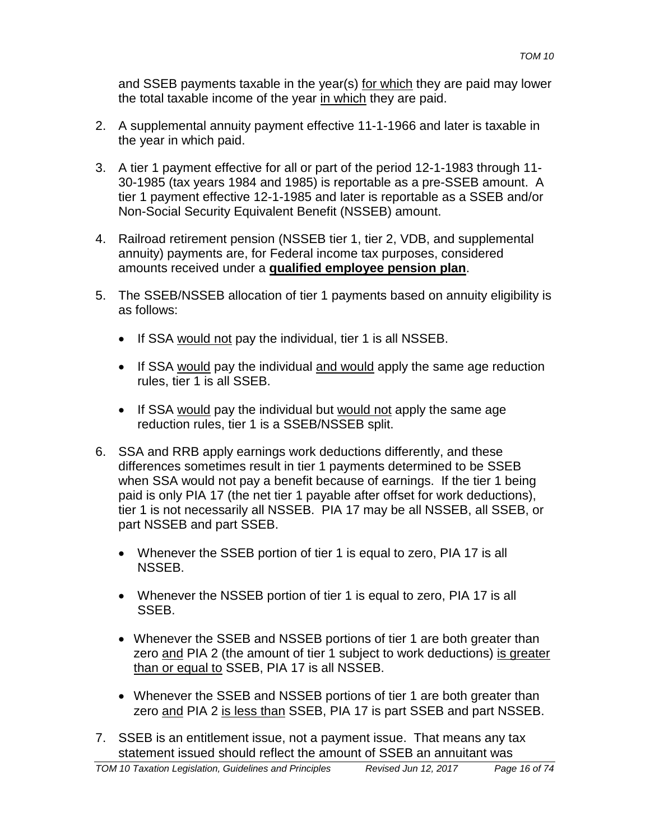and SSEB payments taxable in the year(s) for which they are paid may lower the total taxable income of the year in which they are paid.

- 2. A supplemental annuity payment effective 11-1-1966 and later is taxable in the year in which paid.
- 3. A tier 1 payment effective for all or part of the period 12-1-1983 through 11- 30-1985 (tax years 1984 and 1985) is reportable as a pre-SSEB amount. A tier 1 payment effective 12-1-1985 and later is reportable as a SSEB and/or Non-Social Security Equivalent Benefit (NSSEB) amount.
- 4. Railroad retirement pension (NSSEB tier 1, tier 2, VDB, and supplemental annuity) payments are, for Federal income tax purposes, considered amounts received under a **qualified employee pension plan**.
- 5. The SSEB/NSSEB allocation of tier 1 payments based on annuity eligibility is as follows:
	- If SSA would not pay the individual, tier 1 is all NSSEB.
	- If SSA would pay the individual and would apply the same age reduction rules, tier 1 is all SSEB.
	- If SSA would pay the individual but would not apply the same age reduction rules, tier 1 is a SSEB/NSSEB split.
- 6. SSA and RRB apply earnings work deductions differently, and these differences sometimes result in tier 1 payments determined to be SSEB when SSA would not pay a benefit because of earnings. If the tier 1 being paid is only PIA 17 (the net tier 1 payable after offset for work deductions), tier 1 is not necessarily all NSSEB. PIA 17 may be all NSSEB, all SSEB, or part NSSEB and part SSEB.
	- Whenever the SSEB portion of tier 1 is equal to zero, PIA 17 is all NSSEB.
	- Whenever the NSSEB portion of tier 1 is equal to zero, PIA 17 is all SSEB.
	- Whenever the SSEB and NSSEB portions of tier 1 are both greater than zero and PIA 2 (the amount of tier 1 subject to work deductions) is greater than or equal to SSEB, PIA 17 is all NSSEB.
	- Whenever the SSEB and NSSEB portions of tier 1 are both greater than zero and PIA 2 is less than SSEB, PIA 17 is part SSEB and part NSSEB.
- 7. SSEB is an entitlement issue, not a payment issue. That means any tax statement issued should reflect the amount of SSEB an annuitant was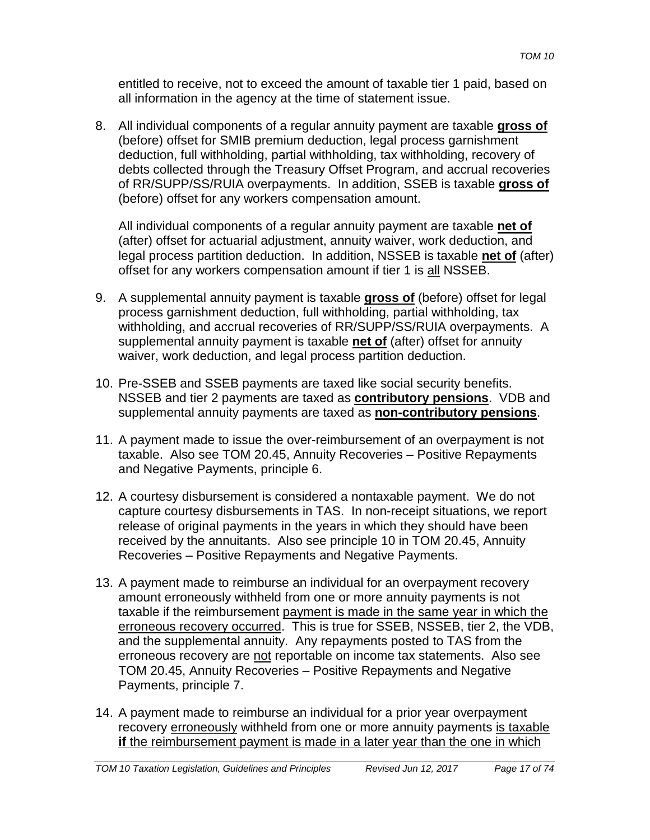entitled to receive, not to exceed the amount of taxable tier 1 paid, based on all information in the agency at the time of statement issue.

8. All individual components of a regular annuity payment are taxable **gross of** (before) offset for SMIB premium deduction, legal process garnishment deduction, full withholding, partial withholding, tax withholding, recovery of debts collected through the Treasury Offset Program, and accrual recoveries of RR/SUPP/SS/RUIA overpayments. In addition, SSEB is taxable **gross of** (before) offset for any workers compensation amount.

All individual components of a regular annuity payment are taxable **net of** (after) offset for actuarial adjustment, annuity waiver, work deduction, and legal process partition deduction. In addition, NSSEB is taxable **net of** (after) offset for any workers compensation amount if tier 1 is all NSSEB.

- 9. A supplemental annuity payment is taxable **gross of** (before) offset for legal process garnishment deduction, full withholding, partial withholding, tax withholding, and accrual recoveries of RR/SUPP/SS/RUIA overpayments. A supplemental annuity payment is taxable **net of** (after) offset for annuity waiver, work deduction, and legal process partition deduction.
- 10. Pre-SSEB and SSEB payments are taxed like social security benefits. NSSEB and tier 2 payments are taxed as **contributory pensions**. VDB and supplemental annuity payments are taxed as **non-contributory pensions**.
- 11. A payment made to issue the over-reimbursement of an overpayment is not taxable. Also see TOM 20.45, Annuity Recoveries – Positive Repayments and Negative Payments, principle 6.
- 12. A courtesy disbursement is considered a nontaxable payment. We do not capture courtesy disbursements in TAS. In non-receipt situations, we report release of original payments in the years in which they should have been received by the annuitants. Also see principle 10 in TOM 20.45, Annuity Recoveries – Positive Repayments and Negative Payments.
- 13. A payment made to reimburse an individual for an overpayment recovery amount erroneously withheld from one or more annuity payments is not taxable if the reimbursement payment is made in the same year in which the erroneous recovery occurred. This is true for SSEB, NSSEB, tier 2, the VDB, and the supplemental annuity. Any repayments posted to TAS from the erroneous recovery are not reportable on income tax statements. Also see TOM 20.45, Annuity Recoveries – Positive Repayments and Negative Payments, principle 7.
- 14. A payment made to reimburse an individual for a prior year overpayment recovery erroneously withheld from one or more annuity payments is taxable **if** the reimbursement payment is made in a later year than the one in which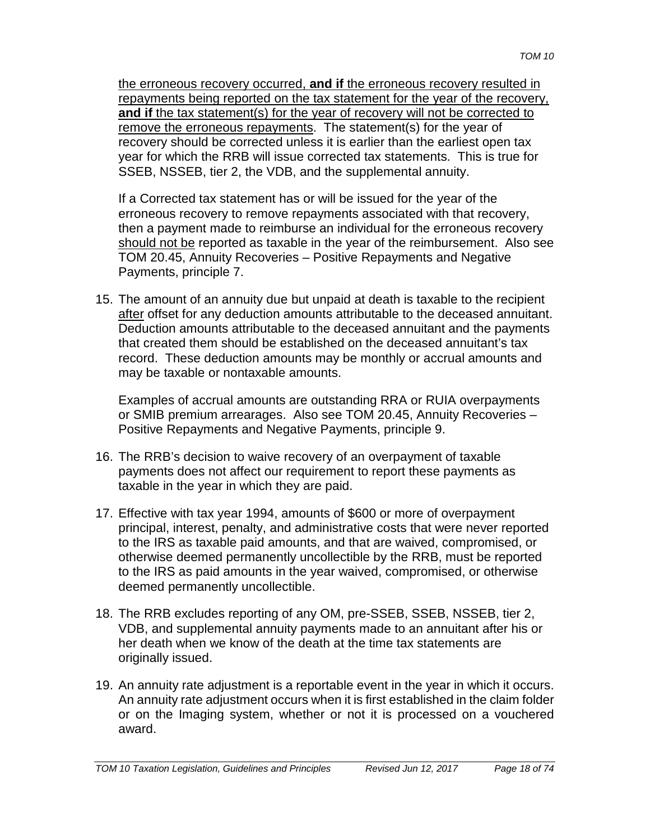the erroneous recovery occurred, **and if** the erroneous recovery resulted in repayments being reported on the tax statement for the year of the recovery, **and if** the tax statement(s) for the year of recovery will not be corrected to remove the erroneous repayments. The statement(s) for the year of recovery should be corrected unless it is earlier than the earliest open tax year for which the RRB will issue corrected tax statements. This is true for SSEB, NSSEB, tier 2, the VDB, and the supplemental annuity.

If a Corrected tax statement has or will be issued for the year of the erroneous recovery to remove repayments associated with that recovery, then a payment made to reimburse an individual for the erroneous recovery should not be reported as taxable in the year of the reimbursement. Also see TOM 20.45, Annuity Recoveries – Positive Repayments and Negative Payments, principle 7.

15. The amount of an annuity due but unpaid at death is taxable to the recipient after offset for any deduction amounts attributable to the deceased annuitant. Deduction amounts attributable to the deceased annuitant and the payments that created them should be established on the deceased annuitant's tax record. These deduction amounts may be monthly or accrual amounts and may be taxable or nontaxable amounts.

Examples of accrual amounts are outstanding RRA or RUIA overpayments or SMIB premium arrearages. Also see TOM 20.45, Annuity Recoveries – Positive Repayments and Negative Payments, principle 9.

- 16. The RRB's decision to waive recovery of an overpayment of taxable payments does not affect our requirement to report these payments as taxable in the year in which they are paid.
- 17. Effective with tax year 1994, amounts of \$600 or more of overpayment principal, interest, penalty, and administrative costs that were never reported to the IRS as taxable paid amounts, and that are waived, compromised, or otherwise deemed permanently uncollectible by the RRB, must be reported to the IRS as paid amounts in the year waived, compromised, or otherwise deemed permanently uncollectible.
- 18. The RRB excludes reporting of any OM, pre-SSEB, SSEB, NSSEB, tier 2, VDB, and supplemental annuity payments made to an annuitant after his or her death when we know of the death at the time tax statements are originally issued.
- 19. An annuity rate adjustment is a reportable event in the year in which it occurs. An annuity rate adjustment occurs when it is first established in the claim folder or on the Imaging system, whether or not it is processed on a vouchered award.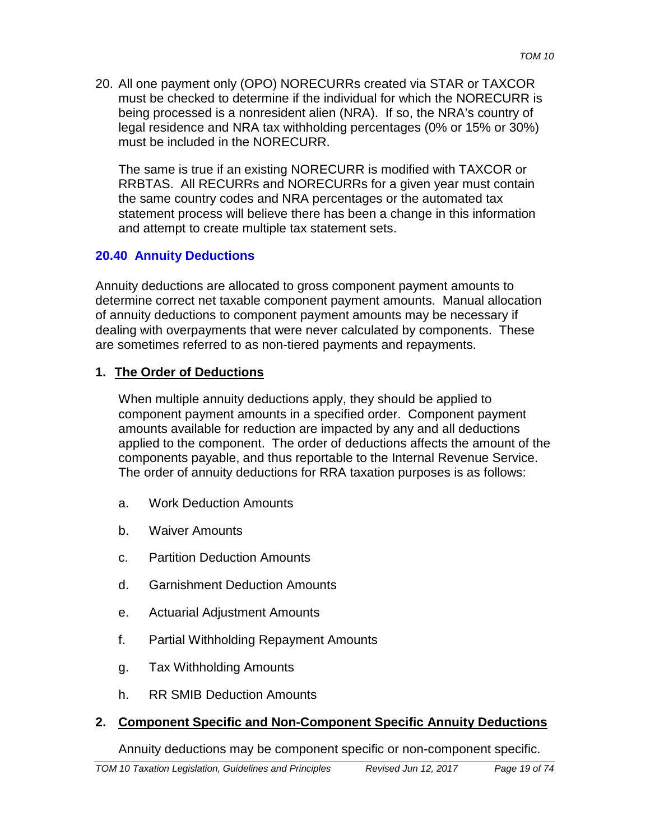20. All one payment only (OPO) NORECURRs created via STAR or TAXCOR must be checked to determine if the individual for which the NORECURR is being processed is a nonresident alien (NRA). If so, the NRA's country of legal residence and NRA tax withholding percentages (0% or 15% or 30%) must be included in the NORECURR.

The same is true if an existing NORECURR is modified with TAXCOR or RRBTAS. All RECURRs and NORECURRs for a given year must contain the same country codes and NRA percentages or the automated tax statement process will believe there has been a change in this information and attempt to create multiple tax statement sets.

### **20.40 Annuity Deductions**

Annuity deductions are allocated to gross component payment amounts to determine correct net taxable component payment amounts. Manual allocation of annuity deductions to component payment amounts may be necessary if dealing with overpayments that were never calculated by components. These are sometimes referred to as non-tiered payments and repayments.

#### **1. The Order of Deductions**

When multiple annuity deductions apply, they should be applied to component payment amounts in a specified order. Component payment amounts available for reduction are impacted by any and all deductions applied to the component. The order of deductions affects the amount of the components payable, and thus reportable to the Internal Revenue Service. The order of annuity deductions for RRA taxation purposes is as follows:

- a. Work Deduction Amounts
- b. Waiver Amounts
- c. Partition Deduction Amounts
- d. Garnishment Deduction Amounts
- e. Actuarial Adjustment Amounts
- f. Partial Withholding Repayment Amounts
- g. Tax Withholding Amounts
- h. RR SMIB Deduction Amounts

### **2. Component Specific and Non-Component Specific Annuity Deductions**

Annuity deductions may be component specific or non-component specific.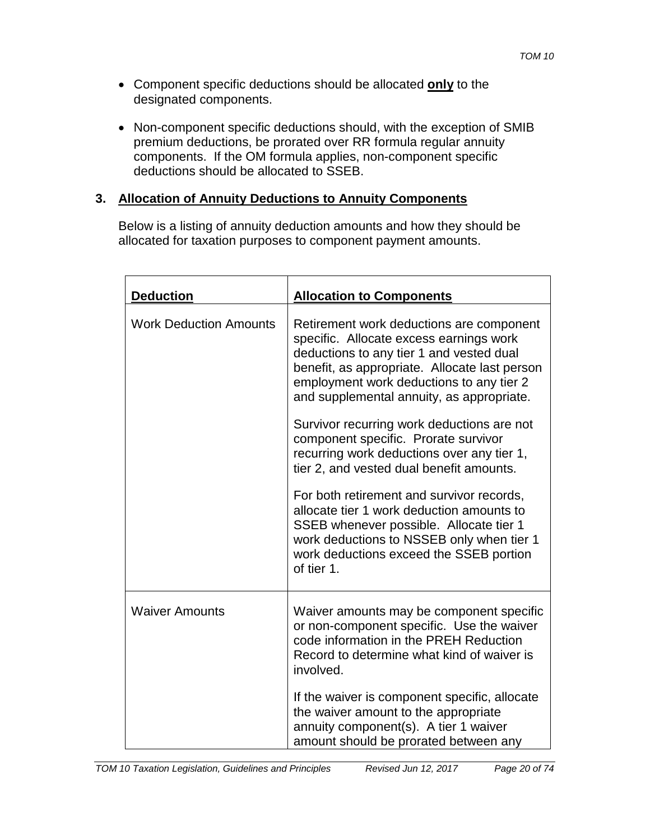- Component specific deductions should be allocated **only** to the designated components.
- Non-component specific deductions should, with the exception of SMIB premium deductions, be prorated over RR formula regular annuity components. If the OM formula applies, non-component specific deductions should be allocated to SSEB.

### **3. Allocation of Annuity Deductions to Annuity Components**

Below is a listing of annuity deduction amounts and how they should be allocated for taxation purposes to component payment amounts.

| <b>Deduction</b>              | <b>Allocation to Components</b>                                                                                                                                                                                                                                           |  |  |
|-------------------------------|---------------------------------------------------------------------------------------------------------------------------------------------------------------------------------------------------------------------------------------------------------------------------|--|--|
| <b>Work Deduction Amounts</b> | Retirement work deductions are component<br>specific. Allocate excess earnings work<br>deductions to any tier 1 and vested dual<br>benefit, as appropriate. Allocate last person<br>employment work deductions to any tier 2<br>and supplemental annuity, as appropriate. |  |  |
|                               | Survivor recurring work deductions are not<br>component specific. Prorate survivor<br>recurring work deductions over any tier 1,<br>tier 2, and vested dual benefit amounts.                                                                                              |  |  |
|                               | For both retirement and survivor records,<br>allocate tier 1 work deduction amounts to<br>SSEB whenever possible. Allocate tier 1<br>work deductions to NSSEB only when tier 1<br>work deductions exceed the SSEB portion<br>of tier 1.                                   |  |  |
| <b>Waiver Amounts</b>         | Waiver amounts may be component specific<br>or non-component specific. Use the waiver<br>code information in the PREH Reduction<br>Record to determine what kind of waiver is<br>involved.                                                                                |  |  |
|                               | If the waiver is component specific, allocate<br>the waiver amount to the appropriate<br>annuity component(s). A tier 1 waiver<br>amount should be prorated between any                                                                                                   |  |  |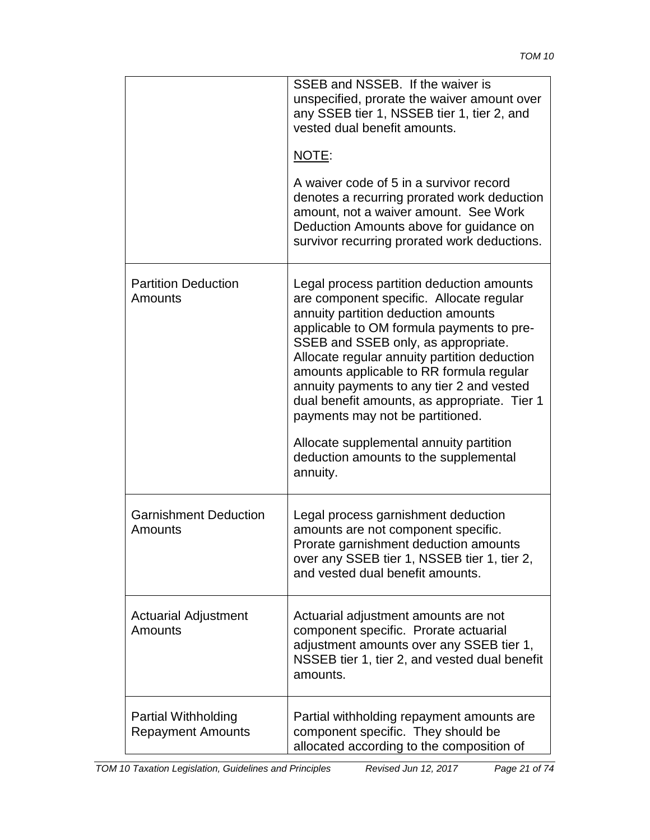|                                                        | SSEB and NSSEB. If the waiver is<br>unspecified, prorate the waiver amount over<br>any SSEB tier 1, NSSEB tier 1, tier 2, and<br>vested dual benefit amounts.<br>NOTE:<br>A waiver code of 5 in a survivor record                                                                                                                                                                                                                                                                                                                             |
|--------------------------------------------------------|-----------------------------------------------------------------------------------------------------------------------------------------------------------------------------------------------------------------------------------------------------------------------------------------------------------------------------------------------------------------------------------------------------------------------------------------------------------------------------------------------------------------------------------------------|
|                                                        | denotes a recurring prorated work deduction<br>amount, not a waiver amount. See Work<br>Deduction Amounts above for guidance on<br>survivor recurring prorated work deductions.                                                                                                                                                                                                                                                                                                                                                               |
| <b>Partition Deduction</b><br>Amounts                  | Legal process partition deduction amounts<br>are component specific. Allocate regular<br>annuity partition deduction amounts<br>applicable to OM formula payments to pre-<br>SSEB and SSEB only, as appropriate.<br>Allocate regular annuity partition deduction<br>amounts applicable to RR formula regular<br>annuity payments to any tier 2 and vested<br>dual benefit amounts, as appropriate. Tier 1<br>payments may not be partitioned.<br>Allocate supplemental annuity partition<br>deduction amounts to the supplemental<br>annuity. |
| <b>Garnishment Deduction</b><br>Amounts                | Legal process garnishment deduction<br>amounts are not component specific.<br>Prorate garnishment deduction amounts<br>over any SSEB tier 1, NSSEB tier 1, tier 2,<br>and vested dual benefit amounts.                                                                                                                                                                                                                                                                                                                                        |
| <b>Actuarial Adjustment</b><br>Amounts                 | Actuarial adjustment amounts are not<br>component specific. Prorate actuarial<br>adjustment amounts over any SSEB tier 1,<br>NSSEB tier 1, tier 2, and vested dual benefit<br>amounts.                                                                                                                                                                                                                                                                                                                                                        |
| <b>Partial Withholding</b><br><b>Repayment Amounts</b> | Partial withholding repayment amounts are<br>component specific. They should be<br>allocated according to the composition of                                                                                                                                                                                                                                                                                                                                                                                                                  |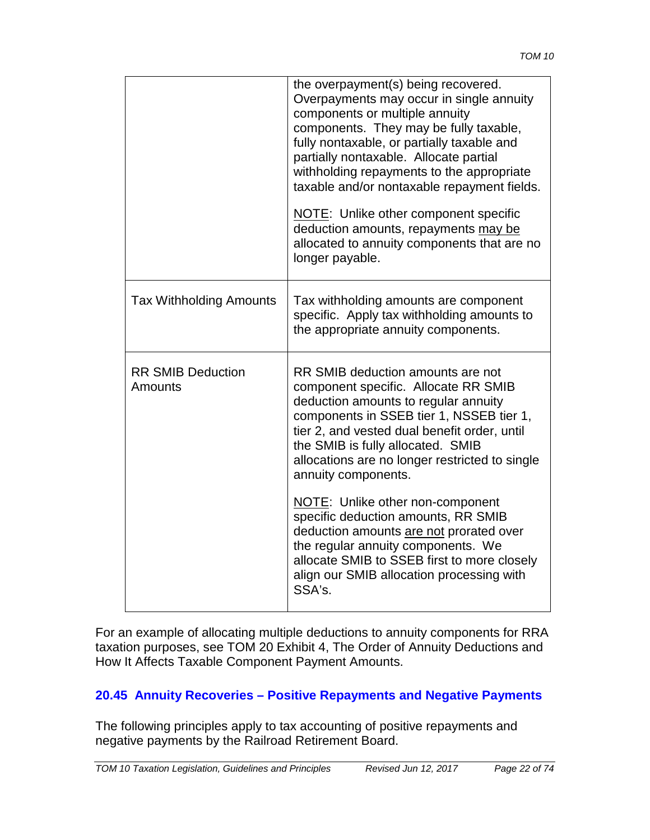|                                     | the overpayment(s) being recovered.<br>Overpayments may occur in single annuity<br>components or multiple annuity<br>components. They may be fully taxable,<br>fully nontaxable, or partially taxable and<br>partially nontaxable. Allocate partial<br>withholding repayments to the appropriate<br>taxable and/or nontaxable repayment fields.<br>NOTE: Unlike other component specific<br>deduction amounts, repayments may be<br>allocated to annuity components that are no<br>longer payable. |  |  |  |
|-------------------------------------|----------------------------------------------------------------------------------------------------------------------------------------------------------------------------------------------------------------------------------------------------------------------------------------------------------------------------------------------------------------------------------------------------------------------------------------------------------------------------------------------------|--|--|--|
| <b>Tax Withholding Amounts</b>      | Tax withholding amounts are component<br>specific. Apply tax withholding amounts to<br>the appropriate annuity components.                                                                                                                                                                                                                                                                                                                                                                         |  |  |  |
| <b>RR SMIB Deduction</b><br>Amounts | RR SMIB deduction amounts are not<br>component specific. Allocate RR SMIB<br>deduction amounts to regular annuity<br>components in SSEB tier 1, NSSEB tier 1,<br>tier 2, and vested dual benefit order, until<br>the SMIB is fully allocated. SMIB<br>allocations are no longer restricted to single<br>annuity components.                                                                                                                                                                        |  |  |  |
|                                     | NOTE: Unlike other non-component<br>specific deduction amounts, RR SMIB<br>deduction amounts are not prorated over<br>the regular annuity components. We<br>allocate SMIB to SSEB first to more closely<br>align our SMIB allocation processing with<br>SSA's.                                                                                                                                                                                                                                     |  |  |  |

For an example of allocating multiple deductions to annuity components for RRA taxation purposes, see TOM 20 Exhibit 4, The Order of Annuity Deductions and How It Affects Taxable Component Payment Amounts.

# **20.45 Annuity Recoveries – Positive Repayments and Negative Payments**

The following principles apply to tax accounting of positive repayments and negative payments by the Railroad Retirement Board.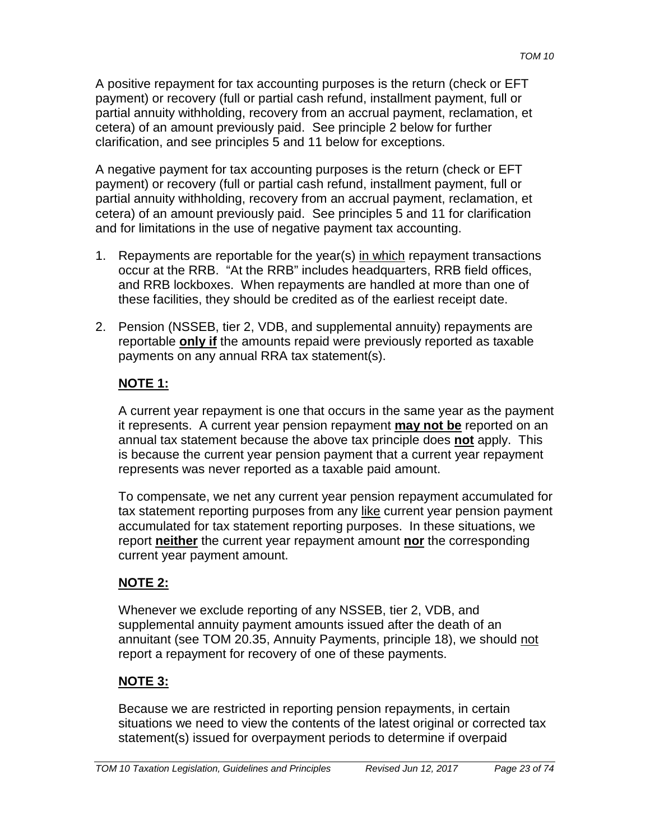A positive repayment for tax accounting purposes is the return (check or EFT payment) or recovery (full or partial cash refund, installment payment, full or partial annuity withholding, recovery from an accrual payment, reclamation, et cetera) of an amount previously paid. See principle 2 below for further clarification, and see principles 5 and 11 below for exceptions.

A negative payment for tax accounting purposes is the return (check or EFT payment) or recovery (full or partial cash refund, installment payment, full or partial annuity withholding, recovery from an accrual payment, reclamation, et cetera) of an amount previously paid. See principles 5 and 11 for clarification and for limitations in the use of negative payment tax accounting.

- 1. Repayments are reportable for the year(s) in which repayment transactions occur at the RRB. "At the RRB" includes headquarters, RRB field offices, and RRB lockboxes. When repayments are handled at more than one of these facilities, they should be credited as of the earliest receipt date.
- 2. Pension (NSSEB, tier 2, VDB, and supplemental annuity) repayments are reportable **only if** the amounts repaid were previously reported as taxable payments on any annual RRA tax statement(s).

# **NOTE 1:**

A current year repayment is one that occurs in the same year as the payment it represents. A current year pension repayment **may not be** reported on an annual tax statement because the above tax principle does **not** apply. This is because the current year pension payment that a current year repayment represents was never reported as a taxable paid amount.

To compensate, we net any current year pension repayment accumulated for tax statement reporting purposes from any like current year pension payment accumulated for tax statement reporting purposes. In these situations, we report **neither** the current year repayment amount **nor** the corresponding current year payment amount.

# **NOTE 2:**

Whenever we exclude reporting of any NSSEB, tier 2, VDB, and supplemental annuity payment amounts issued after the death of an annuitant (see TOM 20.35, Annuity Payments, principle 18), we should not report a repayment for recovery of one of these payments.

# **NOTE 3:**

Because we are restricted in reporting pension repayments, in certain situations we need to view the contents of the latest original or corrected tax statement(s) issued for overpayment periods to determine if overpaid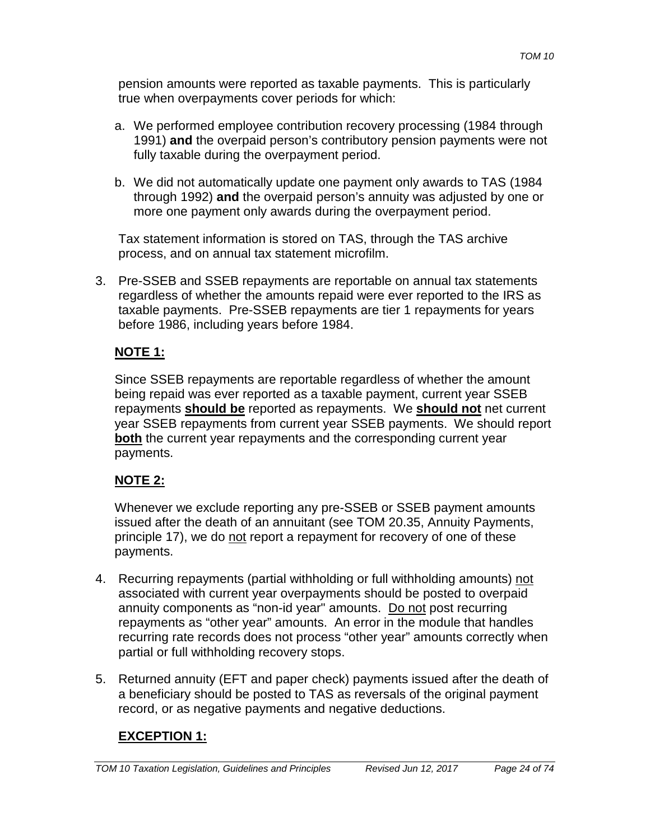pension amounts were reported as taxable payments. This is particularly true when overpayments cover periods for which:

- a. We performed employee contribution recovery processing (1984 through 1991) **and** the overpaid person's contributory pension payments were not fully taxable during the overpayment period.
- b. We did not automatically update one payment only awards to TAS (1984 through 1992) **and** the overpaid person's annuity was adjusted by one or more one payment only awards during the overpayment period.

Tax statement information is stored on TAS, through the TAS archive process, and on annual tax statement microfilm.

3. Pre-SSEB and SSEB repayments are reportable on annual tax statements regardless of whether the amounts repaid were ever reported to the IRS as taxable payments. Pre-SSEB repayments are tier 1 repayments for years before 1986, including years before 1984.

### **NOTE 1:**

Since SSEB repayments are reportable regardless of whether the amount being repaid was ever reported as a taxable payment, current year SSEB repayments **should be** reported as repayments. We **should not** net current year SSEB repayments from current year SSEB payments. We should report **both** the current year repayments and the corresponding current year payments.

# **NOTE 2:**

Whenever we exclude reporting any pre-SSEB or SSEB payment amounts issued after the death of an annuitant (see TOM 20.35, Annuity Payments, principle 17), we do not report a repayment for recovery of one of these payments.

- 4. Recurring repayments (partial withholding or full withholding amounts) not associated with current year overpayments should be posted to overpaid annuity components as "non-id year" amounts. Do not post recurring repayments as "other year" amounts. An error in the module that handles recurring rate records does not process "other year" amounts correctly when partial or full withholding recovery stops.
- 5. Returned annuity (EFT and paper check) payments issued after the death of a beneficiary should be posted to TAS as reversals of the original payment record, or as negative payments and negative deductions.

# **EXCEPTION 1:**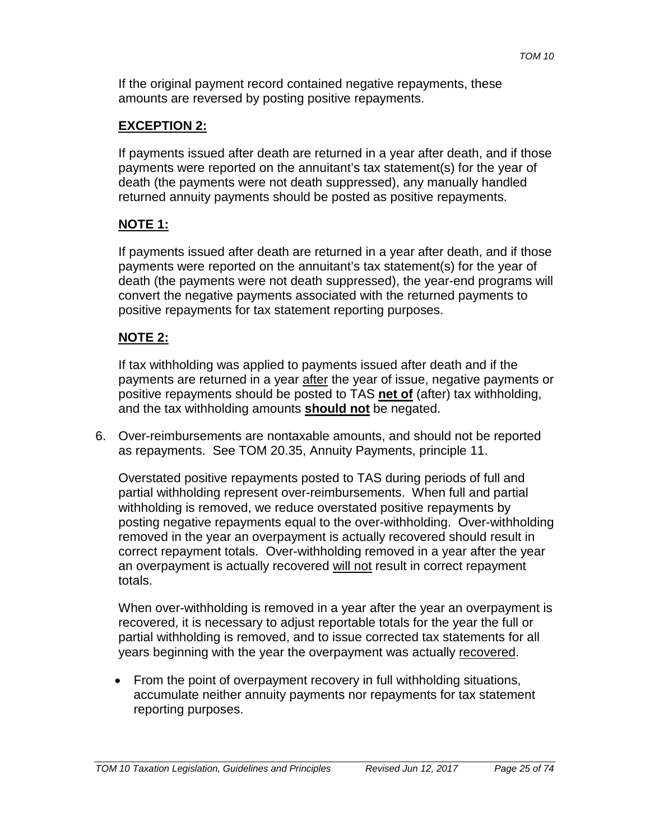If the original payment record contained negative repayments, these amounts are reversed by posting positive repayments.

#### **EXCEPTION 2:**

If payments issued after death are returned in a year after death, and if those payments were reported on the annuitant's tax statement(s) for the year of death (the payments were not death suppressed), any manually handled returned annuity payments should be posted as positive repayments.

#### **NOTE 1:**

If payments issued after death are returned in a year after death, and if those payments were reported on the annuitant's tax statement(s) for the year of death (the payments were not death suppressed), the year-end programs will convert the negative payments associated with the returned payments to positive repayments for tax statement reporting purposes.

#### **NOTE 2:**

If tax withholding was applied to payments issued after death and if the payments are returned in a year after the year of issue, negative payments or positive repayments should be posted to TAS **net of** (after) tax withholding, and the tax withholding amounts **should not** be negated.

6. Over-reimbursements are nontaxable amounts, and should not be reported as repayments. See TOM 20.35, Annuity Payments, principle 11.

Overstated positive repayments posted to TAS during periods of full and partial withholding represent over-reimbursements. When full and partial withholding is removed, we reduce overstated positive repayments by posting negative repayments equal to the over-withholding. Over-withholding removed in the year an overpayment is actually recovered should result in correct repayment totals. Over-withholding removed in a year after the year an overpayment is actually recovered will not result in correct repayment totals.

When over-withholding is removed in a year after the year an overpayment is recovered, it is necessary to adjust reportable totals for the year the full or partial withholding is removed, and to issue corrected tax statements for all years beginning with the year the overpayment was actually recovered.

• From the point of overpayment recovery in full withholding situations, accumulate neither annuity payments nor repayments for tax statement reporting purposes.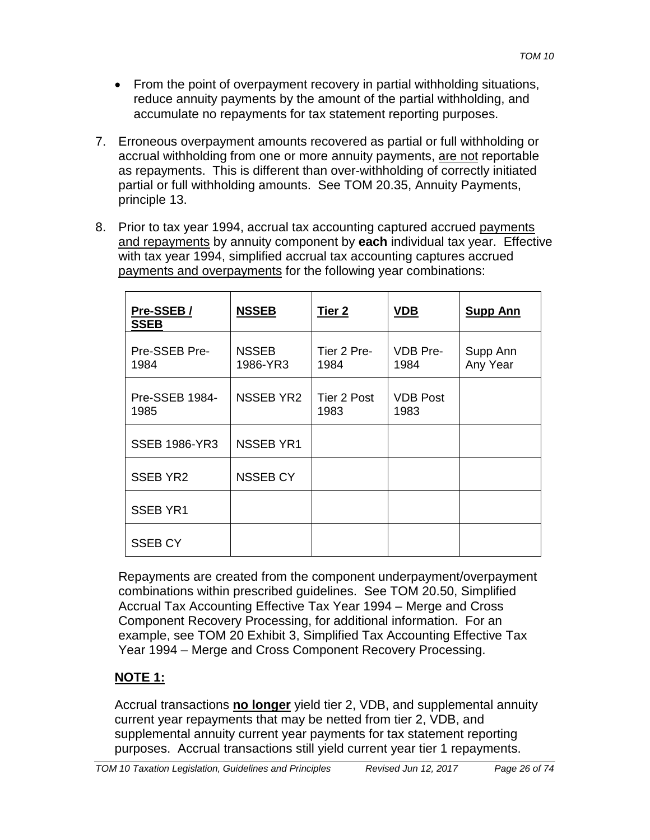- From the point of overpayment recovery in partial withholding situations, reduce annuity payments by the amount of the partial withholding, and accumulate no repayments for tax statement reporting purposes.
- 7. Erroneous overpayment amounts recovered as partial or full withholding or accrual withholding from one or more annuity payments, are not reportable as repayments. This is different than over-withholding of correctly initiated partial or full withholding amounts. See TOM 20.35, Annuity Payments, principle 13.
- 8. Prior to tax year 1994, accrual tax accounting captured accrued payments and repayments by annuity component by **each** individual tax year. Effective with tax year 1994, simplified accrual tax accounting captures accrued payments and overpayments for the following year combinations:

| Pre-SSEB/<br><b>SSEB</b> | <b>NSSEB</b>             | Tier 2              | <b>VDB</b>              | <b>Supp Ann</b>      |
|--------------------------|--------------------------|---------------------|-------------------------|----------------------|
| Pre-SSEB Pre-<br>1984    | <b>NSSEB</b><br>1986-YR3 | Tier 2 Pre-<br>1984 | <b>VDB Pre-</b><br>1984 | Supp Ann<br>Any Year |
| Pre-SSEB 1984-<br>1985   | <b>NSSEB YR2</b>         | Tier 2 Post<br>1983 | <b>VDB Post</b><br>1983 |                      |
| <b>SSEB 1986-YR3</b>     | <b>NSSEB YR1</b>         |                     |                         |                      |
| <b>SSEB YR2</b>          | <b>NSSEB CY</b>          |                     |                         |                      |
| <b>SSEB YR1</b>          |                          |                     |                         |                      |
| SSEB CY                  |                          |                     |                         |                      |

Repayments are created from the component underpayment/overpayment combinations within prescribed guidelines. See TOM 20.50, Simplified Accrual Tax Accounting Effective Tax Year 1994 – Merge and Cross Component Recovery Processing, for additional information. For an example, see TOM 20 Exhibit 3, Simplified Tax Accounting Effective Tax Year 1994 – Merge and Cross Component Recovery Processing.

# **NOTE 1:**

Accrual transactions **no longer** yield tier 2, VDB, and supplemental annuity current year repayments that may be netted from tier 2, VDB, and supplemental annuity current year payments for tax statement reporting purposes. Accrual transactions still yield current year tier 1 repayments.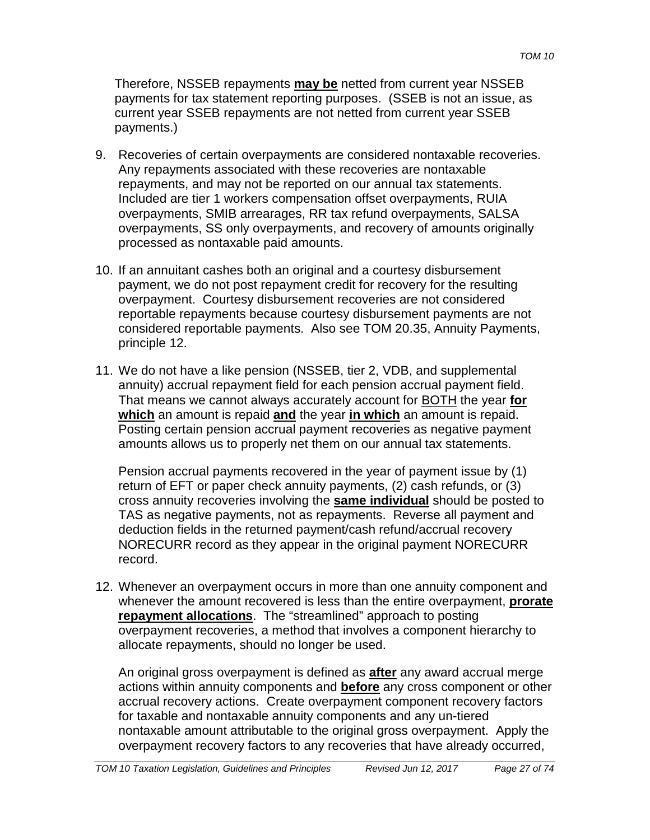Therefore, NSSEB repayments **may be** netted from current year NSSEB payments for tax statement reporting purposes. (SSEB is not an issue, as current year SSEB repayments are not netted from current year SSEB payments.)

- 9. Recoveries of certain overpayments are considered nontaxable recoveries. Any repayments associated with these recoveries are nontaxable repayments, and may not be reported on our annual tax statements. Included are tier 1 workers compensation offset overpayments, RUIA overpayments, SMIB arrearages, RR tax refund overpayments, SALSA overpayments, SS only overpayments, and recovery of amounts originally processed as nontaxable paid amounts.
- 10. If an annuitant cashes both an original and a courtesy disbursement payment, we do not post repayment credit for recovery for the resulting overpayment. Courtesy disbursement recoveries are not considered reportable repayments because courtesy disbursement payments are not considered reportable payments. Also see TOM 20.35, Annuity Payments, principle 12.
- 11. We do not have a like pension (NSSEB, tier 2, VDB, and supplemental annuity) accrual repayment field for each pension accrual payment field. That means we cannot always accurately account for BOTH the year **for which** an amount is repaid **and** the year **in which** an amount is repaid. Posting certain pension accrual payment recoveries as negative payment amounts allows us to properly net them on our annual tax statements.

Pension accrual payments recovered in the year of payment issue by (1) return of EFT or paper check annuity payments, (2) cash refunds, or (3) cross annuity recoveries involving the **same individual** should be posted to TAS as negative payments, not as repayments. Reverse all payment and deduction fields in the returned payment/cash refund/accrual recovery NORECURR record as they appear in the original payment NORECURR record.

12. Whenever an overpayment occurs in more than one annuity component and whenever the amount recovered is less than the entire overpayment, **prorate repayment allocations**. The "streamlined" approach to posting overpayment recoveries, a method that involves a component hierarchy to allocate repayments, should no longer be used.

An original gross overpayment is defined as **after** any award accrual merge actions within annuity components and **before** any cross component or other accrual recovery actions. Create overpayment component recovery factors for taxable and nontaxable annuity components and any un-tiered nontaxable amount attributable to the original gross overpayment. Apply the overpayment recovery factors to any recoveries that have already occurred,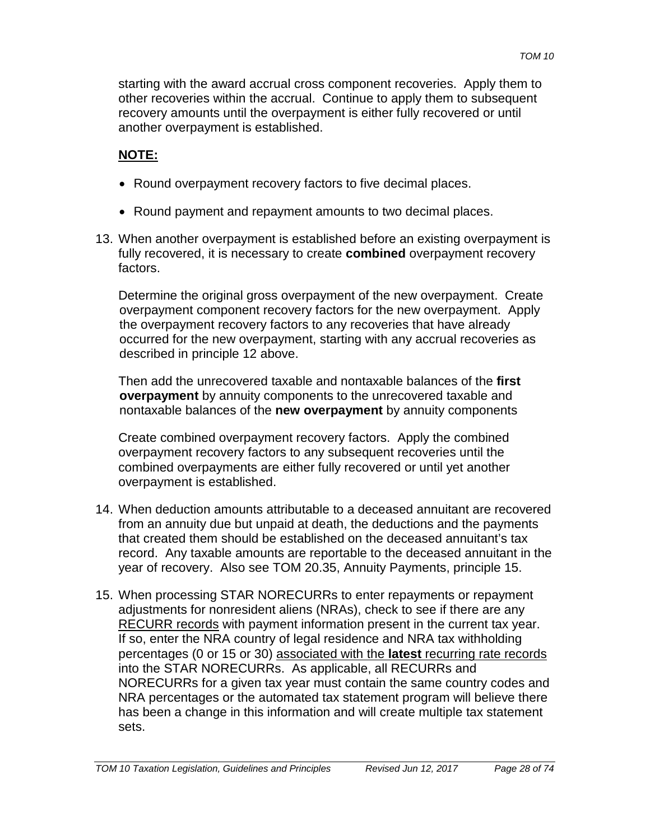starting with the award accrual cross component recoveries. Apply them to other recoveries within the accrual. Continue to apply them to subsequent recovery amounts until the overpayment is either fully recovered or until another overpayment is established.

### **NOTE:**

- Round overpayment recovery factors to five decimal places.
- Round payment and repayment amounts to two decimal places.
- 13. When another overpayment is established before an existing overpayment is fully recovered, it is necessary to create **combined** overpayment recovery factors.

Determine the original gross overpayment of the new overpayment. Create overpayment component recovery factors for the new overpayment. Apply the overpayment recovery factors to any recoveries that have already occurred for the new overpayment, starting with any accrual recoveries as described in principle 12 above.

Then add the unrecovered taxable and nontaxable balances of the **first overpayment** by annuity components to the unrecovered taxable and nontaxable balances of the **new overpayment** by annuity components

Create combined overpayment recovery factors. Apply the combined overpayment recovery factors to any subsequent recoveries until the combined overpayments are either fully recovered or until yet another overpayment is established.

- 14. When deduction amounts attributable to a deceased annuitant are recovered from an annuity due but unpaid at death, the deductions and the payments that created them should be established on the deceased annuitant's tax record. Any taxable amounts are reportable to the deceased annuitant in the year of recovery. Also see TOM 20.35, Annuity Payments, principle 15.
- 15. When processing STAR NORECURRs to enter repayments or repayment adjustments for nonresident aliens (NRAs), check to see if there are any RECURR records with payment information present in the current tax year. If so, enter the NRA country of legal residence and NRA tax withholding percentages (0 or 15 or 30) associated with the **latest** recurring rate records into the STAR NORECURRs. As applicable, all RECURRs and NORECURRs for a given tax year must contain the same country codes and NRA percentages or the automated tax statement program will believe there has been a change in this information and will create multiple tax statement sets.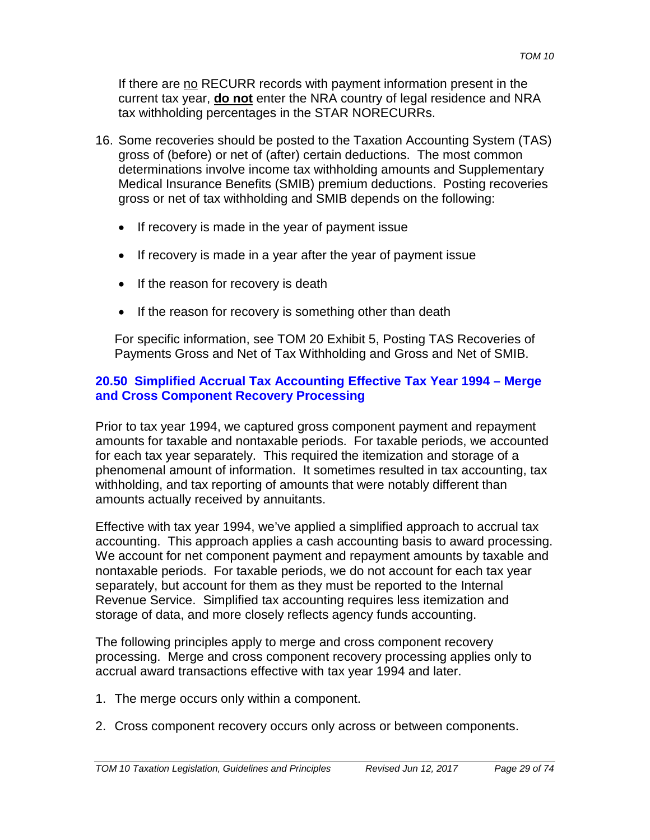If there are no RECURR records with payment information present in the current tax year, **do not** enter the NRA country of legal residence and NRA tax withholding percentages in the STAR NORECURRs.

- 16. Some recoveries should be posted to the Taxation Accounting System (TAS) gross of (before) or net of (after) certain deductions. The most common determinations involve income tax withholding amounts and Supplementary Medical Insurance Benefits (SMIB) premium deductions. Posting recoveries gross or net of tax withholding and SMIB depends on the following:
	- If recovery is made in the year of payment issue
	- If recovery is made in a year after the year of payment issue
	- If the reason for recovery is death
	- If the reason for recovery is something other than death

For specific information, see TOM 20 Exhibit 5, Posting TAS Recoveries of Payments Gross and Net of Tax Withholding and Gross and Net of SMIB.

#### **20.50 Simplified Accrual Tax Accounting Effective Tax Year 1994 – Merge and Cross Component Recovery Processing**

Prior to tax year 1994, we captured gross component payment and repayment amounts for taxable and nontaxable periods. For taxable periods, we accounted for each tax year separately. This required the itemization and storage of a phenomenal amount of information. It sometimes resulted in tax accounting, tax withholding, and tax reporting of amounts that were notably different than amounts actually received by annuitants.

Effective with tax year 1994, we've applied a simplified approach to accrual tax accounting. This approach applies a cash accounting basis to award processing. We account for net component payment and repayment amounts by taxable and nontaxable periods. For taxable periods, we do not account for each tax year separately, but account for them as they must be reported to the Internal Revenue Service. Simplified tax accounting requires less itemization and storage of data, and more closely reflects agency funds accounting.

The following principles apply to merge and cross component recovery processing. Merge and cross component recovery processing applies only to accrual award transactions effective with tax year 1994 and later.

- 1. The merge occurs only within a component.
- 2. Cross component recovery occurs only across or between components.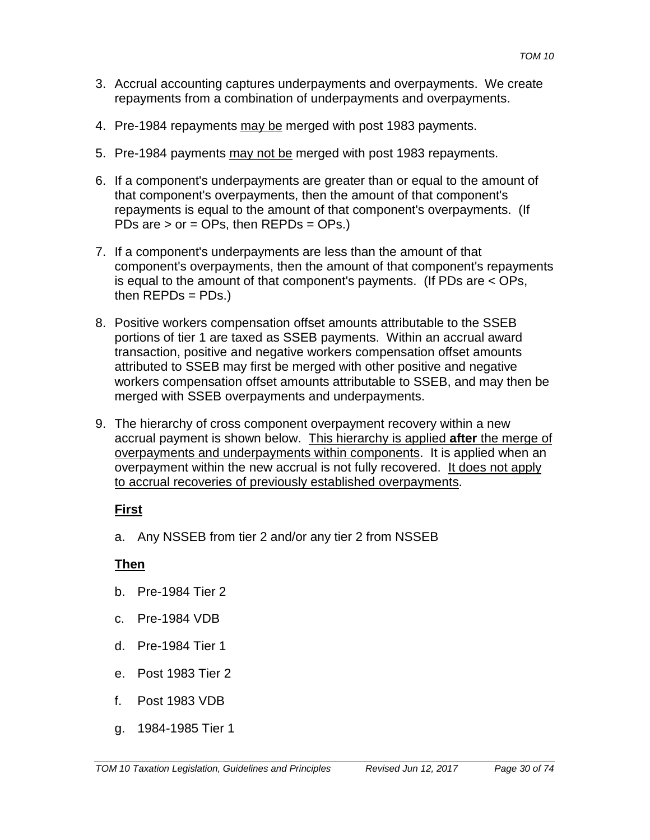- 3. Accrual accounting captures underpayments and overpayments. We create repayments from a combination of underpayments and overpayments.
- 4. Pre-1984 repayments may be merged with post 1983 payments.
- 5. Pre-1984 payments may not be merged with post 1983 repayments.
- 6. If a component's underpayments are greater than or equal to the amount of that component's overpayments, then the amount of that component's repayments is equal to the amount of that component's overpayments. (If PDs are > or = OPs, then REPDs = OPs.)
- 7. If a component's underpayments are less than the amount of that component's overpayments, then the amount of that component's repayments is equal to the amount of that component's payments. (If PDs are < OPs, then  $REPDs = PDs.$ )
- 8. Positive workers compensation offset amounts attributable to the SSEB portions of tier 1 are taxed as SSEB payments. Within an accrual award transaction, positive and negative workers compensation offset amounts attributed to SSEB may first be merged with other positive and negative workers compensation offset amounts attributable to SSEB, and may then be merged with SSEB overpayments and underpayments.
- 9. The hierarchy of cross component overpayment recovery within a new accrual payment is shown below. This hierarchy is applied **after** the merge of overpayments and underpayments within components. It is applied when an overpayment within the new accrual is not fully recovered. It does not apply to accrual recoveries of previously established overpayments.

### **First**

a. Any NSSEB from tier 2 and/or any tier 2 from NSSEB

### **Then**

- b. Pre-1984 Tier 2
- c. Pre-1984 VDB
- d. Pre-1984 Tier 1
- e. Post 1983 Tier 2
- f. Post 1983 VDB
- g. 1984-1985 Tier 1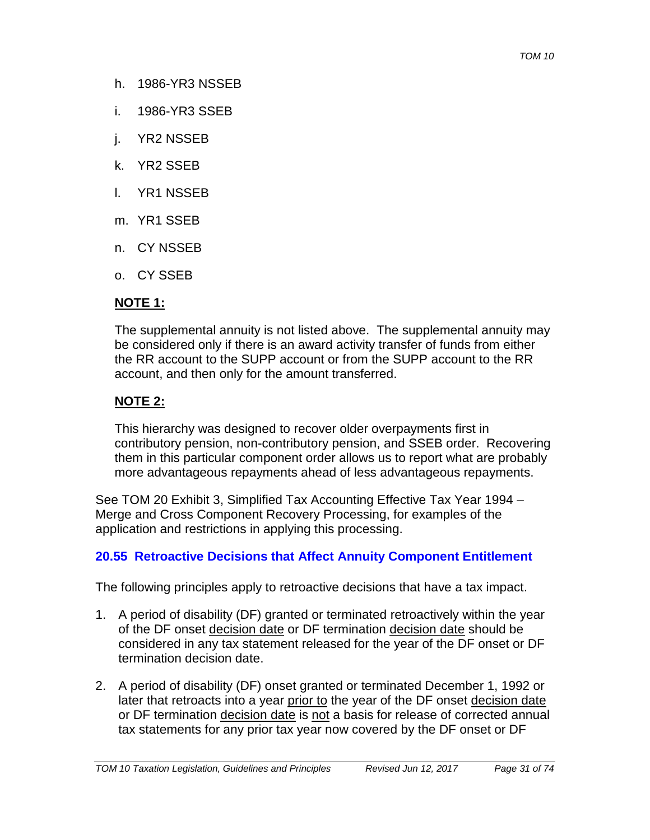- h. 1986-YR3 NSSEB
- i. 1986-YR3 SSEB
- j. YR2 NSSEB
- k. YR2 SSEB
- l. YR1 NSSEB
- m. YR1 SSEB
- n. CY NSSEB
- o. CY SSEB

#### **NOTE 1:**

The supplemental annuity is not listed above. The supplemental annuity may be considered only if there is an award activity transfer of funds from either the RR account to the SUPP account or from the SUPP account to the RR account, and then only for the amount transferred.

#### **NOTE 2:**

This hierarchy was designed to recover older overpayments first in contributory pension, non-contributory pension, and SSEB order. Recovering them in this particular component order allows us to report what are probably more advantageous repayments ahead of less advantageous repayments.

See TOM 20 Exhibit 3, Simplified Tax Accounting Effective Tax Year 1994 – Merge and Cross Component Recovery Processing, for examples of the application and restrictions in applying this processing.

#### **20.55 Retroactive Decisions that Affect Annuity Component Entitlement**

The following principles apply to retroactive decisions that have a tax impact.

- 1. A period of disability (DF) granted or terminated retroactively within the year of the DF onset decision date or DF termination decision date should be considered in any tax statement released for the year of the DF onset or DF termination decision date.
- 2. A period of disability (DF) onset granted or terminated December 1, 1992 or later that retroacts into a year prior to the year of the DF onset decision date or DF termination decision date is not a basis for release of corrected annual tax statements for any prior tax year now covered by the DF onset or DF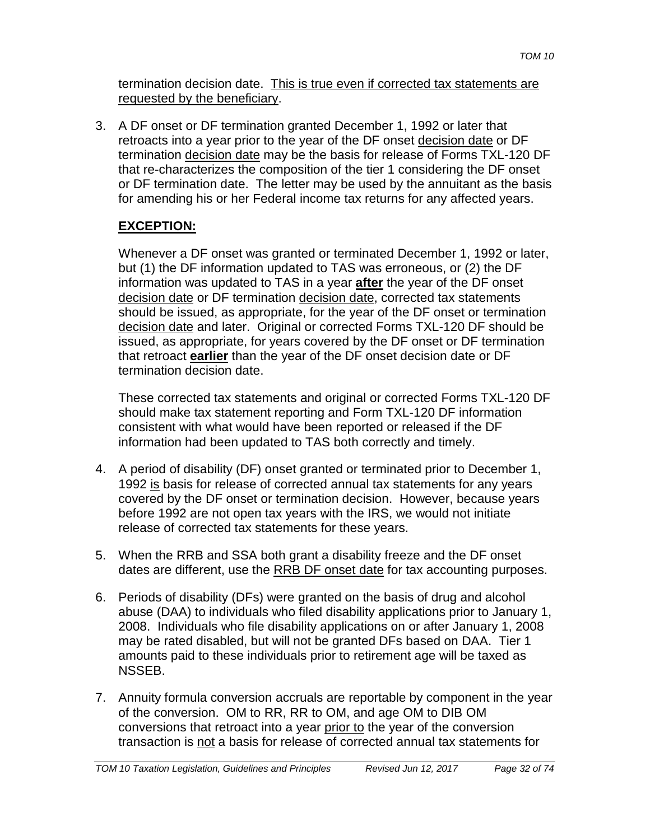termination decision date. This is true even if corrected tax statements are requested by the beneficiary.

3. A DF onset or DF termination granted December 1, 1992 or later that retroacts into a year prior to the year of the DF onset decision date or DF termination decision date may be the basis for release of Forms TXL-120 DF that re-characterizes the composition of the tier 1 considering the DF onset or DF termination date. The letter may be used by the annuitant as the basis for amending his or her Federal income tax returns for any affected years.

### **EXCEPTION:**

Whenever a DF onset was granted or terminated December 1, 1992 or later, but (1) the DF information updated to TAS was erroneous, or (2) the DF information was updated to TAS in a year **after** the year of the DF onset decision date or DF termination decision date, corrected tax statements should be issued, as appropriate, for the year of the DF onset or termination decision date and later. Original or corrected Forms TXL-120 DF should be issued, as appropriate, for years covered by the DF onset or DF termination that retroact **earlier** than the year of the DF onset decision date or DF termination decision date.

These corrected tax statements and original or corrected Forms TXL-120 DF should make tax statement reporting and Form TXL-120 DF information consistent with what would have been reported or released if the DF information had been updated to TAS both correctly and timely.

- 4. A period of disability (DF) onset granted or terminated prior to December 1, 1992 is basis for release of corrected annual tax statements for any years covered by the DF onset or termination decision. However, because years before 1992 are not open tax years with the IRS, we would not initiate release of corrected tax statements for these years.
- 5. When the RRB and SSA both grant a disability freeze and the DF onset dates are different, use the RRB DF onset date for tax accounting purposes.
- 6. Periods of disability (DFs) were granted on the basis of drug and alcohol abuse (DAA) to individuals who filed disability applications prior to January 1, 2008. Individuals who file disability applications on or after January 1, 2008 may be rated disabled, but will not be granted DFs based on DAA. Tier 1 amounts paid to these individuals prior to retirement age will be taxed as NSSEB.
- 7. Annuity formula conversion accruals are reportable by component in the year of the conversion. OM to RR, RR to OM, and age OM to DIB OM conversions that retroact into a year prior to the year of the conversion transaction is not a basis for release of corrected annual tax statements for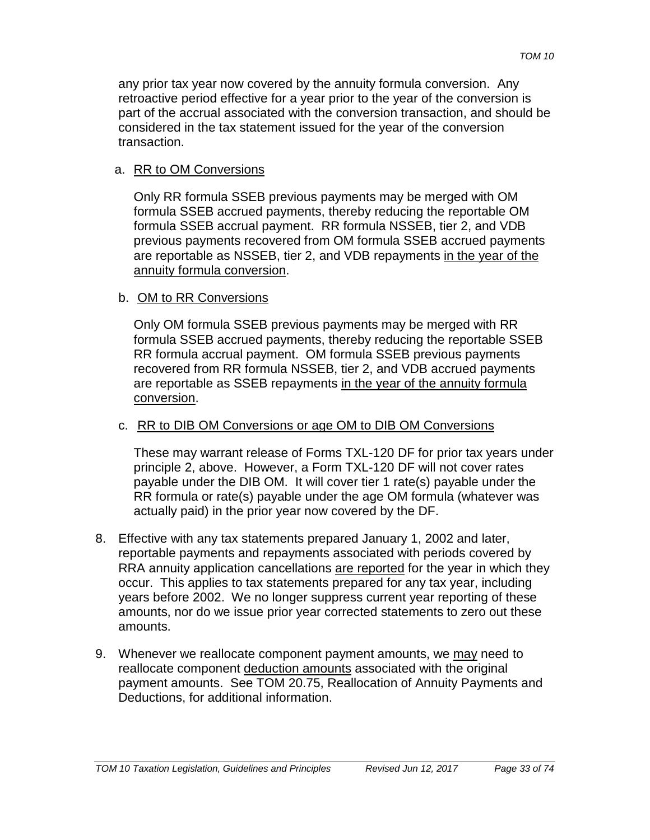any prior tax year now covered by the annuity formula conversion. Any retroactive period effective for a year prior to the year of the conversion is part of the accrual associated with the conversion transaction, and should be considered in the tax statement issued for the year of the conversion transaction.

#### a. RR to OM Conversions

Only RR formula SSEB previous payments may be merged with OM formula SSEB accrued payments, thereby reducing the reportable OM formula SSEB accrual payment. RR formula NSSEB, tier 2, and VDB previous payments recovered from OM formula SSEB accrued payments are reportable as NSSEB, tier 2, and VDB repayments in the year of the annuity formula conversion.

#### b. OM to RR Conversions

Only OM formula SSEB previous payments may be merged with RR formula SSEB accrued payments, thereby reducing the reportable SSEB RR formula accrual payment. OM formula SSEB previous payments recovered from RR formula NSSEB, tier 2, and VDB accrued payments are reportable as SSEB repayments in the year of the annuity formula conversion.

#### c. RR to DIB OM Conversions or age OM to DIB OM Conversions

These may warrant release of Forms TXL-120 DF for prior tax years under principle 2, above. However, a Form TXL-120 DF will not cover rates payable under the DIB OM. It will cover tier 1 rate(s) payable under the RR formula or rate(s) payable under the age OM formula (whatever was actually paid) in the prior year now covered by the DF.

- 8. Effective with any tax statements prepared January 1, 2002 and later, reportable payments and repayments associated with periods covered by RRA annuity application cancellations are reported for the year in which they occur. This applies to tax statements prepared for any tax year, including years before 2002. We no longer suppress current year reporting of these amounts, nor do we issue prior year corrected statements to zero out these amounts.
- 9. Whenever we reallocate component payment amounts, we may need to reallocate component deduction amounts associated with the original payment amounts. See TOM 20.75, Reallocation of Annuity Payments and Deductions, for additional information.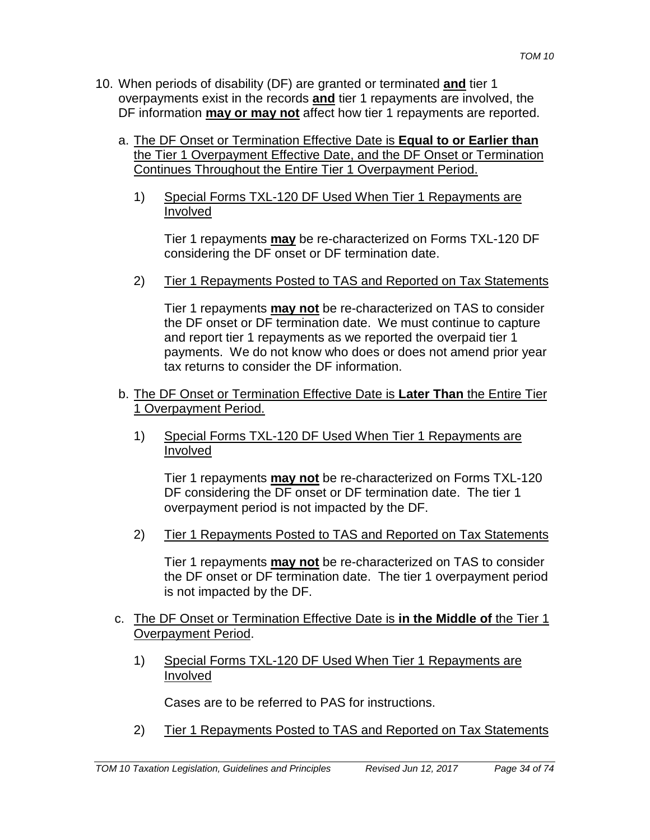- 10. When periods of disability (DF) are granted or terminated **and** tier 1 overpayments exist in the records **and** tier 1 repayments are involved, the DF information **may or may not** affect how tier 1 repayments are reported.
	- a. The DF Onset or Termination Effective Date is **Equal to or Earlier than** the Tier 1 Overpayment Effective Date, and the DF Onset or Termination Continues Throughout the Entire Tier 1 Overpayment Period.
		- 1) Special Forms TXL-120 DF Used When Tier 1 Repayments are Involved

Tier 1 repayments **may** be re-characterized on Forms TXL-120 DF considering the DF onset or DF termination date.

2) Tier 1 Repayments Posted to TAS and Reported on Tax Statements

Tier 1 repayments **may not** be re-characterized on TAS to consider the DF onset or DF termination date. We must continue to capture and report tier 1 repayments as we reported the overpaid tier 1 payments. We do not know who does or does not amend prior year tax returns to consider the DF information.

- b. The DF Onset or Termination Effective Date is **Later Than** the Entire Tier 1 Overpayment Period.
	- 1) Special Forms TXL-120 DF Used When Tier 1 Repayments are Involved

Tier 1 repayments **may not** be re-characterized on Forms TXL-120 DF considering the DF onset or DF termination date. The tier 1 overpayment period is not impacted by the DF.

2) Tier 1 Repayments Posted to TAS and Reported on Tax Statements

Tier 1 repayments **may not** be re-characterized on TAS to consider the DF onset or DF termination date. The tier 1 overpayment period is not impacted by the DF.

- c. The DF Onset or Termination Effective Date is **in the Middle of** the Tier 1 Overpayment Period.
	- 1) Special Forms TXL-120 DF Used When Tier 1 Repayments are Involved

Cases are to be referred to PAS for instructions.

2) Tier 1 Repayments Posted to TAS and Reported on Tax Statements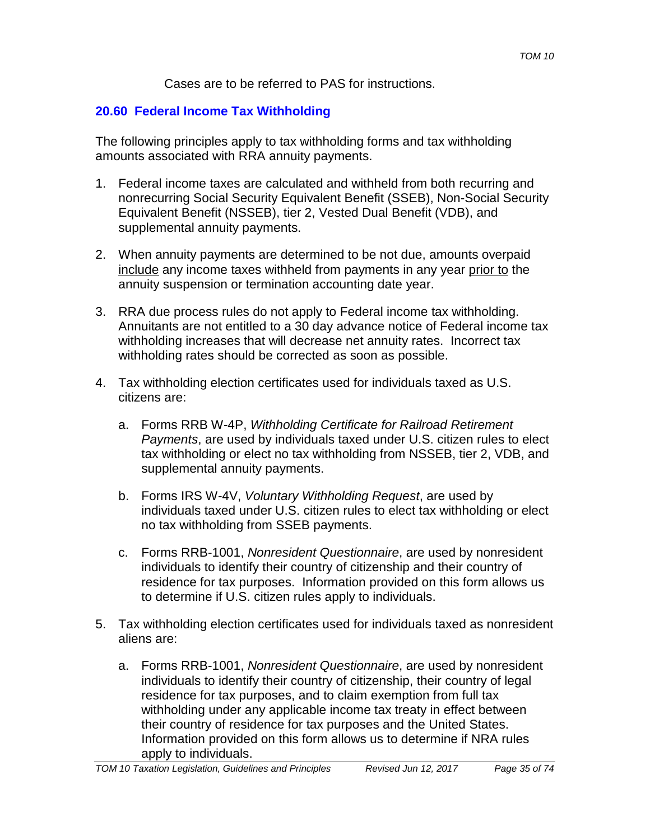Cases are to be referred to PAS for instructions.

### **20.60 Federal Income Tax Withholding**

The following principles apply to tax withholding forms and tax withholding amounts associated with RRA annuity payments.

- 1. Federal income taxes are calculated and withheld from both recurring and nonrecurring Social Security Equivalent Benefit (SSEB), Non-Social Security Equivalent Benefit (NSSEB), tier 2, Vested Dual Benefit (VDB), and supplemental annuity payments.
- 2. When annuity payments are determined to be not due, amounts overpaid include any income taxes withheld from payments in any year prior to the annuity suspension or termination accounting date year.
- 3. RRA due process rules do not apply to Federal income tax withholding. Annuitants are not entitled to a 30 day advance notice of Federal income tax withholding increases that will decrease net annuity rates. Incorrect tax withholding rates should be corrected as soon as possible.
- 4. Tax withholding election certificates used for individuals taxed as U.S. citizens are:
	- a. Forms RRB W-4P, *Withholding Certificate for Railroad Retirement Payments*, are used by individuals taxed under U.S. citizen rules to elect tax withholding or elect no tax withholding from NSSEB, tier 2, VDB, and supplemental annuity payments.
	- b. Forms IRS W-4V, *Voluntary Withholding Request*, are used by individuals taxed under U.S. citizen rules to elect tax withholding or elect no tax withholding from SSEB payments.
	- c. Forms RRB-1001, *Nonresident Questionnaire*, are used by nonresident individuals to identify their country of citizenship and their country of residence for tax purposes. Information provided on this form allows us to determine if U.S. citizen rules apply to individuals.
- 5. Tax withholding election certificates used for individuals taxed as nonresident aliens are:
	- a. Forms RRB-1001, *Nonresident Questionnaire*, are used by nonresident individuals to identify their country of citizenship, their country of legal residence for tax purposes, and to claim exemption from full tax withholding under any applicable income tax treaty in effect between their country of residence for tax purposes and the United States. Information provided on this form allows us to determine if NRA rules apply to individuals.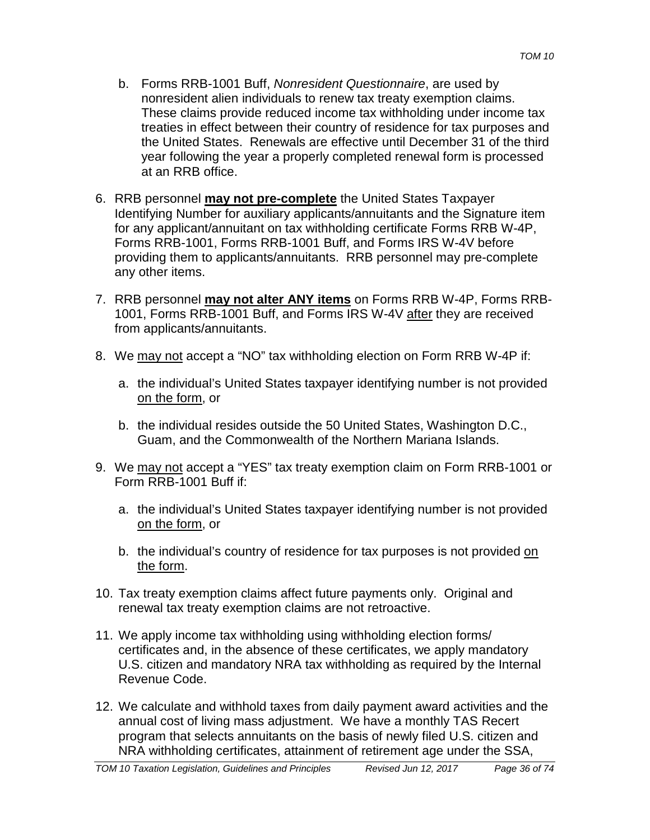- b. Forms RRB-1001 Buff, *Nonresident Questionnaire*, are used by nonresident alien individuals to renew tax treaty exemption claims. These claims provide reduced income tax withholding under income tax treaties in effect between their country of residence for tax purposes and the United States. Renewals are effective until December 31 of the third year following the year a properly completed renewal form is processed at an RRB office.
- 6. RRB personnel **may not pre-complete** the United States Taxpayer Identifying Number for auxiliary applicants/annuitants and the Signature item for any applicant/annuitant on tax withholding certificate Forms RRB W-4P, Forms RRB-1001, Forms RRB-1001 Buff, and Forms IRS W-4V before providing them to applicants/annuitants. RRB personnel may pre-complete any other items.
- 7. RRB personnel **may not alter ANY items** on Forms RRB W-4P, Forms RRB-1001, Forms RRB-1001 Buff, and Forms IRS W-4V after they are received from applicants/annuitants.
- 8. We may not accept a "NO" tax withholding election on Form RRB W-4P if:
	- a. the individual's United States taxpayer identifying number is not provided on the form, or
	- b. the individual resides outside the 50 United States, Washington D.C., Guam, and the Commonwealth of the Northern Mariana Islands.
- 9. We may not accept a "YES" tax treaty exemption claim on Form RRB-1001 or Form RRB-1001 Buff if:
	- a. the individual's United States taxpayer identifying number is not provided on the form, or
	- b. the individual's country of residence for tax purposes is not provided on the form.
- 10. Tax treaty exemption claims affect future payments only. Original and renewal tax treaty exemption claims are not retroactive.
- 11. We apply income tax withholding using withholding election forms/ certificates and, in the absence of these certificates, we apply mandatory U.S. citizen and mandatory NRA tax withholding as required by the Internal Revenue Code.
- 12. We calculate and withhold taxes from daily payment award activities and the annual cost of living mass adjustment. We have a monthly TAS Recert program that selects annuitants on the basis of newly filed U.S. citizen and NRA withholding certificates, attainment of retirement age under the SSA,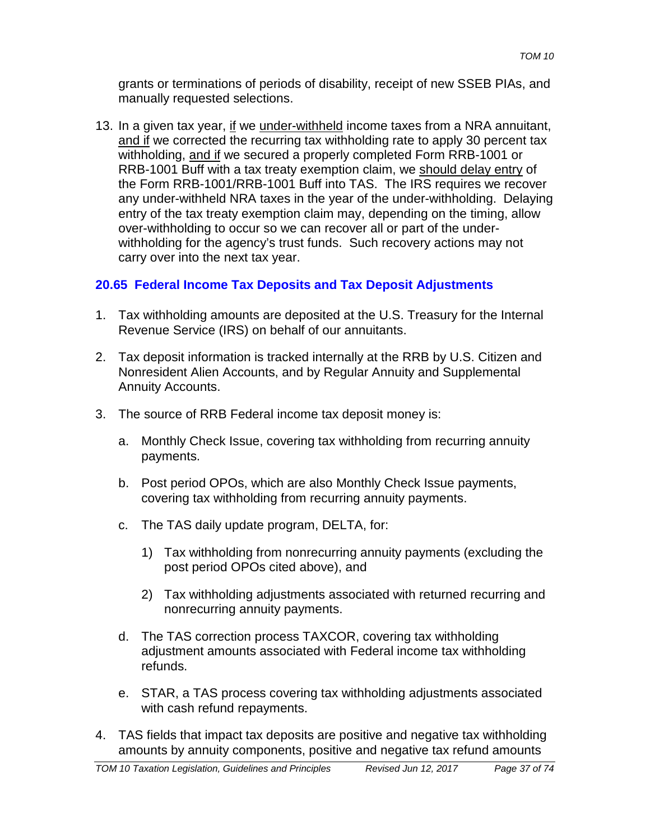grants or terminations of periods of disability, receipt of new SSEB PIAs, and manually requested selections.

13. In a given tax year, if we under-withheld income taxes from a NRA annuitant, and if we corrected the recurring tax withholding rate to apply 30 percent tax withholding, and if we secured a properly completed Form RRB-1001 or RRB-1001 Buff with a tax treaty exemption claim, we should delay entry of the Form RRB-1001/RRB-1001 Buff into TAS. The IRS requires we recover any under-withheld NRA taxes in the year of the under-withholding. Delaying entry of the tax treaty exemption claim may, depending on the timing, allow over-withholding to occur so we can recover all or part of the underwithholding for the agency's trust funds. Such recovery actions may not carry over into the next tax year.

# **20.65 Federal Income Tax Deposits and Tax Deposit Adjustments**

- 1. Tax withholding amounts are deposited at the U.S. Treasury for the Internal Revenue Service (IRS) on behalf of our annuitants.
- 2. Tax deposit information is tracked internally at the RRB by U.S. Citizen and Nonresident Alien Accounts, and by Regular Annuity and Supplemental Annuity Accounts.
- 3. The source of RRB Federal income tax deposit money is:
	- a. Monthly Check Issue, covering tax withholding from recurring annuity payments.
	- b. Post period OPOs, which are also Monthly Check Issue payments, covering tax withholding from recurring annuity payments.
	- c. The TAS daily update program, DELTA, for:
		- 1) Tax withholding from nonrecurring annuity payments (excluding the post period OPOs cited above), and
		- 2) Tax withholding adjustments associated with returned recurring and nonrecurring annuity payments.
	- d. The TAS correction process TAXCOR, covering tax withholding adjustment amounts associated with Federal income tax withholding refunds.
	- e. STAR, a TAS process covering tax withholding adjustments associated with cash refund repayments.
- 4. TAS fields that impact tax deposits are positive and negative tax withholding amounts by annuity components, positive and negative tax refund amounts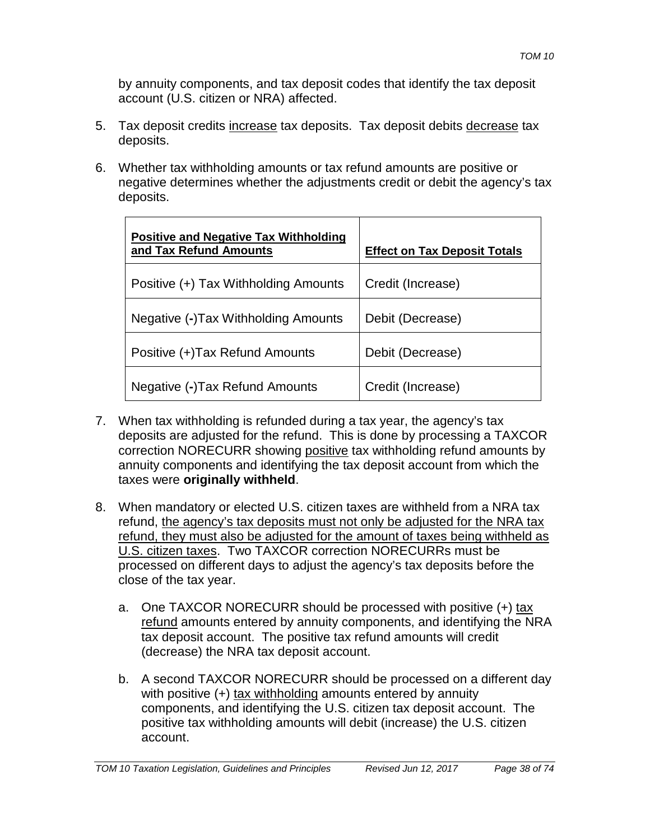by annuity components, and tax deposit codes that identify the tax deposit account (U.S. citizen or NRA) affected.

- 5. Tax deposit credits increase tax deposits. Tax deposit debits decrease tax deposits.
- 6. Whether tax withholding amounts or tax refund amounts are positive or negative determines whether the adjustments credit or debit the agency's tax deposits.

| <b>Positive and Negative Tax Withholding</b><br>and Tax Refund Amounts | <b>Effect on Tax Deposit Totals</b> |
|------------------------------------------------------------------------|-------------------------------------|
| Positive (+) Tax Withholding Amounts                                   | Credit (Increase)                   |
| Negative (-)Tax Withholding Amounts                                    | Debit (Decrease)                    |
| Positive (+)Tax Refund Amounts                                         | Debit (Decrease)                    |
| Negative (-)Tax Refund Amounts                                         | Credit (Increase)                   |

- 7. When tax withholding is refunded during a tax year, the agency's tax deposits are adjusted for the refund. This is done by processing a TAXCOR correction NORECURR showing positive tax withholding refund amounts by annuity components and identifying the tax deposit account from which the taxes were **originally withheld**.
- 8. When mandatory or elected U.S. citizen taxes are withheld from a NRA tax refund, the agency's tax deposits must not only be adjusted for the NRA tax refund, they must also be adjusted for the amount of taxes being withheld as U.S. citizen taxes. Two TAXCOR correction NORECURRs must be processed on different days to adjust the agency's tax deposits before the close of the tax year.
	- a. One TAXCOR NORECURR should be processed with positive (+) tax refund amounts entered by annuity components, and identifying the NRA tax deposit account. The positive tax refund amounts will credit (decrease) the NRA tax deposit account.
	- b. A second TAXCOR NORECURR should be processed on a different day with positive (+) tax withholding amounts entered by annuity components, and identifying the U.S. citizen tax deposit account. The positive tax withholding amounts will debit (increase) the U.S. citizen account.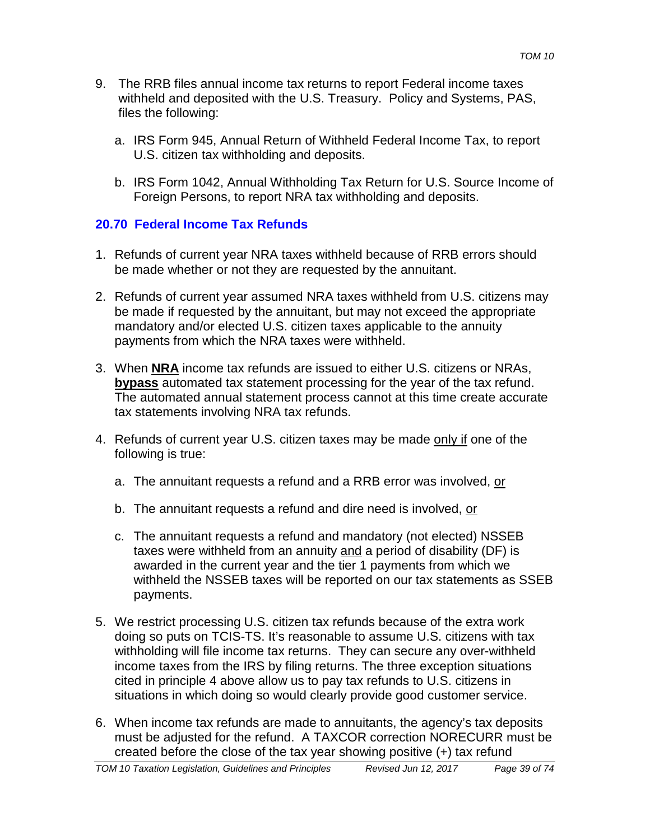- 9. The RRB files annual income tax returns to report Federal income taxes withheld and deposited with the U.S. Treasury. Policy and Systems, PAS, files the following:
	- a. IRS Form 945, Annual Return of Withheld Federal Income Tax, to report U.S. citizen tax withholding and deposits.
	- b. IRS Form 1042, Annual Withholding Tax Return for U.S. Source Income of Foreign Persons, to report NRA tax withholding and deposits.

### **20.70 Federal Income Tax Refunds**

- 1. Refunds of current year NRA taxes withheld because of RRB errors should be made whether or not they are requested by the annuitant.
- 2. Refunds of current year assumed NRA taxes withheld from U.S. citizens may be made if requested by the annuitant, but may not exceed the appropriate mandatory and/or elected U.S. citizen taxes applicable to the annuity payments from which the NRA taxes were withheld.
- 3. When **NRA** income tax refunds are issued to either U.S. citizens or NRAs, **bypass** automated tax statement processing for the year of the tax refund. The automated annual statement process cannot at this time create accurate tax statements involving NRA tax refunds.
- 4. Refunds of current year U.S. citizen taxes may be made only if one of the following is true:
	- a. The annuitant requests a refund and a RRB error was involved, or
	- b. The annuitant requests a refund and dire need is involved, or
	- c. The annuitant requests a refund and mandatory (not elected) NSSEB taxes were withheld from an annuity and a period of disability (DF) is awarded in the current year and the tier 1 payments from which we withheld the NSSEB taxes will be reported on our tax statements as SSEB payments.
- 5. We restrict processing U.S. citizen tax refunds because of the extra work doing so puts on TCIS-TS. It's reasonable to assume U.S. citizens with tax withholding will file income tax returns. They can secure any over-withheld income taxes from the IRS by filing returns. The three exception situations cited in principle 4 above allow us to pay tax refunds to U.S. citizens in situations in which doing so would clearly provide good customer service.
- 6. When income tax refunds are made to annuitants, the agency's tax deposits must be adjusted for the refund. A TAXCOR correction NORECURR must be created before the close of the tax year showing positive (+) tax refund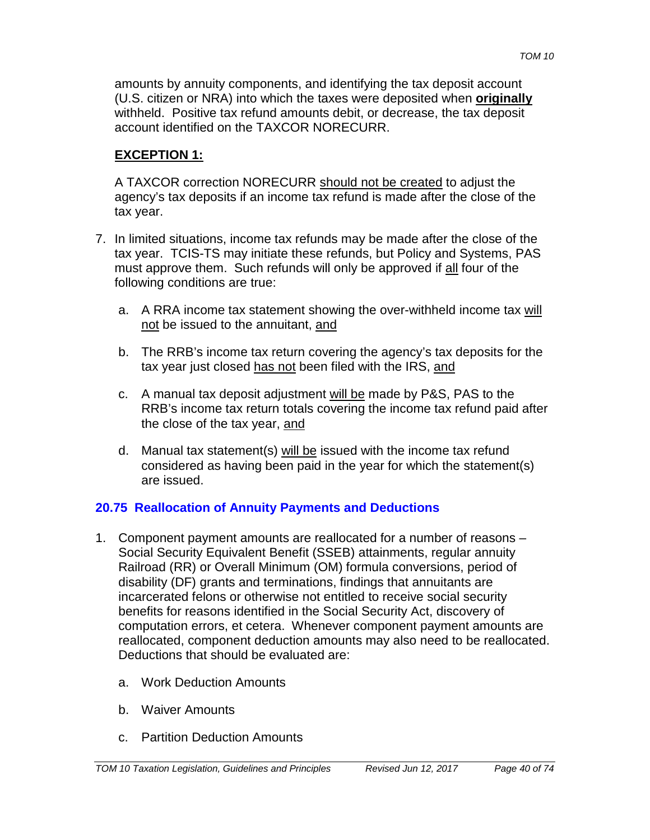amounts by annuity components, and identifying the tax deposit account (U.S. citizen or NRA) into which the taxes were deposited when **originally** withheld. Positive tax refund amounts debit, or decrease, the tax deposit account identified on the TAXCOR NORECURR.

### **EXCEPTION 1:**

A TAXCOR correction NORECURR should not be created to adjust the agency's tax deposits if an income tax refund is made after the close of the tax year.

- 7. In limited situations, income tax refunds may be made after the close of the tax year. TCIS-TS may initiate these refunds, but Policy and Systems, PAS must approve them. Such refunds will only be approved if all four of the following conditions are true:
	- a. A RRA income tax statement showing the over-withheld income tax will not be issued to the annuitant, and
	- b. The RRB's income tax return covering the agency's tax deposits for the tax year just closed has not been filed with the IRS, and
	- c. A manual tax deposit adjustment will be made by P&S, PAS to the RRB's income tax return totals covering the income tax refund paid after the close of the tax year, and
	- d. Manual tax statement(s) will be issued with the income tax refund considered as having been paid in the year for which the statement(s) are issued.

# **20.75 Reallocation of Annuity Payments and Deductions**

- 1. Component payment amounts are reallocated for a number of reasons Social Security Equivalent Benefit (SSEB) attainments, regular annuity Railroad (RR) or Overall Minimum (OM) formula conversions, period of disability (DF) grants and terminations, findings that annuitants are incarcerated felons or otherwise not entitled to receive social security benefits for reasons identified in the Social Security Act, discovery of computation errors, et cetera. Whenever component payment amounts are reallocated, component deduction amounts may also need to be reallocated. Deductions that should be evaluated are:
	- a. Work Deduction Amounts
	- b. Waiver Amounts
	- c. Partition Deduction Amounts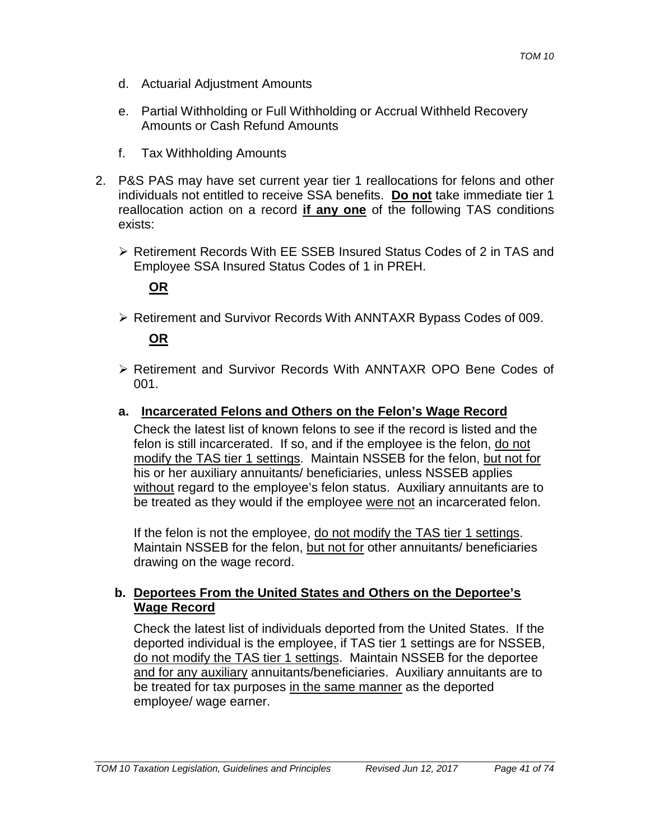- d. Actuarial Adjustment Amounts
- e. Partial Withholding or Full Withholding or Accrual Withheld Recovery Amounts or Cash Refund Amounts
- f. Tax Withholding Amounts
- 2. P&S PAS may have set current year tier 1 reallocations for felons and other individuals not entitled to receive SSA benefits. **Do not** take immediate tier 1 reallocation action on a record **if any one** of the following TAS conditions exists:
	- ▶ Retirement Records With EE SSEB Insured Status Codes of 2 in TAS and Employee SSA Insured Status Codes of 1 in PREH.

### **OR**

 $\triangleright$  Retirement and Survivor Records With ANNTAXR Bypass Codes of 009.

### **OR**

 Retirement and Survivor Records With ANNTAXR OPO Bene Codes of 001.

#### **a. Incarcerated Felons and Others on the Felon's Wage Record**

Check the latest list of known felons to see if the record is listed and the felon is still incarcerated. If so, and if the employee is the felon, do not modify the TAS tier 1 settings. Maintain NSSEB for the felon, but not for his or her auxiliary annuitants/ beneficiaries, unless NSSEB applies without regard to the employee's felon status. Auxiliary annuitants are to be treated as they would if the employee were not an incarcerated felon.

If the felon is not the employee, do not modify the TAS tier 1 settings. Maintain NSSEB for the felon, but not for other annuitants/ beneficiaries drawing on the wage record.

### **b. Deportees From the United States and Others on the Deportee's Wage Record**

Check the latest list of individuals deported from the United States. If the deported individual is the employee, if TAS tier 1 settings are for NSSEB, do not modify the TAS tier 1 settings. Maintain NSSEB for the deportee and for any auxiliary annuitants/beneficiaries. Auxiliary annuitants are to be treated for tax purposes in the same manner as the deported employee/ wage earner.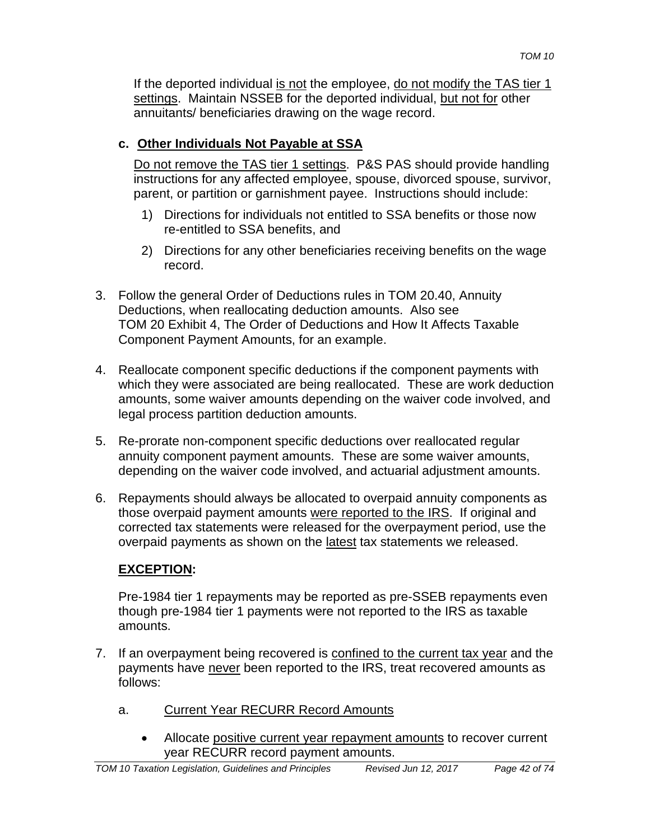If the deported individual is not the employee, do not modify the TAS tier 1 settings. Maintain NSSEB for the deported individual, but not for other annuitants/ beneficiaries drawing on the wage record.

# **c. Other Individuals Not Payable at SSA**

Do not remove the TAS tier 1 settings. P&S PAS should provide handling instructions for any affected employee, spouse, divorced spouse, survivor, parent, or partition or garnishment payee. Instructions should include:

- 1) Directions for individuals not entitled to SSA benefits or those now re-entitled to SSA benefits, and
- 2) Directions for any other beneficiaries receiving benefits on the wage record.
- 3. Follow the general Order of Deductions rules in TOM 20.40, Annuity Deductions, when reallocating deduction amounts. Also see TOM 20 Exhibit 4, The Order of Deductions and How It Affects Taxable Component Payment Amounts, for an example.
- 4. Reallocate component specific deductions if the component payments with which they were associated are being reallocated. These are work deduction amounts, some waiver amounts depending on the waiver code involved, and legal process partition deduction amounts.
- 5. Re-prorate non-component specific deductions over reallocated regular annuity component payment amounts. These are some waiver amounts, depending on the waiver code involved, and actuarial adjustment amounts.
- 6. Repayments should always be allocated to overpaid annuity components as those overpaid payment amounts were reported to the IRS. If original and corrected tax statements were released for the overpayment period, use the overpaid payments as shown on the latest tax statements we released.

# **EXCEPTION:**

Pre-1984 tier 1 repayments may be reported as pre-SSEB repayments even though pre-1984 tier 1 payments were not reported to the IRS as taxable amounts.

- 7. If an overpayment being recovered is confined to the current tax year and the payments have never been reported to the IRS, treat recovered amounts as follows:
	- a. Current Year RECURR Record Amounts
		- Allocate positive current year repayment amounts to recover current year RECURR record payment amounts.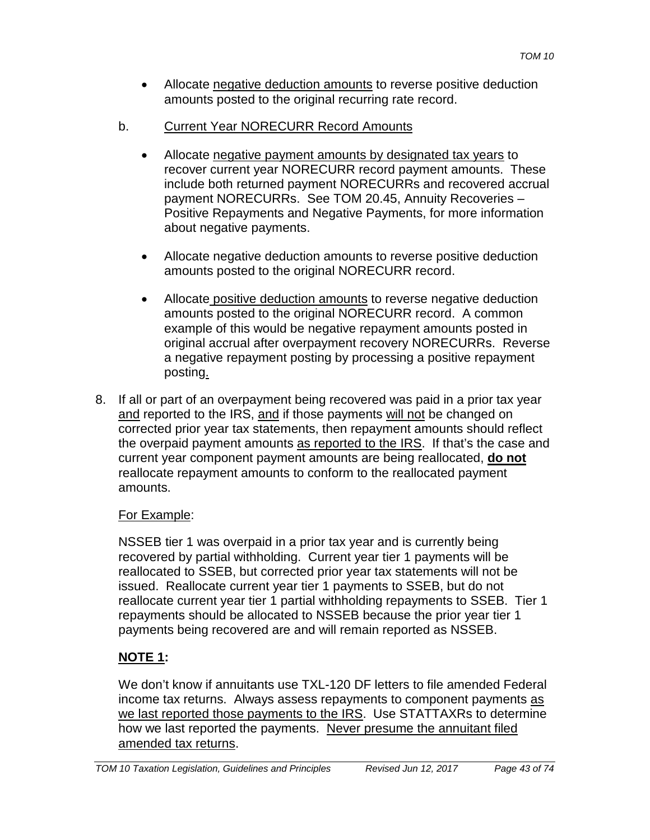- Allocate negative deduction amounts to reverse positive deduction amounts posted to the original recurring rate record.
- b. Current Year NORECURR Record Amounts
	- Allocate negative payment amounts by designated tax years to recover current year NORECURR record payment amounts. These include both returned payment NORECURRs and recovered accrual payment NORECURRs. See TOM 20.45, Annuity Recoveries – Positive Repayments and Negative Payments, for more information about negative payments.
	- Allocate negative deduction amounts to reverse positive deduction amounts posted to the original NORECURR record.
	- Allocate positive deduction amounts to reverse negative deduction amounts posted to the original NORECURR record. A common example of this would be negative repayment amounts posted in original accrual after overpayment recovery NORECURRs. Reverse a negative repayment posting by processing a positive repayment posting.
- 8. If all or part of an overpayment being recovered was paid in a prior tax year and reported to the IRS, and if those payments will not be changed on corrected prior year tax statements, then repayment amounts should reflect the overpaid payment amounts as reported to the IRS. If that's the case and current year component payment amounts are being reallocated, **do not** reallocate repayment amounts to conform to the reallocated payment amounts.

### For Example:

NSSEB tier 1 was overpaid in a prior tax year and is currently being recovered by partial withholding. Current year tier 1 payments will be reallocated to SSEB, but corrected prior year tax statements will not be issued. Reallocate current year tier 1 payments to SSEB, but do not reallocate current year tier 1 partial withholding repayments to SSEB. Tier 1 repayments should be allocated to NSSEB because the prior year tier 1 payments being recovered are and will remain reported as NSSEB.

# **NOTE 1:**

We don't know if annuitants use TXL-120 DF letters to file amended Federal income tax returns. Always assess repayments to component payments as we last reported those payments to the IRS. Use STATTAXRs to determine how we last reported the payments. Never presume the annuitant filed amended tax returns.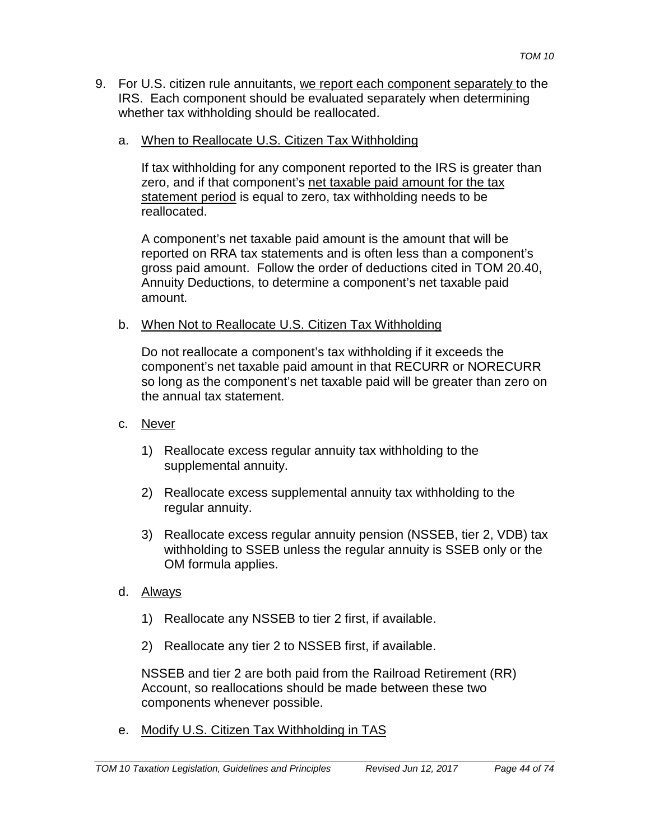- 9. For U.S. citizen rule annuitants, we report each component separately to the IRS. Each component should be evaluated separately when determining whether tax withholding should be reallocated.
	- a. When to Reallocate U.S. Citizen Tax Withholding

If tax withholding for any component reported to the IRS is greater than zero, and if that component's net taxable paid amount for the tax statement period is equal to zero, tax withholding needs to be reallocated.

A component's net taxable paid amount is the amount that will be reported on RRA tax statements and is often less than a component's gross paid amount. Follow the order of deductions cited in TOM 20.40, Annuity Deductions, to determine a component's net taxable paid amount.

b. When Not to Reallocate U.S. Citizen Tax Withholding

Do not reallocate a component's tax withholding if it exceeds the component's net taxable paid amount in that RECURR or NORECURR so long as the component's net taxable paid will be greater than zero on the annual tax statement.

- c. Never
	- 1) Reallocate excess regular annuity tax withholding to the supplemental annuity.
	- 2) Reallocate excess supplemental annuity tax withholding to the regular annuity.
	- 3) Reallocate excess regular annuity pension (NSSEB, tier 2, VDB) tax withholding to SSEB unless the regular annuity is SSEB only or the OM formula applies.
- d. Always
	- 1) Reallocate any NSSEB to tier 2 first, if available.
	- 2) Reallocate any tier 2 to NSSEB first, if available.

NSSEB and tier 2 are both paid from the Railroad Retirement (RR) Account, so reallocations should be made between these two components whenever possible.

e. Modify U.S. Citizen Tax Withholding in TAS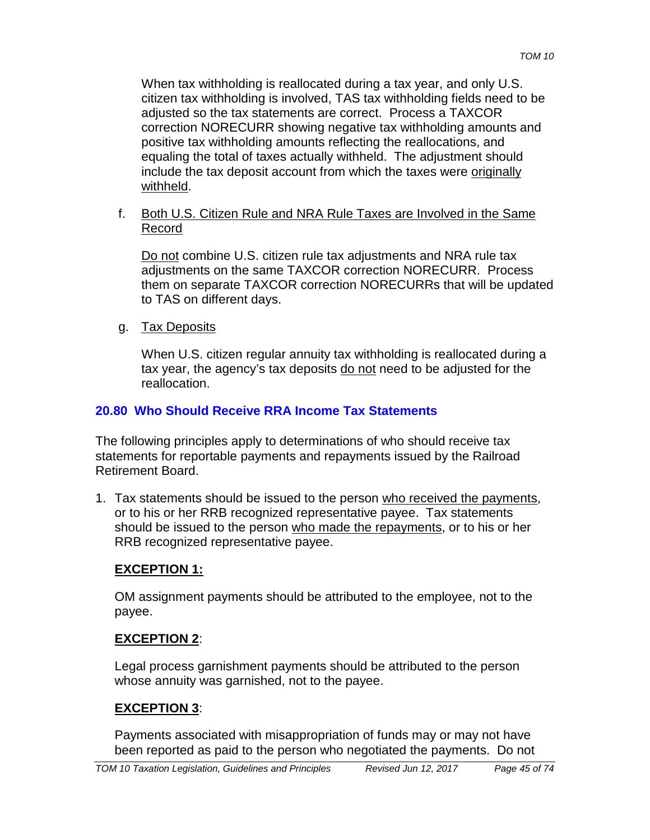When tax withholding is reallocated during a tax year, and only U.S. citizen tax withholding is involved, TAS tax withholding fields need to be adjusted so the tax statements are correct. Process a TAXCOR correction NORECURR showing negative tax withholding amounts and positive tax withholding amounts reflecting the reallocations, and equaling the total of taxes actually withheld. The adjustment should include the tax deposit account from which the taxes were originally withheld.

f. Both U.S. Citizen Rule and NRA Rule Taxes are Involved in the Same Record

Do not combine U.S. citizen rule tax adjustments and NRA rule tax adjustments on the same TAXCOR correction NORECURR. Process them on separate TAXCOR correction NORECURRs that will be updated to TAS on different days.

g. Tax Deposits

When U.S. citizen regular annuity tax withholding is reallocated during a tax year, the agency's tax deposits do not need to be adjusted for the reallocation.

### **20.80 Who Should Receive RRA Income Tax Statements**

The following principles apply to determinations of who should receive tax statements for reportable payments and repayments issued by the Railroad Retirement Board.

1. Tax statements should be issued to the person who received the payments, or to his or her RRB recognized representative payee. Tax statements should be issued to the person who made the repayments, or to his or her RRB recognized representative payee.

# **EXCEPTION 1:**

OM assignment payments should be attributed to the employee, not to the payee.

# **EXCEPTION 2**:

Legal process garnishment payments should be attributed to the person whose annuity was garnished, not to the payee.

# **EXCEPTION 3**:

Payments associated with misappropriation of funds may or may not have been reported as paid to the person who negotiated the payments. Do not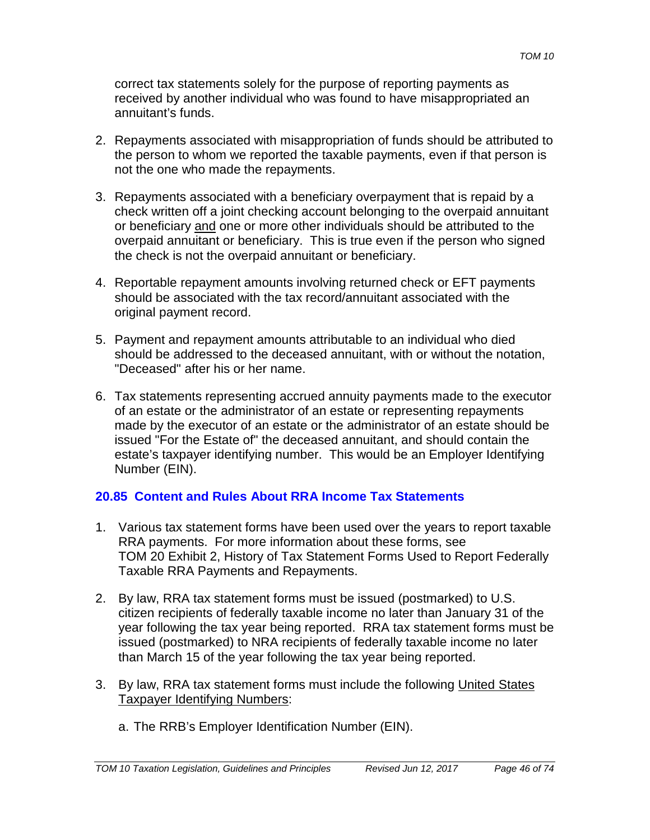correct tax statements solely for the purpose of reporting payments as received by another individual who was found to have misappropriated an annuitant's funds.

- 2. Repayments associated with misappropriation of funds should be attributed to the person to whom we reported the taxable payments, even if that person is not the one who made the repayments.
- 3. Repayments associated with a beneficiary overpayment that is repaid by a check written off a joint checking account belonging to the overpaid annuitant or beneficiary and one or more other individuals should be attributed to the overpaid annuitant or beneficiary. This is true even if the person who signed the check is not the overpaid annuitant or beneficiary.
- 4. Reportable repayment amounts involving returned check or EFT payments should be associated with the tax record/annuitant associated with the original payment record.
- 5. Payment and repayment amounts attributable to an individual who died should be addressed to the deceased annuitant, with or without the notation, "Deceased" after his or her name.
- 6. Tax statements representing accrued annuity payments made to the executor of an estate or the administrator of an estate or representing repayments made by the executor of an estate or the administrator of an estate should be issued "For the Estate of" the deceased annuitant, and should contain the estate's taxpayer identifying number. This would be an Employer Identifying Number (EIN).

# **20.85 Content and Rules About RRA Income Tax Statements**

- 1. Various tax statement forms have been used over the years to report taxable RRA payments. For more information about these forms, see TOM 20 Exhibit 2, History of Tax Statement Forms Used to Report Federally Taxable RRA Payments and Repayments.
- 2. By law, RRA tax statement forms must be issued (postmarked) to U.S. citizen recipients of federally taxable income no later than January 31 of the year following the tax year being reported. RRA tax statement forms must be issued (postmarked) to NRA recipients of federally taxable income no later than March 15 of the year following the tax year being reported.
- 3. By law, RRA tax statement forms must include the following United States Taxpayer Identifying Numbers:
	- a. The RRB's Employer Identification Number (EIN).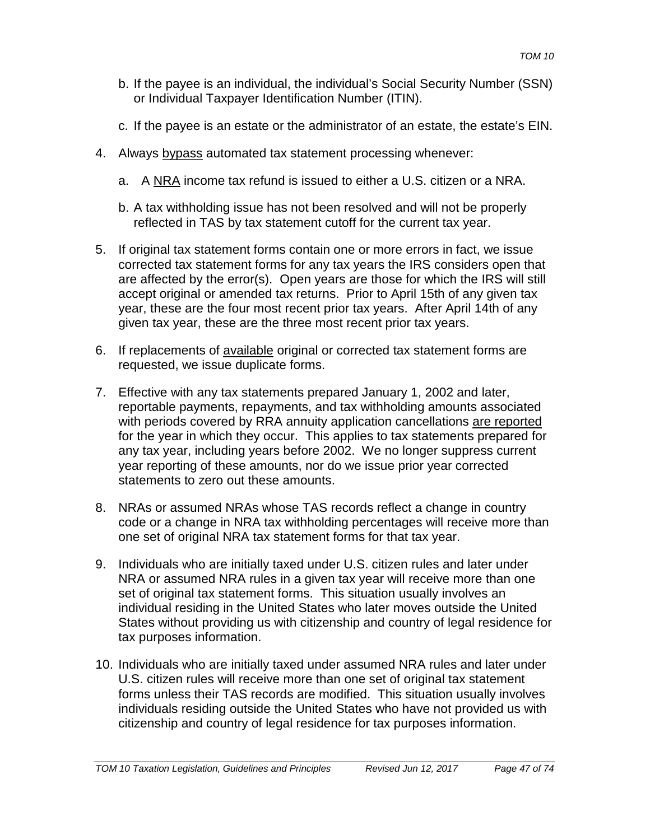- b. If the payee is an individual, the individual's Social Security Number (SSN) or Individual Taxpayer Identification Number (ITIN).
- c. If the payee is an estate or the administrator of an estate, the estate's EIN.
- 4. Always bypass automated tax statement processing whenever:
	- a. A NRA income tax refund is issued to either a U.S. citizen or a NRA.
	- b. A tax withholding issue has not been resolved and will not be properly reflected in TAS by tax statement cutoff for the current tax year.
- 5. If original tax statement forms contain one or more errors in fact, we issue corrected tax statement forms for any tax years the IRS considers open that are affected by the error(s). Open years are those for which the IRS will still accept original or amended tax returns. Prior to April 15th of any given tax year, these are the four most recent prior tax years. After April 14th of any given tax year, these are the three most recent prior tax years.
- 6. If replacements of available original or corrected tax statement forms are requested, we issue duplicate forms.
- 7. Effective with any tax statements prepared January 1, 2002 and later, reportable payments, repayments, and tax withholding amounts associated with periods covered by RRA annuity application cancellations are reported for the year in which they occur. This applies to tax statements prepared for any tax year, including years before 2002. We no longer suppress current year reporting of these amounts, nor do we issue prior year corrected statements to zero out these amounts.
- 8. NRAs or assumed NRAs whose TAS records reflect a change in country code or a change in NRA tax withholding percentages will receive more than one set of original NRA tax statement forms for that tax year.
- 9. Individuals who are initially taxed under U.S. citizen rules and later under NRA or assumed NRA rules in a given tax year will receive more than one set of original tax statement forms. This situation usually involves an individual residing in the United States who later moves outside the United States without providing us with citizenship and country of legal residence for tax purposes information.
- 10. Individuals who are initially taxed under assumed NRA rules and later under U.S. citizen rules will receive more than one set of original tax statement forms unless their TAS records are modified. This situation usually involves individuals residing outside the United States who have not provided us with citizenship and country of legal residence for tax purposes information.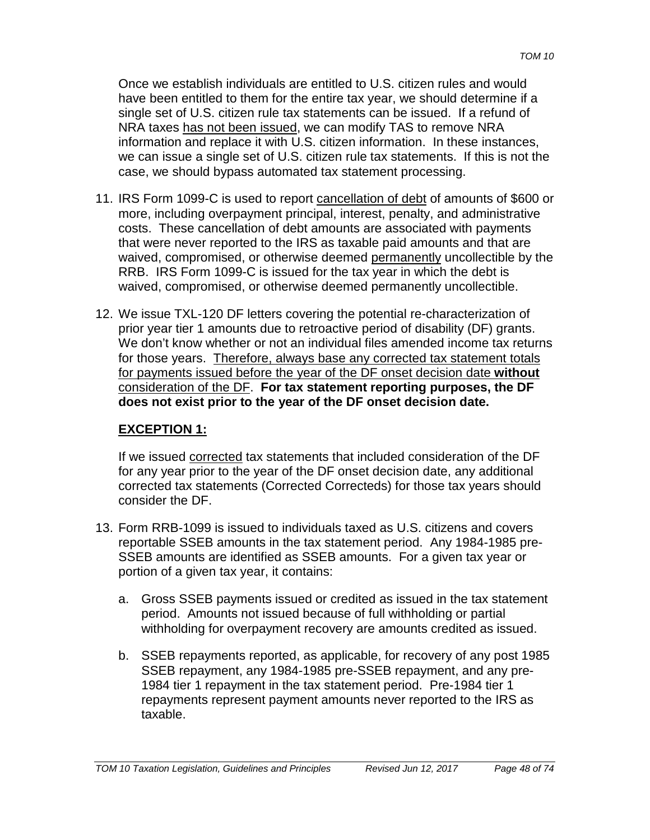Once we establish individuals are entitled to U.S. citizen rules and would have been entitled to them for the entire tax year, we should determine if a single set of U.S. citizen rule tax statements can be issued. If a refund of NRA taxes has not been issued, we can modify TAS to remove NRA information and replace it with U.S. citizen information. In these instances, we can issue a single set of U.S. citizen rule tax statements. If this is not the case, we should bypass automated tax statement processing.

- 11. IRS Form 1099-C is used to report cancellation of debt of amounts of \$600 or more, including overpayment principal, interest, penalty, and administrative costs. These cancellation of debt amounts are associated with payments that were never reported to the IRS as taxable paid amounts and that are waived, compromised, or otherwise deemed permanently uncollectible by the RRB. IRS Form 1099-C is issued for the tax year in which the debt is waived, compromised, or otherwise deemed permanently uncollectible.
- 12. We issue TXL-120 DF letters covering the potential re-characterization of prior year tier 1 amounts due to retroactive period of disability (DF) grants. We don't know whether or not an individual files amended income tax returns for those years. Therefore, always base any corrected tax statement totals for payments issued before the year of the DF onset decision date **without** consideration of the DF. **For tax statement reporting purposes, the DF does not exist prior to the year of the DF onset decision date.**

# **EXCEPTION 1:**

If we issued corrected tax statements that included consideration of the DF for any year prior to the year of the DF onset decision date, any additional corrected tax statements (Corrected Correcteds) for those tax years should consider the DF.

- 13. Form RRB-1099 is issued to individuals taxed as U.S. citizens and covers reportable SSEB amounts in the tax statement period. Any 1984-1985 pre-SSEB amounts are identified as SSEB amounts. For a given tax year or portion of a given tax year, it contains:
	- a. Gross SSEB payments issued or credited as issued in the tax statement period. Amounts not issued because of full withholding or partial withholding for overpayment recovery are amounts credited as issued.
	- b. SSEB repayments reported, as applicable, for recovery of any post 1985 SSEB repayment, any 1984-1985 pre-SSEB repayment, and any pre-1984 tier 1 repayment in the tax statement period. Pre-1984 tier 1 repayments represent payment amounts never reported to the IRS as taxable.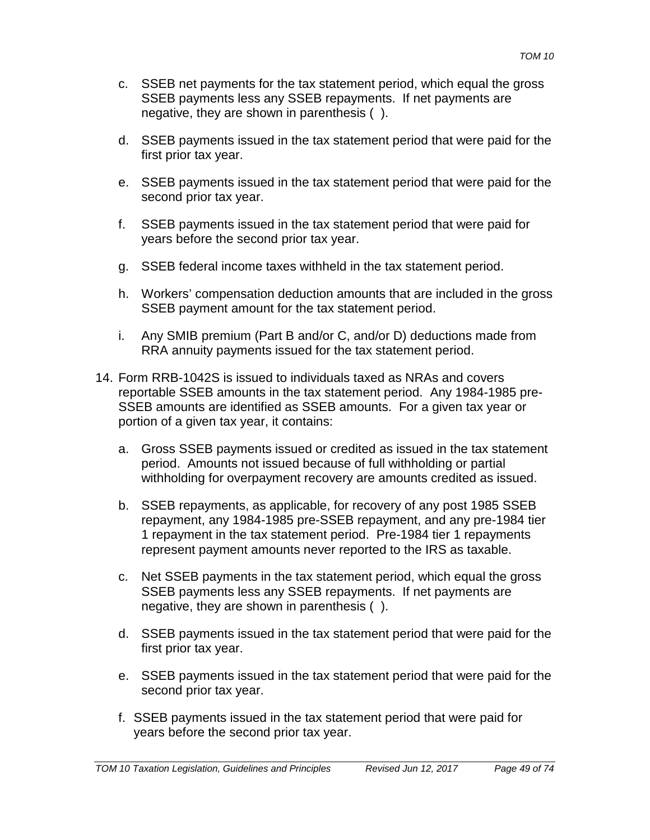- c. SSEB net payments for the tax statement period, which equal the gross SSEB payments less any SSEB repayments. If net payments are negative, they are shown in parenthesis ( ).
- d. SSEB payments issued in the tax statement period that were paid for the first prior tax year.
- e. SSEB payments issued in the tax statement period that were paid for the second prior tax year.
- f. SSEB payments issued in the tax statement period that were paid for years before the second prior tax year.
- g. SSEB federal income taxes withheld in the tax statement period.
- h. Workers' compensation deduction amounts that are included in the gross SSEB payment amount for the tax statement period.
- i. Any SMIB premium (Part B and/or C, and/or D) deductions made from RRA annuity payments issued for the tax statement period.
- 14. Form RRB-1042S is issued to individuals taxed as NRAs and covers reportable SSEB amounts in the tax statement period. Any 1984-1985 pre-SSEB amounts are identified as SSEB amounts. For a given tax year or portion of a given tax year, it contains:
	- a. Gross SSEB payments issued or credited as issued in the tax statement period. Amounts not issued because of full withholding or partial withholding for overpayment recovery are amounts credited as issued.
	- b. SSEB repayments, as applicable, for recovery of any post 1985 SSEB repayment, any 1984-1985 pre-SSEB repayment, and any pre-1984 tier 1 repayment in the tax statement period. Pre-1984 tier 1 repayments represent payment amounts never reported to the IRS as taxable.
	- c. Net SSEB payments in the tax statement period, which equal the gross SSEB payments less any SSEB repayments. If net payments are negative, they are shown in parenthesis ( ).
	- d. SSEB payments issued in the tax statement period that were paid for the first prior tax year.
	- e. SSEB payments issued in the tax statement period that were paid for the second prior tax year.
	- f. SSEB payments issued in the tax statement period that were paid for years before the second prior tax year.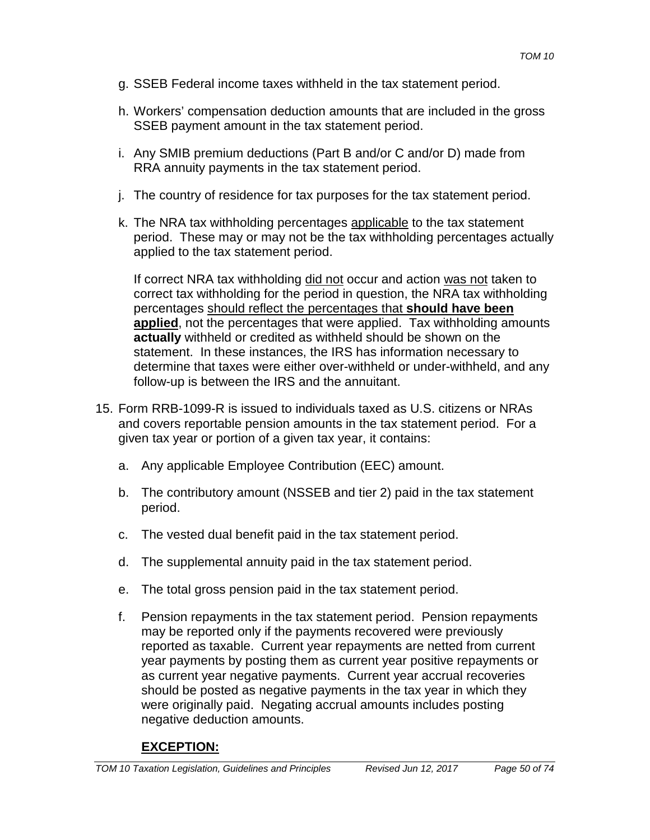- g. SSEB Federal income taxes withheld in the tax statement period.
- h. Workers' compensation deduction amounts that are included in the gross SSEB payment amount in the tax statement period.
- i. Any SMIB premium deductions (Part B and/or C and/or D) made from RRA annuity payments in the tax statement period.
- j. The country of residence for tax purposes for the tax statement period.
- k. The NRA tax withholding percentages applicable to the tax statement period. These may or may not be the tax withholding percentages actually applied to the tax statement period.

If correct NRA tax withholding did not occur and action was not taken to correct tax withholding for the period in question, the NRA tax withholding percentages should reflect the percentages that **should have been applied**, not the percentages that were applied. Tax withholding amounts **actually** withheld or credited as withheld should be shown on the statement. In these instances, the IRS has information necessary to determine that taxes were either over-withheld or under-withheld, and any follow-up is between the IRS and the annuitant.

- 15. Form RRB-1099-R is issued to individuals taxed as U.S. citizens or NRAs and covers reportable pension amounts in the tax statement period. For a given tax year or portion of a given tax year, it contains:
	- a. Any applicable Employee Contribution (EEC) amount.
	- b. The contributory amount (NSSEB and tier 2) paid in the tax statement period.
	- c. The vested dual benefit paid in the tax statement period.
	- d. The supplemental annuity paid in the tax statement period.
	- e. The total gross pension paid in the tax statement period.
	- f. Pension repayments in the tax statement period. Pension repayments may be reported only if the payments recovered were previously reported as taxable. Current year repayments are netted from current year payments by posting them as current year positive repayments or as current year negative payments. Current year accrual recoveries should be posted as negative payments in the tax year in which they were originally paid. Negating accrual amounts includes posting negative deduction amounts.

# **EXCEPTION:**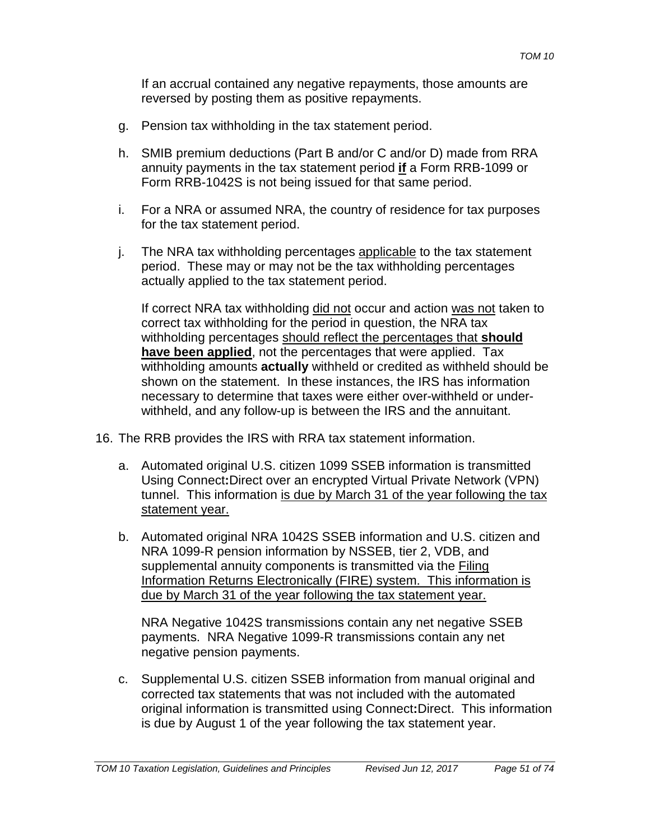If an accrual contained any negative repayments, those amounts are reversed by posting them as positive repayments.

- g. Pension tax withholding in the tax statement period.
- h. SMIB premium deductions (Part B and/or C and/or D) made from RRA annuity payments in the tax statement period **if** a Form RRB-1099 or Form RRB-1042S is not being issued for that same period.
- i. For a NRA or assumed NRA, the country of residence for tax purposes for the tax statement period.
- j. The NRA tax withholding percentages applicable to the tax statement period. These may or may not be the tax withholding percentages actually applied to the tax statement period.

If correct NRA tax withholding did not occur and action was not taken to correct tax withholding for the period in question, the NRA tax withholding percentages should reflect the percentages that **should have been applied**, not the percentages that were applied. Tax withholding amounts **actually** withheld or credited as withheld should be shown on the statement. In these instances, the IRS has information necessary to determine that taxes were either over-withheld or underwithheld, and any follow-up is between the IRS and the annuitant.

- 16. The RRB provides the IRS with RRA tax statement information.
	- a. Automated original U.S. citizen 1099 SSEB information is transmitted Using Connect**:**Direct over an encrypted Virtual Private Network (VPN) tunnel. This information is due by March 31 of the year following the tax statement year.
	- b. Automated original NRA 1042S SSEB information and U.S. citizen and NRA 1099-R pension information by NSSEB, tier 2, VDB, and supplemental annuity components is transmitted via the Filing Information Returns Electronically (FIRE) system. This information is due by March 31 of the year following the tax statement year.

NRA Negative 1042S transmissions contain any net negative SSEB payments. NRA Negative 1099-R transmissions contain any net negative pension payments.

c. Supplemental U.S. citizen SSEB information from manual original and corrected tax statements that was not included with the automated original information is transmitted using Connect**:**Direct. This information is due by August 1 of the year following the tax statement year.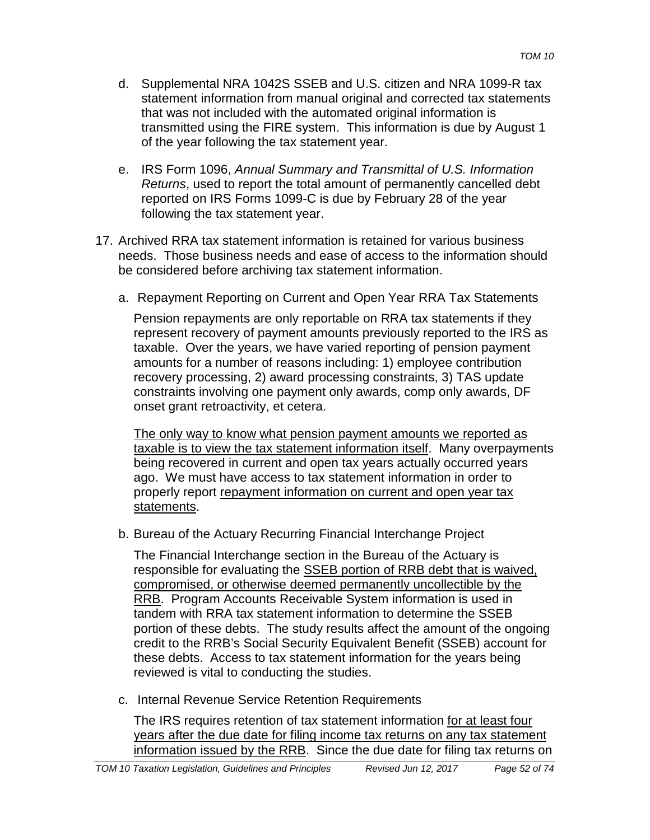- d. Supplemental NRA 1042S SSEB and U.S. citizen and NRA 1099-R tax statement information from manual original and corrected tax statements that was not included with the automated original information is transmitted using the FIRE system. This information is due by August 1 of the year following the tax statement year.
- e. IRS Form 1096, *Annual Summary and Transmittal of U.S. Information Returns*, used to report the total amount of permanently cancelled debt reported on IRS Forms 1099-C is due by February 28 of the year following the tax statement year.
- 17. Archived RRA tax statement information is retained for various business needs. Those business needs and ease of access to the information should be considered before archiving tax statement information.
	- a. Repayment Reporting on Current and Open Year RRA Tax Statements

Pension repayments are only reportable on RRA tax statements if they represent recovery of payment amounts previously reported to the IRS as taxable. Over the years, we have varied reporting of pension payment amounts for a number of reasons including: 1) employee contribution recovery processing, 2) award processing constraints, 3) TAS update constraints involving one payment only awards, comp only awards, DF onset grant retroactivity, et cetera.

The only way to know what pension payment amounts we reported as taxable is to view the tax statement information itself. Many overpayments being recovered in current and open tax years actually occurred years ago. We must have access to tax statement information in order to properly report repayment information on current and open year tax statements.

b. Bureau of the Actuary Recurring Financial Interchange Project

The Financial Interchange section in the Bureau of the Actuary is responsible for evaluating the SSEB portion of RRB debt that is waived, compromised, or otherwise deemed permanently uncollectible by the RRB. Program Accounts Receivable System information is used in tandem with RRA tax statement information to determine the SSEB portion of these debts. The study results affect the amount of the ongoing credit to the RRB's Social Security Equivalent Benefit (SSEB) account for these debts. Access to tax statement information for the years being reviewed is vital to conducting the studies.

c. Internal Revenue Service Retention Requirements

The IRS requires retention of tax statement information for at least four years after the due date for filing income tax returns on any tax statement information issued by the RRB. Since the due date for filing tax returns on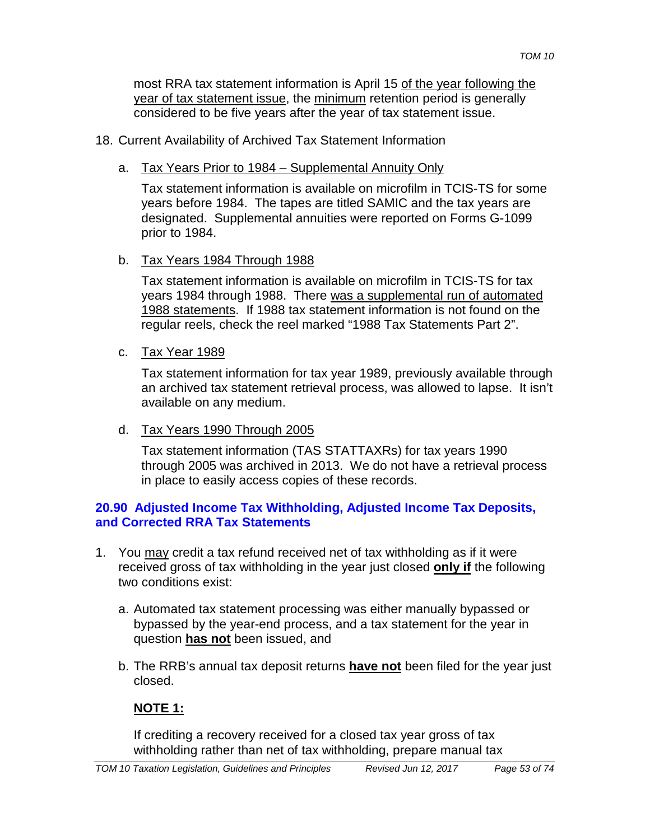most RRA tax statement information is April 15 of the year following the year of tax statement issue, the minimum retention period is generally considered to be five years after the year of tax statement issue.

- 18. Current Availability of Archived Tax Statement Information
	- a. Tax Years Prior to 1984 Supplemental Annuity Only

Tax statement information is available on microfilm in TCIS-TS for some years before 1984. The tapes are titled SAMIC and the tax years are designated. Supplemental annuities were reported on Forms G-1099 prior to 1984.

b. Tax Years 1984 Through 1988

Tax statement information is available on microfilm in TCIS-TS for tax years 1984 through 1988. There was a supplemental run of automated 1988 statements. If 1988 tax statement information is not found on the regular reels, check the reel marked "1988 Tax Statements Part 2".

c. Tax Year 1989

Tax statement information for tax year 1989, previously available through an archived tax statement retrieval process, was allowed to lapse. It isn't available on any medium.

d. Tax Years 1990 Through 2005

Tax statement information (TAS STATTAXRs) for tax years 1990 through 2005 was archived in 2013. We do not have a retrieval process in place to easily access copies of these records.

### **20.90 Adjusted Income Tax Withholding, Adjusted Income Tax Deposits, and Corrected RRA Tax Statements**

- 1. You may credit a tax refund received net of tax withholding as if it were received gross of tax withholding in the year just closed **only if** the following two conditions exist:
	- a. Automated tax statement processing was either manually bypassed or bypassed by the year-end process, and a tax statement for the year in question **has not** been issued, and
	- b. The RRB's annual tax deposit returns **have not** been filed for the year just closed.

# **NOTE 1:**

If crediting a recovery received for a closed tax year gross of tax withholding rather than net of tax withholding, prepare manual tax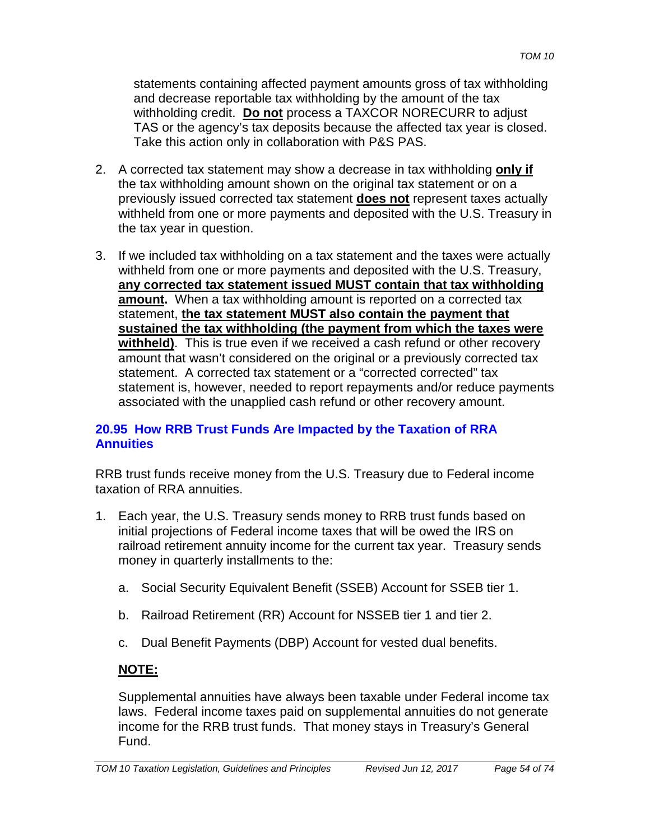statements containing affected payment amounts gross of tax withholding and decrease reportable tax withholding by the amount of the tax withholding credit. **Do not** process a TAXCOR NORECURR to adjust TAS or the agency's tax deposits because the affected tax year is closed. Take this action only in collaboration with P&S PAS.

- 2. A corrected tax statement may show a decrease in tax withholding **only if** the tax withholding amount shown on the original tax statement or on a previously issued corrected tax statement **does not** represent taxes actually withheld from one or more payments and deposited with the U.S. Treasury in the tax year in question.
- 3. If we included tax withholding on a tax statement and the taxes were actually withheld from one or more payments and deposited with the U.S. Treasury, **any corrected tax statement issued MUST contain that tax withholding amount.** When a tax withholding amount is reported on a corrected tax statement, **the tax statement MUST also contain the payment that sustained the tax withholding (the payment from which the taxes were withheld)**. This is true even if we received a cash refund or other recovery amount that wasn't considered on the original or a previously corrected tax statement. A corrected tax statement or a "corrected corrected" tax statement is, however, needed to report repayments and/or reduce payments associated with the unapplied cash refund or other recovery amount.

# **20.95 How RRB Trust Funds Are Impacted by the Taxation of RRA Annuities**

RRB trust funds receive money from the U.S. Treasury due to Federal income taxation of RRA annuities.

- 1. Each year, the U.S. Treasury sends money to RRB trust funds based on initial projections of Federal income taxes that will be owed the IRS on railroad retirement annuity income for the current tax year. Treasury sends money in quarterly installments to the:
	- a. Social Security Equivalent Benefit (SSEB) Account for SSEB tier 1.
	- b. Railroad Retirement (RR) Account for NSSEB tier 1 and tier 2.
	- c. Dual Benefit Payments (DBP) Account for vested dual benefits.

# **NOTE:**

Supplemental annuities have always been taxable under Federal income tax laws. Federal income taxes paid on supplemental annuities do not generate income for the RRB trust funds. That money stays in Treasury's General Fund.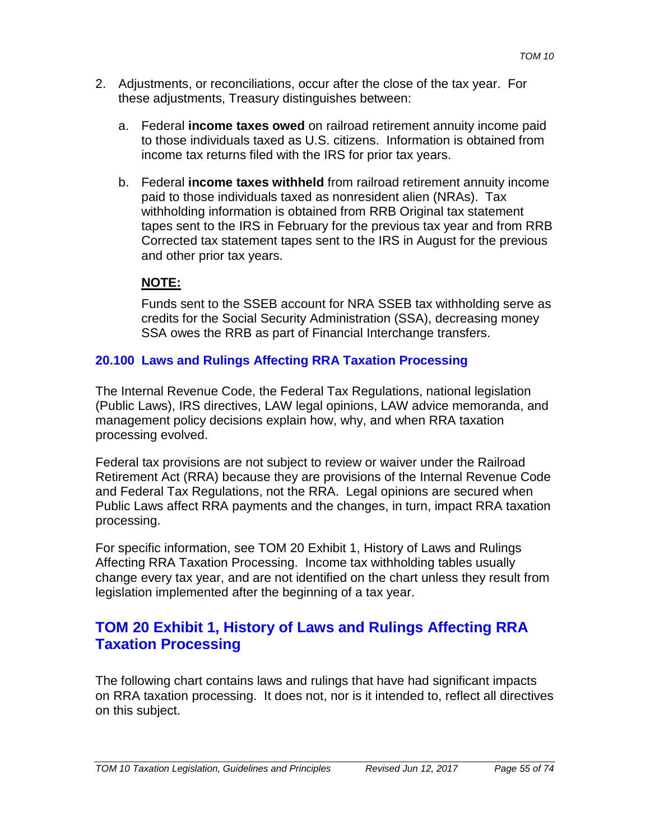- 2. Adjustments, or reconciliations, occur after the close of the tax year. For these adjustments, Treasury distinguishes between:
	- a. Federal **income taxes owed** on railroad retirement annuity income paid to those individuals taxed as U.S. citizens. Information is obtained from income tax returns filed with the IRS for prior tax years.
	- b. Federal **income taxes withheld** from railroad retirement annuity income paid to those individuals taxed as nonresident alien (NRAs). Tax withholding information is obtained from RRB Original tax statement tapes sent to the IRS in February for the previous tax year and from RRB Corrected tax statement tapes sent to the IRS in August for the previous and other prior tax years.

# **NOTE:**

Funds sent to the SSEB account for NRA SSEB tax withholding serve as credits for the Social Security Administration (SSA), decreasing money SSA owes the RRB as part of Financial Interchange transfers.

# **20.100 Laws and Rulings Affecting RRA Taxation Processing**

The Internal Revenue Code, the Federal Tax Regulations, national legislation (Public Laws), IRS directives, LAW legal opinions, LAW advice memoranda, and management policy decisions explain how, why, and when RRA taxation processing evolved.

Federal tax provisions are not subject to review or waiver under the Railroad Retirement Act (RRA) because they are provisions of the Internal Revenue Code and Federal Tax Regulations, not the RRA. Legal opinions are secured when Public Laws affect RRA payments and the changes, in turn, impact RRA taxation processing.

For specific information, see TOM 20 Exhibit 1, History of Laws and Rulings Affecting RRA Taxation Processing. Income tax withholding tables usually change every tax year, and are not identified on the chart unless they result from legislation implemented after the beginning of a tax year.

# **TOM 20 Exhibit 1, History of Laws and Rulings Affecting RRA Taxation Processing**

The following chart contains laws and rulings that have had significant impacts on RRA taxation processing. It does not, nor is it intended to, reflect all directives on this subject.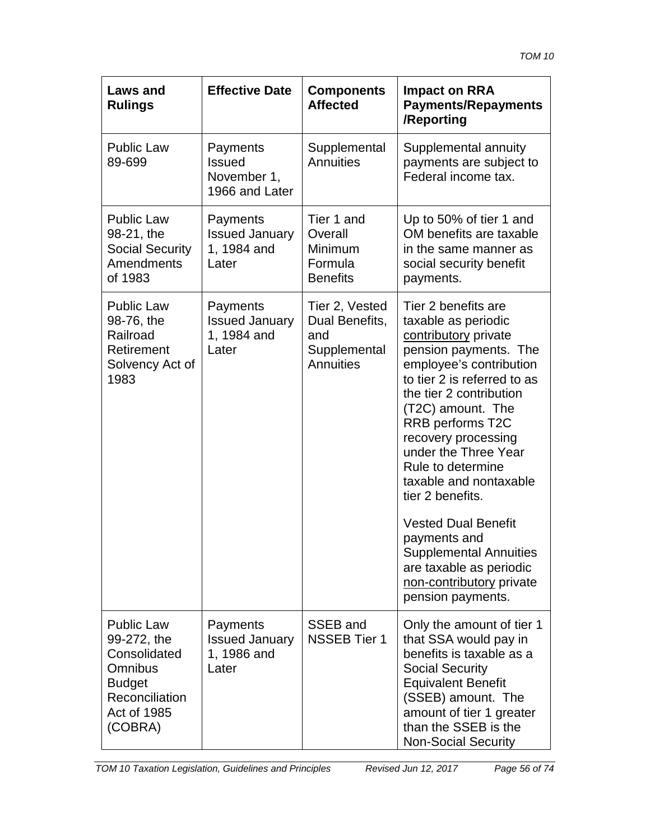| Laws and<br><b>Rulings</b>                                                                                               | <b>Effective Date</b>                                      | <b>Components</b><br><b>Affected</b>                                        | <b>Impact on RRA</b><br><b>Payments/Repayments</b><br>/Reporting                                                                                                                                                                                                                                                                                                                                                                                                                                       |
|--------------------------------------------------------------------------------------------------------------------------|------------------------------------------------------------|-----------------------------------------------------------------------------|--------------------------------------------------------------------------------------------------------------------------------------------------------------------------------------------------------------------------------------------------------------------------------------------------------------------------------------------------------------------------------------------------------------------------------------------------------------------------------------------------------|
| <b>Public Law</b><br>89-699                                                                                              | Payments<br><b>Issued</b><br>November 1,<br>1966 and Later | Supplemental<br><b>Annuities</b>                                            | Supplemental annuity<br>payments are subject to<br>Federal income tax.                                                                                                                                                                                                                                                                                                                                                                                                                                 |
| <b>Public Law</b><br>98-21, the<br><b>Social Security</b><br>Amendments<br>of 1983                                       | Payments<br><b>Issued January</b><br>1, 1984 and<br>Later  | Tier 1 and<br>Overall<br>Minimum<br>Formula<br><b>Benefits</b>              | Up to 50% of tier 1 and<br>OM benefits are taxable<br>in the same manner as<br>social security benefit<br>payments.                                                                                                                                                                                                                                                                                                                                                                                    |
| <b>Public Law</b><br>98-76, the<br>Railroad<br>Retirement<br>Solvency Act of<br>1983                                     | Payments<br><b>Issued January</b><br>1, 1984 and<br>Later  | Tier 2, Vested<br>Dual Benefits,<br>and<br>Supplemental<br><b>Annuities</b> | Tier 2 benefits are<br>taxable as periodic<br>contributory private<br>pension payments. The<br>employee's contribution<br>to tier 2 is referred to as<br>the tier 2 contribution<br>(T2C) amount. The<br>RRB performs T2C<br>recovery processing<br>under the Three Year<br>Rule to determine<br>taxable and nontaxable<br>tier 2 benefits.<br><b>Vested Dual Benefit</b><br>payments and<br><b>Supplemental Annuities</b><br>are taxable as periodic<br>non-contributory private<br>pension payments. |
| <b>Public Law</b><br>99-272, the<br>Consolidated<br>Omnibus<br><b>Budget</b><br>Reconciliation<br>Act of 1985<br>(COBRA) | Payments<br><b>Issued January</b><br>1, 1986 and<br>Later  | SSEB and<br><b>NSSEB Tier 1</b>                                             | Only the amount of tier 1<br>that SSA would pay in<br>benefits is taxable as a<br><b>Social Security</b><br><b>Equivalent Benefit</b><br>(SSEB) amount. The<br>amount of tier 1 greater<br>than the SSEB is the<br><b>Non-Social Security</b>                                                                                                                                                                                                                                                          |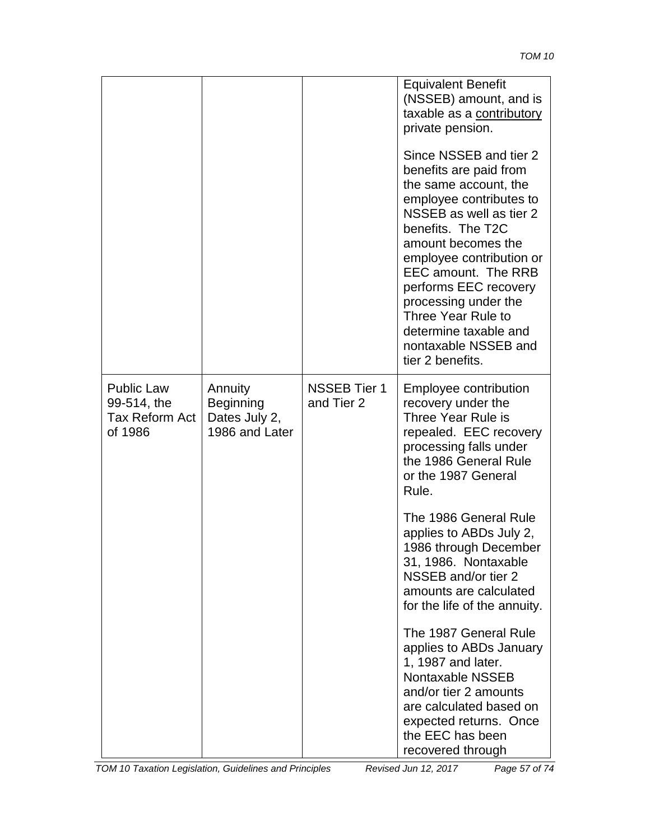|                                                               |                                                                |                                   | <b>Equivalent Benefit</b><br>(NSSEB) amount, and is<br>taxable as a contributory<br>private pension.<br>Since NSSEB and tier 2<br>benefits are paid from<br>the same account, the<br>employee contributes to<br>NSSEB as well as tier 2<br>benefits. The T2C<br>amount becomes the<br>employee contribution or<br>EEC amount. The RRB<br>performs EEC recovery<br>processing under the<br>Three Year Rule to<br>determine taxable and<br>nontaxable NSSEB and<br>tier 2 benefits. |
|---------------------------------------------------------------|----------------------------------------------------------------|-----------------------------------|-----------------------------------------------------------------------------------------------------------------------------------------------------------------------------------------------------------------------------------------------------------------------------------------------------------------------------------------------------------------------------------------------------------------------------------------------------------------------------------|
| <b>Public Law</b><br>99-514, the<br>Tax Reform Act<br>of 1986 | Annuity<br><b>Beginning</b><br>Dates July 2,<br>1986 and Later | <b>NSSEB Tier 1</b><br>and Tier 2 | Employee contribution<br>recovery under the<br>Three Year Rule is<br>repealed. EEC recovery<br>processing falls under<br>the 1986 General Rule<br>or the 1987 General<br>Rule.                                                                                                                                                                                                                                                                                                    |
|                                                               |                                                                |                                   | The 1986 General Rule<br>applies to ABDs July 2,<br>1986 through December<br>31, 1986. Nontaxable<br>NSSEB and/or tier 2<br>amounts are calculated<br>for the life of the annuity.                                                                                                                                                                                                                                                                                                |
|                                                               |                                                                |                                   | The 1987 General Rule<br>applies to ABDs January<br>1, 1987 and later.<br>Nontaxable NSSEB<br>and/or tier 2 amounts<br>are calculated based on<br>expected returns. Once<br>the EEC has been<br>recovered through                                                                                                                                                                                                                                                                 |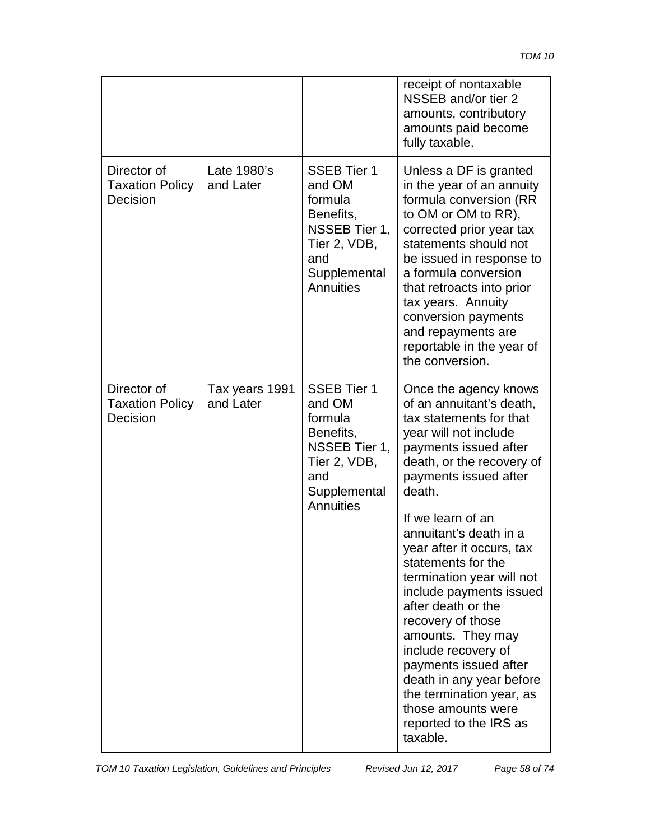|                                                   |                             |                                                                                                                           | receipt of nontaxable<br>NSSEB and/or tier 2<br>amounts, contributory<br>amounts paid become<br>fully taxable.                                                                                                                                                                                                                                                                                                                                                                                                                                                                               |
|---------------------------------------------------|-----------------------------|---------------------------------------------------------------------------------------------------------------------------|----------------------------------------------------------------------------------------------------------------------------------------------------------------------------------------------------------------------------------------------------------------------------------------------------------------------------------------------------------------------------------------------------------------------------------------------------------------------------------------------------------------------------------------------------------------------------------------------|
| Director of<br><b>Taxation Policy</b><br>Decision | Late 1980's<br>and Later    | <b>SSEB Tier 1</b><br>and OM<br>formula<br>Benefits,<br>NSSEB Tier 1,<br>Tier 2, VDB,<br>and<br>Supplemental<br>Annuities | Unless a DF is granted<br>in the year of an annuity<br>formula conversion (RR<br>to OM or OM to RR),<br>corrected prior year tax<br>statements should not<br>be issued in response to<br>a formula conversion<br>that retroacts into prior<br>tax years. Annuity<br>conversion payments<br>and repayments are<br>reportable in the year of<br>the conversion.                                                                                                                                                                                                                                |
| Director of<br><b>Taxation Policy</b><br>Decision | Tax years 1991<br>and Later | <b>SSEB Tier 1</b><br>and OM<br>formula<br>Benefits,<br>NSSEB Tier 1,<br>Tier 2, VDB,<br>and<br>Supplemental<br>Annuities | Once the agency knows<br>of an annuitant's death,<br>tax statements for that<br>year will not include<br>payments issued after<br>death, or the recovery of<br>payments issued after<br>death.<br>If we learn of an<br>annuitant's death in a<br>year after it occurs, tax<br>statements for the<br>termination year will not<br>include payments issued<br>after death or the<br>recovery of those<br>amounts. They may<br>include recovery of<br>payments issued after<br>death in any year before<br>the termination year, as<br>those amounts were<br>reported to the IRS as<br>taxable. |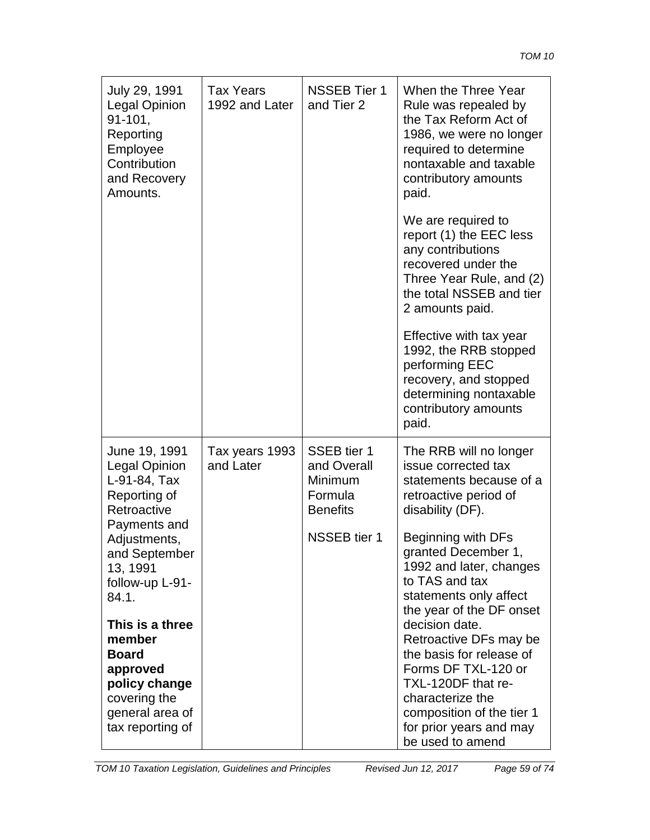| July 29, 1991<br><b>Legal Opinion</b><br>$91 - 101,$<br>Reporting<br>Employee<br>Contribution<br>and Recovery<br>Amounts.     | <b>Tax Years</b><br>1992 and Later | <b>NSSEB Tier 1</b><br>and Tier 2                                   | When the Three Year<br>Rule was repealed by<br>the Tax Reform Act of<br>1986, we were no longer<br>required to determine<br>nontaxable and taxable<br>contributory amounts<br>paid.                                                           |
|-------------------------------------------------------------------------------------------------------------------------------|------------------------------------|---------------------------------------------------------------------|-----------------------------------------------------------------------------------------------------------------------------------------------------------------------------------------------------------------------------------------------|
|                                                                                                                               |                                    |                                                                     | We are required to<br>report (1) the EEC less<br>any contributions<br>recovered under the<br>Three Year Rule, and (2)<br>the total NSSEB and tier<br>2 amounts paid.                                                                          |
|                                                                                                                               |                                    |                                                                     | Effective with tax year<br>1992, the RRB stopped<br>performing EEC<br>recovery, and stopped<br>determining nontaxable<br>contributory amounts<br>paid.                                                                                        |
| June 19, 1991<br><b>Legal Opinion</b><br>L-91-84, Tax<br>Reporting of<br>Retroactive                                          | Tax years 1993<br>and Later        | SSEB tier 1<br>and Overall<br>Minimum<br>Formula<br><b>Benefits</b> | The RRB will no longer<br>issue corrected tax<br>statements because of a<br>retroactive period of<br>disability (DF).                                                                                                                         |
| Payments and<br>Adjustments,<br>and September<br>13, 1991<br>follow-up L-91-<br>84.1.                                         |                                    | <b>NSSEB</b> tier 1                                                 | Beginning with DFs<br>granted December 1,<br>1992 and later, changes<br>to TAS and tax<br>statements only affect                                                                                                                              |
| This is a three<br>member<br><b>Board</b><br>approved<br>policy change<br>covering the<br>general area of<br>tax reporting of |                                    |                                                                     | the year of the DF onset<br>decision date.<br>Retroactive DFs may be<br>the basis for release of<br>Forms DF TXL-120 or<br>TXL-120DF that re-<br>characterize the<br>composition of the tier 1<br>for prior years and may<br>be used to amend |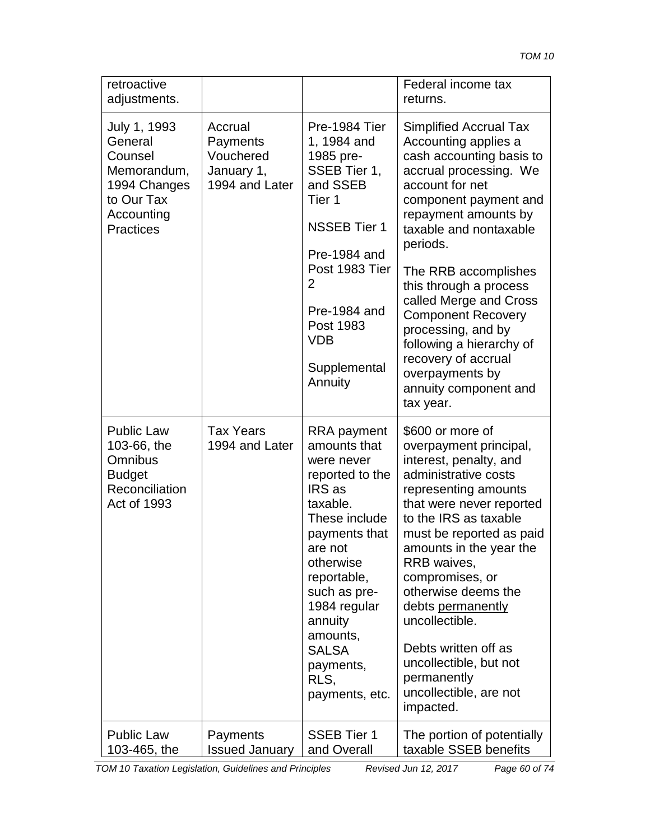| retroactive<br>adjustments.                                                                                       |                                                                  |                                                                                                                                                                                                                                                                                  | Federal income tax<br>returns.                                                                                                                                                                                                                                                                                                                                                                                                                                   |
|-------------------------------------------------------------------------------------------------------------------|------------------------------------------------------------------|----------------------------------------------------------------------------------------------------------------------------------------------------------------------------------------------------------------------------------------------------------------------------------|------------------------------------------------------------------------------------------------------------------------------------------------------------------------------------------------------------------------------------------------------------------------------------------------------------------------------------------------------------------------------------------------------------------------------------------------------------------|
| July 1, 1993<br>General<br>Counsel<br>Memorandum,<br>1994 Changes<br>to Our Tax<br>Accounting<br><b>Practices</b> | Accrual<br>Payments<br>Vouchered<br>January 1,<br>1994 and Later | Pre-1984 Tier<br>1, 1984 and<br>1985 pre-<br>SSEB Tier 1,<br>and SSEB<br>Tier 1<br><b>NSSEB Tier 1</b><br>Pre-1984 and<br>Post 1983 Tier<br>$\overline{2}$<br>Pre-1984 and<br>Post 1983<br><b>VDB</b><br>Supplemental<br>Annuity                                                 | <b>Simplified Accrual Tax</b><br>Accounting applies a<br>cash accounting basis to<br>accrual processing. We<br>account for net<br>component payment and<br>repayment amounts by<br>taxable and nontaxable<br>periods.<br>The RRB accomplishes<br>this through a process<br>called Merge and Cross<br><b>Component Recovery</b><br>processing, and by<br>following a hierarchy of<br>recovery of accrual<br>overpayments by<br>annuity component and<br>tax year. |
| <b>Public Law</b><br>103-66, the<br>Omnibus<br><b>Budget</b><br>Reconciliation<br>Act of 1993                     | <b>Tax Years</b><br>1994 and Later                               | <b>RRA</b> payment<br>amounts that<br>were never<br>reported to the<br>IRS as<br>taxable.<br>These include<br>payments that<br>are not<br>otherwise<br>reportable,<br>such as pre-<br>1984 regular<br>annuity<br>amounts,<br><b>SALSA</b><br>payments,<br>RLS,<br>payments, etc. | \$600 or more of<br>overpayment principal,<br>interest, penalty, and<br>administrative costs<br>representing amounts<br>that were never reported<br>to the IRS as taxable<br>must be reported as paid<br>amounts in the year the<br>RRB waives,<br>compromises, or<br>otherwise deems the<br>debts permanently<br>uncollectible.<br>Debts written off as<br>uncollectible, but not<br>permanently<br>uncollectible, are not<br>impacted.                         |
| <b>Public Law</b><br>103-465, the                                                                                 | Payments<br><b>Issued January</b>                                | <b>SSEB Tier 1</b><br>and Overall                                                                                                                                                                                                                                                | The portion of potentially<br>taxable SSEB benefits                                                                                                                                                                                                                                                                                                                                                                                                              |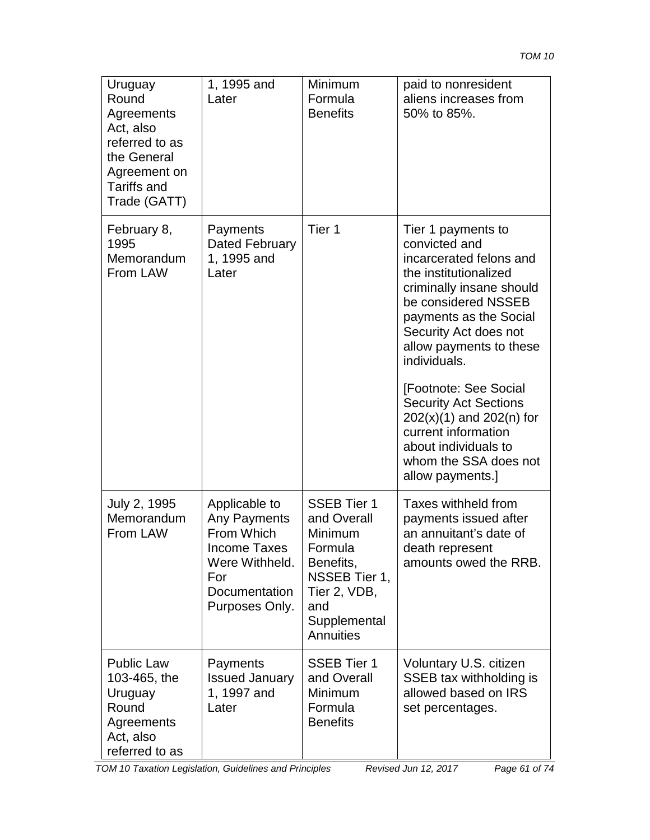| Uruguay<br>Round<br>Agreements<br>Act, also<br>referred to as<br>the General<br>Agreement on<br><b>Tariffs and</b><br>Trade (GATT) | 1, 1995 and<br>Later                                                                                                    | Minimum<br>Formula<br><b>Benefits</b>                                                                                                            | paid to nonresident<br>aliens increases from<br>50% to 85%.                                                                                                                                                                              |
|------------------------------------------------------------------------------------------------------------------------------------|-------------------------------------------------------------------------------------------------------------------------|--------------------------------------------------------------------------------------------------------------------------------------------------|------------------------------------------------------------------------------------------------------------------------------------------------------------------------------------------------------------------------------------------|
| February 8,<br>1995<br>Memorandum<br>From LAW                                                                                      | Payments<br>Dated February<br>1, 1995 and<br>Later                                                                      | Tier 1                                                                                                                                           | Tier 1 payments to<br>convicted and<br>incarcerated felons and<br>the institutionalized<br>criminally insane should<br>be considered NSSEB<br>payments as the Social<br>Security Act does not<br>allow payments to these<br>individuals. |
|                                                                                                                                    |                                                                                                                         |                                                                                                                                                  | [Footnote: See Social<br><b>Security Act Sections</b><br>$202(x)(1)$ and $202(n)$ for<br>current information<br>about individuals to<br>whom the SSA does not<br>allow payments.]                                                        |
| July 2, 1995<br>Memorandum<br>From LAW                                                                                             | Applicable to<br>Any Payments<br>From Which<br>Income Taxes<br>Were Withheld.<br>For<br>Documentation<br>Purposes Only. | <b>SSEB Tier 1</b><br>and Overall<br>Minimum<br>Formula<br>Benefits,<br>NSSEB Tier 1,<br>Tier 2, VDB,<br>and<br>Supplemental<br><b>Annuities</b> | Taxes withheld from<br>payments issued after<br>an annuitant's date of<br>death represent<br>amounts owed the RRB.                                                                                                                       |
| <b>Public Law</b><br>103-465, the<br>Uruguay<br>Round<br>Agreements<br>Act, also<br>referred to as                                 | Payments<br><b>Issued January</b><br>1, 1997 and<br>Later                                                               | <b>SSEB Tier 1</b><br>and Overall<br>Minimum<br>Formula<br><b>Benefits</b>                                                                       | Voluntary U.S. citizen<br>SSEB tax withholding is<br>allowed based on IRS<br>set percentages.                                                                                                                                            |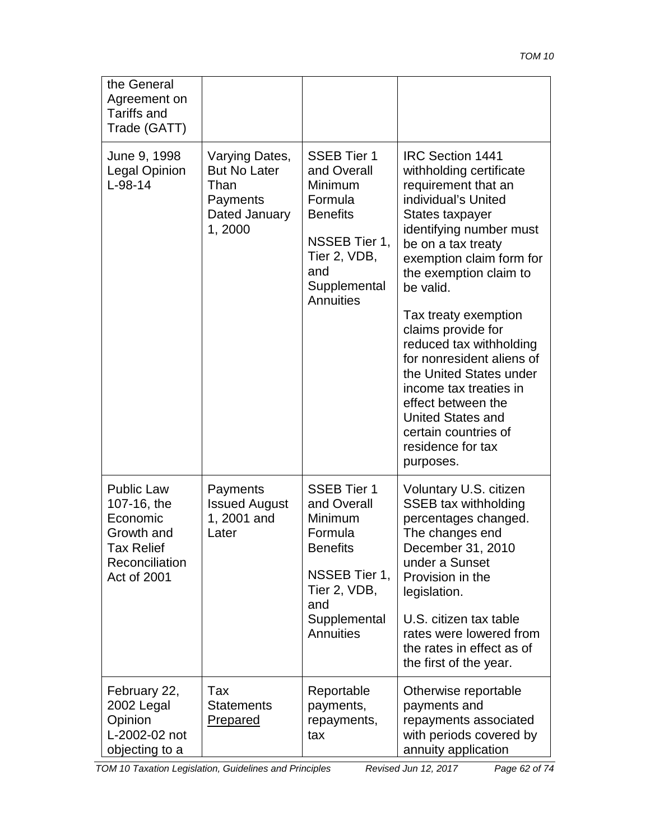| the General<br>Agreement on<br><b>Tariffs and</b><br>Trade (GATT)                                                |                                                                                      |                                                                                                                                                        |                                                                                                                                                                                                                                                                                                                                                                                                                                                                                                                |
|------------------------------------------------------------------------------------------------------------------|--------------------------------------------------------------------------------------|--------------------------------------------------------------------------------------------------------------------------------------------------------|----------------------------------------------------------------------------------------------------------------------------------------------------------------------------------------------------------------------------------------------------------------------------------------------------------------------------------------------------------------------------------------------------------------------------------------------------------------------------------------------------------------|
| June 9, 1998<br><b>Legal Opinion</b><br>$L-98-14$                                                                | Varying Dates,<br><b>But No Later</b><br>Than<br>Payments<br>Dated January<br>1,2000 | <b>SSEB Tier 1</b><br>and Overall<br>Minimum<br>Formula<br><b>Benefits</b><br>NSSEB Tier 1,<br>Tier 2, VDB,<br>and<br>Supplemental<br><b>Annuities</b> | <b>IRC Section 1441</b><br>withholding certificate<br>requirement that an<br>individual's United<br>States taxpayer<br>identifying number must<br>be on a tax treaty<br>exemption claim form for<br>the exemption claim to<br>be valid.<br>Tax treaty exemption<br>claims provide for<br>reduced tax withholding<br>for nonresident aliens of<br>the United States under<br>income tax treaties in<br>effect between the<br><b>United States and</b><br>certain countries of<br>residence for tax<br>purposes. |
| <b>Public Law</b><br>107-16, the<br>Economic<br>Growth and<br><b>Tax Relief</b><br>Reconciliation<br>Act of 2001 | Payments<br><b>Issued August</b><br>1, 2001 and<br>Later                             | <b>SSEB Tier 1</b><br>and Overall<br>Minimum<br>Formula<br><b>Benefits</b><br>NSSEB Tier 1,<br>Tier 2, VDB,<br>and<br>Supplemental<br><b>Annuities</b> | Voluntary U.S. citizen<br>SSEB tax withholding<br>percentages changed.<br>The changes end<br>December 31, 2010<br>under a Sunset<br>Provision in the<br>legislation.<br>U.S. citizen tax table<br>rates were lowered from<br>the rates in effect as of<br>the first of the year.                                                                                                                                                                                                                               |
| February 22,<br>2002 Legal<br>Opinion<br>L-2002-02 not<br>objecting to a                                         | Tax<br><b>Statements</b><br><b>Prepared</b>                                          | Reportable<br>payments,<br>repayments,<br>tax                                                                                                          | Otherwise reportable<br>payments and<br>repayments associated<br>with periods covered by<br>annuity application                                                                                                                                                                                                                                                                                                                                                                                                |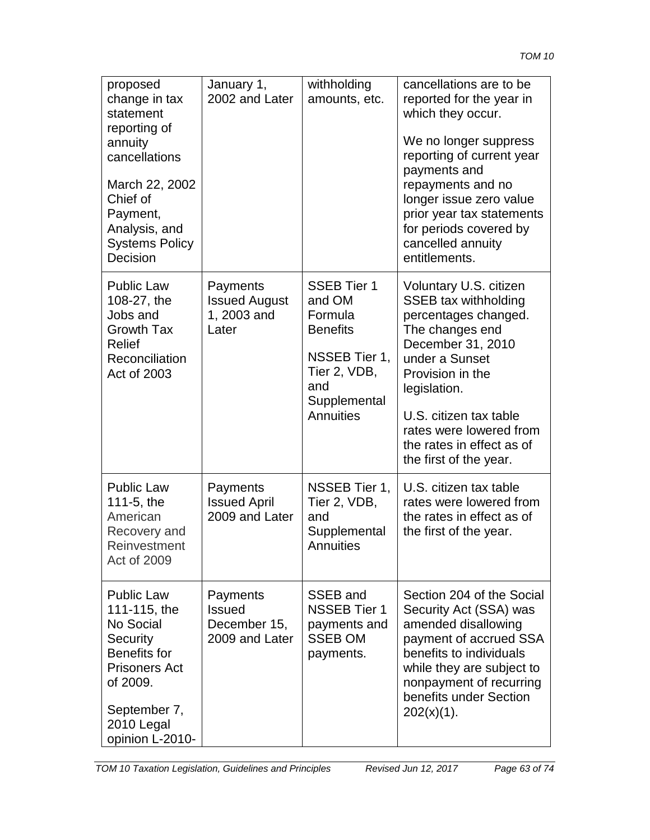| proposed<br>change in tax<br>statement<br>reporting of<br>annuity<br>cancellations<br>March 22, 2002<br>Chief of<br>Payment,<br>Analysis, and<br><b>Systems Policy</b><br>Decision | January 1,<br>2002 and Later                                | withholding<br>amounts, etc.                                                                                                           | cancellations are to be<br>reported for the year in<br>which they occur.<br>We no longer suppress<br>reporting of current year<br>payments and<br>repayments and no<br>longer issue zero value<br>prior year tax statements<br>for periods covered by<br>cancelled annuity<br>entitlements. |
|------------------------------------------------------------------------------------------------------------------------------------------------------------------------------------|-------------------------------------------------------------|----------------------------------------------------------------------------------------------------------------------------------------|---------------------------------------------------------------------------------------------------------------------------------------------------------------------------------------------------------------------------------------------------------------------------------------------|
| <b>Public Law</b><br>108-27, the<br>Jobs and<br><b>Growth Tax</b><br>Relief<br>Reconciliation<br>Act of 2003                                                                       | Payments<br><b>Issued August</b><br>1, 2003 and<br>Later    | <b>SSEB Tier 1</b><br>and OM<br>Formula<br><b>Benefits</b><br>NSSEB Tier 1,<br>Tier 2, VDB,<br>and<br>Supplemental<br><b>Annuities</b> | Voluntary U.S. citizen<br>SSEB tax withholding<br>percentages changed.<br>The changes end<br>December 31, 2010<br>under a Sunset<br>Provision in the<br>legislation.<br>U.S. citizen tax table<br>rates were lowered from<br>the rates in effect as of<br>the first of the year.            |
| <b>Public Law</b><br>111-5, the<br>American<br>Recovery and<br>Reinvestment<br>Act of 2009                                                                                         | Payments<br><b>Issued April</b><br>2009 and Later           | NSSEB Tier 1,<br>Tier 2, VDB,<br>and<br>Supplemental<br>Annuities                                                                      | U.S. citizen tax table<br>rates were lowered from<br>the rates in effect as of<br>the first of the year.                                                                                                                                                                                    |
| <b>Public Law</b><br>111-115, the<br>No Social<br>Security<br><b>Benefits for</b><br><b>Prisoners Act</b><br>of 2009.<br>September 7,<br>2010 Legal<br>opinion L-2010-             | Payments<br><b>Issued</b><br>December 15,<br>2009 and Later | SSEB and<br><b>NSSEB Tier 1</b><br>payments and<br><b>SSEB OM</b><br>payments.                                                         | Section 204 of the Social<br>Security Act (SSA) was<br>amended disallowing<br>payment of accrued SSA<br>benefits to individuals<br>while they are subject to<br>nonpayment of recurring<br>benefits under Section<br>$202(x)(1)$ .                                                          |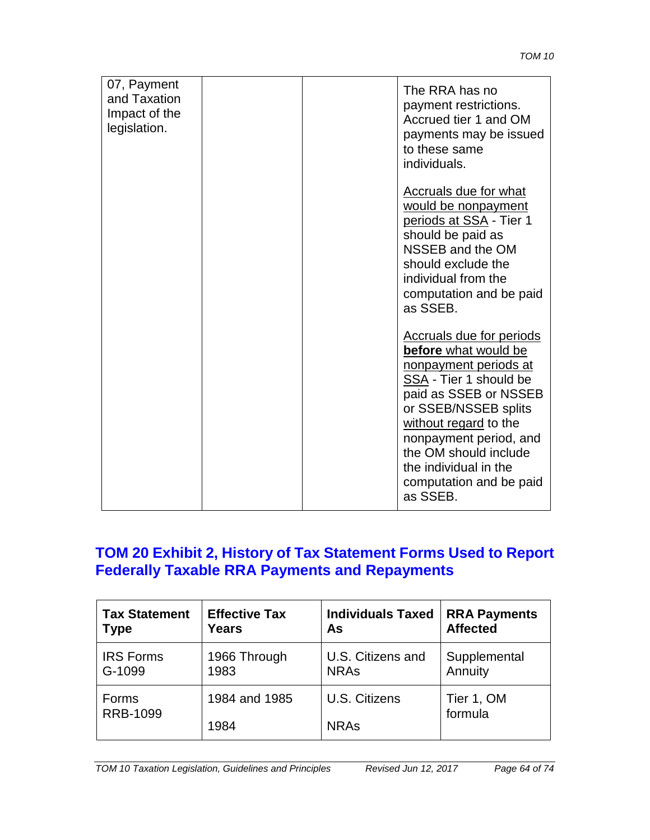| 07, Payment<br>and Taxation<br>Impact of the<br>legislation. |  | The RRA has no<br>payment restrictions.<br>Accrued tier 1 and OM<br>payments may be issued<br>to these same<br>individuals.                                                                                                                                                                             |
|--------------------------------------------------------------|--|---------------------------------------------------------------------------------------------------------------------------------------------------------------------------------------------------------------------------------------------------------------------------------------------------------|
|                                                              |  | <b>Accruals due for what</b><br>would be nonpayment<br>periods at SSA - Tier 1<br>should be paid as<br>NSSEB and the OM<br>should exclude the<br>individual from the<br>computation and be paid<br>as SSEB.                                                                                             |
|                                                              |  | <b>Accruals due for periods</b><br>before what would be<br>nonpayment periods at<br>SSA - Tier 1 should be<br>paid as SSEB or NSSEB<br>or SSEB/NSSEB splits<br>without regard to the<br>nonpayment period, and<br>the OM should include<br>the individual in the<br>computation and be paid<br>as SSEB. |

# **TOM 20 Exhibit 2, History of Tax Statement Forms Used to Report Federally Taxable RRA Payments and Repayments**

| <b>Tax Statement</b>     | <b>Effective Tax</b> | <b>Individuals Taxed</b> | <b>RRA Payments</b>   |
|--------------------------|----------------------|--------------------------|-----------------------|
| <b>Type</b>              | Years                | As                       | <b>Affected</b>       |
| <b>IRS Forms</b>         | 1966 Through         | U.S. Citizens and        | Supplemental          |
| G-1099                   | 1983                 | <b>NRAs</b>              | Annuity               |
| Forms<br><b>RRB-1099</b> | 1984 and 1985        | U.S. Citizens            | Tier 1, OM<br>formula |
|                          | 1984                 | <b>NRAs</b>              |                       |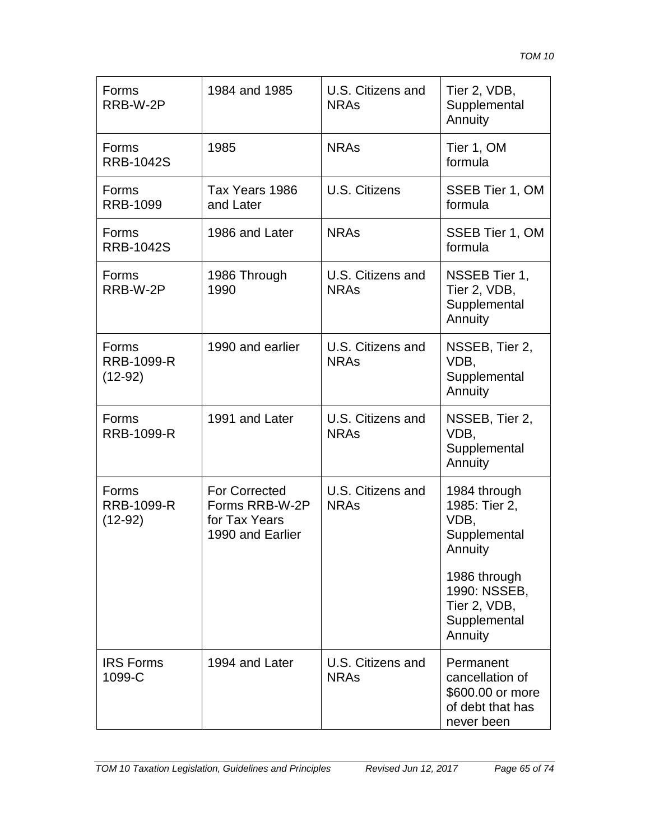| Forms<br>RRB-W-2P                       | 1984 and 1985                                                               | U.S. Citizens and<br><b>NRAs</b> | Tier 2, VDB,<br>Supplemental<br>Annuity                                                                                                     |
|-----------------------------------------|-----------------------------------------------------------------------------|----------------------------------|---------------------------------------------------------------------------------------------------------------------------------------------|
| Forms<br><b>RRB-1042S</b>               | 1985                                                                        | <b>NRAs</b>                      | Tier 1, OM<br>formula                                                                                                                       |
| Forms<br><b>RRB-1099</b>                | Tax Years 1986<br>and Later                                                 | U.S. Citizens                    | SSEB Tier 1, OM<br>formula                                                                                                                  |
| Forms<br><b>RRB-1042S</b>               | 1986 and Later                                                              | <b>NRAs</b>                      | SSEB Tier 1, OM<br>formula                                                                                                                  |
| Forms<br>RRB-W-2P                       | 1986 Through<br>1990                                                        | U.S. Citizens and<br><b>NRAs</b> | NSSEB Tier 1,<br>Tier 2, VDB,<br>Supplemental<br>Annuity                                                                                    |
| Forms<br><b>RRB-1099-R</b><br>$(12-92)$ | 1990 and earlier                                                            | U.S. Citizens and<br><b>NRAs</b> | NSSEB, Tier 2,<br>VDB,<br>Supplemental<br>Annuity                                                                                           |
| Forms<br><b>RRB-1099-R</b>              | 1991 and Later                                                              | U.S. Citizens and<br><b>NRAs</b> | NSSEB, Tier 2,<br>VDB,<br>Supplemental<br>Annuity                                                                                           |
| Forms<br><b>RRB-1099-R</b><br>$(12-92)$ | <b>For Corrected</b><br>Forms RRB-W-2P<br>for Tax Years<br>1990 and Earlier | U.S. Citizens and<br><b>NRAs</b> | 1984 through<br>1985: Tier 2,<br>VDB,<br>Supplemental<br>Annuity<br>1986 through<br>1990: NSSEB,<br>Tier 2, VDB,<br>Supplemental<br>Annuity |
| <b>IRS Forms</b><br>1099-C              | 1994 and Later                                                              | U.S. Citizens and<br><b>NRAs</b> | Permanent<br>cancellation of<br>\$600.00 or more<br>of debt that has<br>never been                                                          |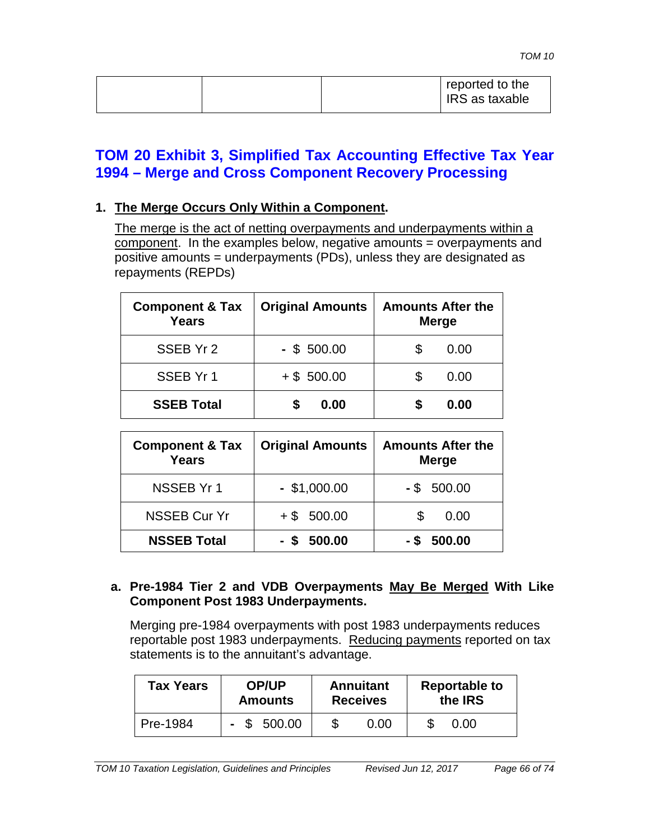|  |  | reported to the |
|--|--|-----------------|
|  |  | IRS as taxable  |
|  |  |                 |

# **TOM 20 Exhibit 3, Simplified Tax Accounting Effective Tax Year 1994 – Merge and Cross Component Recovery Processing**

### **1. The Merge Occurs Only Within a Component.**

The merge is the act of netting overpayments and underpayments within a component. In the examples below, negative amounts = overpayments and positive amounts = underpayments (PDs), unless they are designated as repayments (REPDs)

| <b>Component &amp; Tax</b><br><b>Years</b> | <b>Original Amounts</b> | <b>Amounts After the</b><br><b>Merge</b> |
|--------------------------------------------|-------------------------|------------------------------------------|
| SSEB Yr 2                                  | $-$ \$ 500.00           | 0.00<br>\$                               |
| SSEB Yr 1                                  | $+$ \$ 500.00           | \$<br>0.00                               |
| <b>SSEB Total</b>                          | 0.00                    | 0.00<br>S                                |

| <b>Component &amp; Tax</b><br><b>Years</b> | <b>Original Amounts</b> | <b>Amounts After the</b><br><b>Merge</b> |
|--------------------------------------------|-------------------------|------------------------------------------|
| <b>NSSEB Yr 1</b>                          | $-$ \$1,000.00          | $-$ \$ 500.00                            |
| <b>NSSEB Cur Yr</b>                        | $+$ \$ 500.00           | 0.00<br>S                                |
| <b>NSSEB Total</b>                         | 500.00<br>- \$          | 500.00<br>$-S$                           |

#### **a. Pre-1984 Tier 2 and VDB Overpayments May Be Merged With Like Component Post 1983 Underpayments.**

Merging pre-1984 overpayments with post 1983 underpayments reduces reportable post 1983 underpayments. Reducing payments reported on tax statements is to the annuitant's advantage.

| <b>Tax Years</b> | <b>OP/UP</b>   | Annuitant       | <b>Reportable to</b> |
|------------------|----------------|-----------------|----------------------|
|                  | <b>Amounts</b> | <b>Receives</b> | the IRS              |
| Pre-1984         | 500.00<br>- \$ | 0.00            | 0.00                 |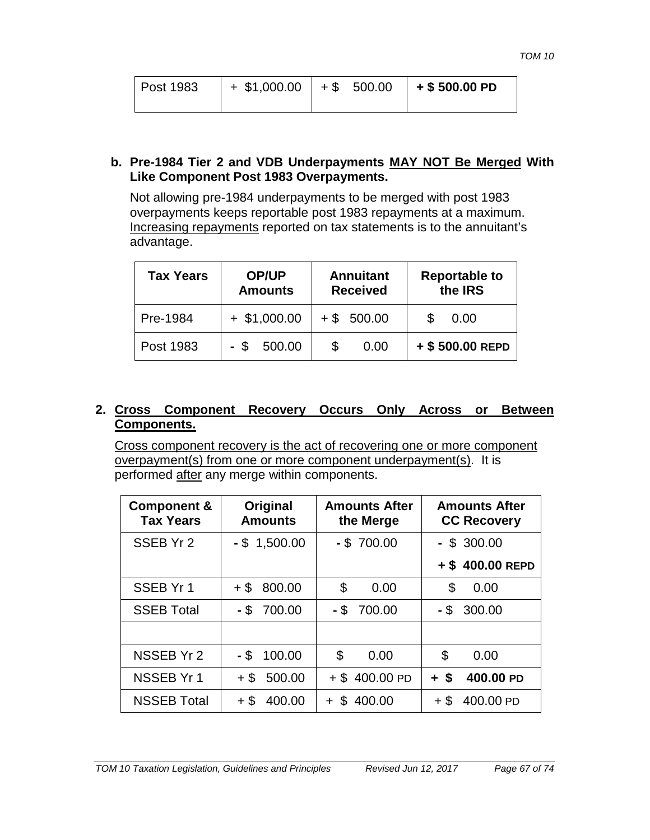| Post 1983 | $+$ \$1,000.00   + \$ 500.00 |  |  | $+$ \$ 500.00 PD |
|-----------|------------------------------|--|--|------------------|
|-----------|------------------------------|--|--|------------------|

### **b. Pre-1984 Tier 2 and VDB Underpayments MAY NOT Be Merged With Like Component Post 1983 Overpayments.**

Not allowing pre-1984 underpayments to be merged with post 1983 overpayments keeps reportable post 1983 repayments at a maximum. Increasing repayments reported on tax statements is to the annuitant's advantage.

| <b>Tax Years</b> | <b>OP/UP</b><br><b>Amounts</b> | <b>Annuitant</b><br><b>Received</b> | <b>Reportable to</b><br>the IRS |  |
|------------------|--------------------------------|-------------------------------------|---------------------------------|--|
| Pre-1984         | $+$ \$1,000.00                 | $+$ \$ 500.00                       | 0.00                            |  |
| Post 1983        | 500.00<br>- \$                 | 0.00                                | + \$500.00 REPD                 |  |

### **2. Cross Component Recovery Occurs Only Across or Between Components.**

Cross component recovery is the act of recovering one or more component overpayment(s) from one or more component underpayment(s). It is performed after any merge within components.

| <b>Component &amp;</b><br><b>Tax Years</b> | Original<br><b>Amounts</b> | <b>Amounts After</b><br>the Merge | <b>Amounts After</b><br><b>CC Recovery</b> |
|--------------------------------------------|----------------------------|-----------------------------------|--------------------------------------------|
| SSEB Yr 2                                  | $-$ \$ 1,500.00            | $-$ \$700.00                      | \$300.00                                   |
|                                            |                            |                                   | + \$400.00 REPD                            |
| SSEB Yr 1                                  | $+$ \$<br>800.00           | \$<br>0.00                        | \$<br>0.00                                 |
| <b>SSEB Total</b>                          | $-$ \$ 700.00              | - \$<br>700.00                    | 300.00<br>- \$                             |
|                                            |                            |                                   |                                            |
| NSSEB Yr 2                                 | - \$<br>100.00             | \$<br>0.00                        | \$<br>0.00                                 |
| <b>NSSEB Yr 1</b>                          | $+$ \$<br>500.00           | $+$ \$400.00 PD                   | \$<br>400.00 PD<br>$+$                     |
| <b>NSSEB Total</b>                         | +\$<br>400.00              | S<br>400.00                       | S<br>400.00 PD<br>$+$                      |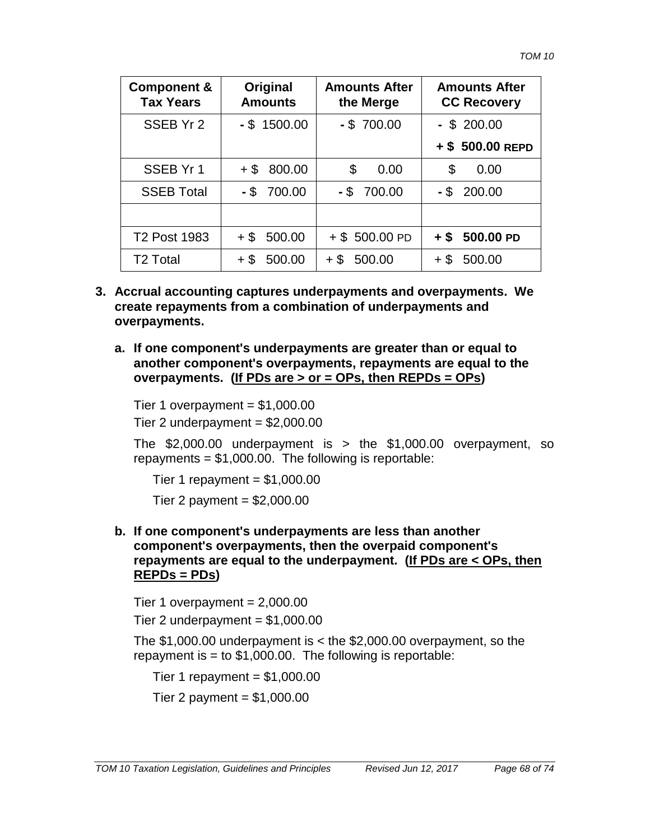| Component &<br><b>Tax Years</b> | Original<br><b>Amounts</b> | <b>Amounts After</b><br>the Merge | <b>Amounts After</b><br><b>CC Recovery</b> |
|---------------------------------|----------------------------|-----------------------------------|--------------------------------------------|
| SSEB Yr 2                       | $-$ \$ 1500.00             | $-$ \$700.00                      | \$200.00                                   |
|                                 |                            |                                   | + \$500.00 REPD                            |
| SSEB Yr 1                       | $+$ \$<br>800.00           | \$<br>0.00                        | \$<br>0.00                                 |
| <b>SSEB Total</b>               | $-$ \$ 700.00              | $-$ \$ 700.00                     | 200.00<br>- \$                             |
|                                 |                            |                                   |                                            |
| <b>T2 Post 1983</b>             | $+$ \$<br>500.00           | $+$ \$ 500.00 PD                  | 500.00 PD<br>$+$ \$                        |
| T <sub>2</sub> Total            | \$<br>500.00<br>$+$        | S<br>500.00<br>$\ddot{}$          | \$<br>500.00                               |

- **3. Accrual accounting captures underpayments and overpayments. We create repayments from a combination of underpayments and overpayments.**
	- **a. If one component's underpayments are greater than or equal to another component's overpayments, repayments are equal to the overpayments. (If PDs are > or = OPs, then REPDs = OPs)**

Tier 1 overpayment =  $$1,000.00$ Tier 2 underpayment  $= $2,000.00$ 

The  $$2,000.00$  underpayment is  $>$  the  $$1,000.00$  overpayment, so repayments =  $$1,000.00$ . The following is reportable:

Tier 1 repayment =  $$1,000.00$ 

Tier 2 payment =  $$2,000.00$ 

**b. If one component's underpayments are less than another component's overpayments, then the overpaid component's repayments are equal to the underpayment. (If PDs are < OPs, then REPDs = PDs)**

Tier 1 overpayment  $= 2,000.00$ Tier 2 underpayment  $= $1,000.00$ 

The \$1,000.00 underpayment is < the \$2,000.00 overpayment, so the repayment is  $=$  to \$1,000.00. The following is reportable:

Tier 1 repayment =  $$1,000.00$ 

Tier 2 payment =  $$1,000.00$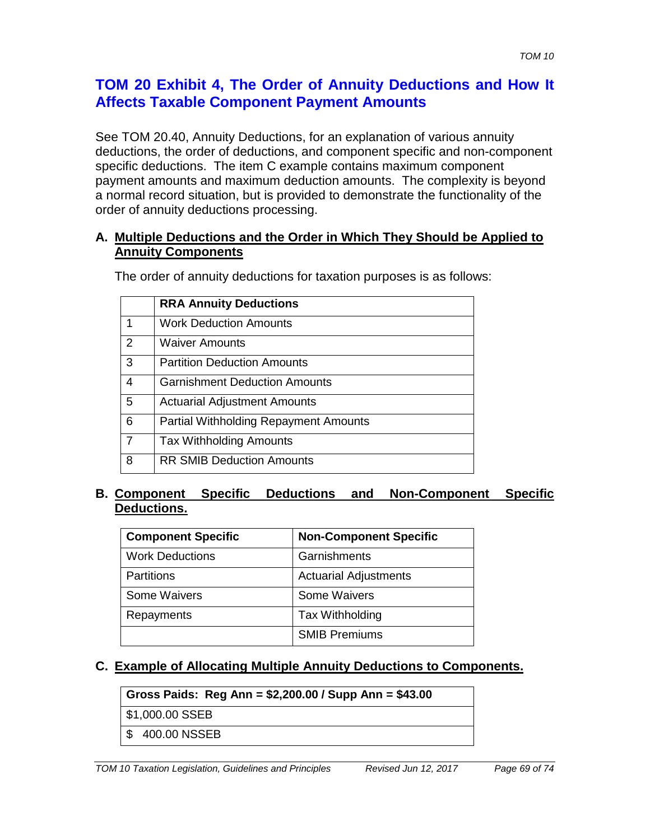# **TOM 20 Exhibit 4, The Order of Annuity Deductions and How It Affects Taxable Component Payment Amounts**

See TOM 20.40, Annuity Deductions, for an explanation of various annuity deductions, the order of deductions, and component specific and non-component specific deductions. The item C example contains maximum component payment amounts and maximum deduction amounts. The complexity is beyond a normal record situation, but is provided to demonstrate the functionality of the order of annuity deductions processing.

### **A. Multiple Deductions and the Order in Which They Should be Applied to Annuity Components**

|                | <b>RRA Annuity Deductions</b>                |
|----------------|----------------------------------------------|
| 1              | <b>Work Deduction Amounts</b>                |
| 2              | <b>Waiver Amounts</b>                        |
| 3              | <b>Partition Deduction Amounts</b>           |
| 4              | <b>Garnishment Deduction Amounts</b>         |
| 5              | <b>Actuarial Adjustment Amounts</b>          |
| 6              | <b>Partial Withholding Repayment Amounts</b> |
| $\overline{7}$ | <b>Tax Withholding Amounts</b>               |
| 8              | <b>RR SMIB Deduction Amounts</b>             |

The order of annuity deductions for taxation purposes is as follows:

# **B. Component Specific Deductions and Non-Component Specific Deductions.**

| <b>Component Specific</b> | <b>Non-Component Specific</b> |
|---------------------------|-------------------------------|
| <b>Work Deductions</b>    | Garnishments                  |
| <b>Partitions</b>         | <b>Actuarial Adjustments</b>  |
| Some Waivers              | Some Waivers                  |
| Repayments                | Tax Withholding               |
|                           | <b>SMIB Premiums</b>          |

# **C. Example of Allocating Multiple Annuity Deductions to Components.**

**Gross Paids: Reg Ann = \$2,200.00 / Supp Ann = \$43.00**

\$1,000.00 SSEB

\$ 400.00 NSSEB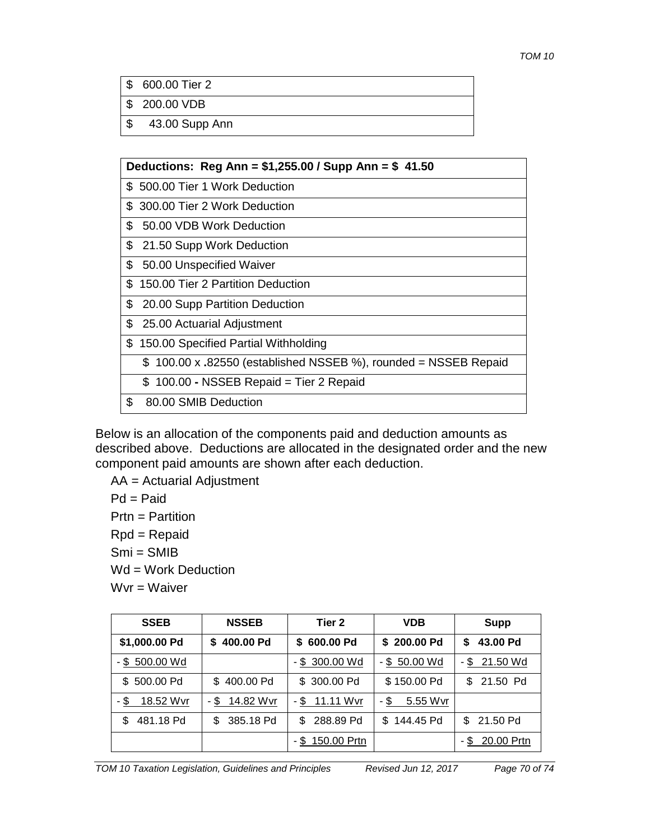\$ 600.00 Tier 2

\$ 200.00 VDB

\$ 43.00 Supp Ann

|     | Deductions: Reg Ann = $$1,255.00$ / Supp Ann = $$41.50$         |  |  |  |
|-----|-----------------------------------------------------------------|--|--|--|
| \$. | 500.00 Tier 1 Work Deduction                                    |  |  |  |
| \$. | 300.00 Tier 2 Work Deduction                                    |  |  |  |
| \$  | 50.00 VDB Work Deduction                                        |  |  |  |
| \$  | 21.50 Supp Work Deduction                                       |  |  |  |
| \$  | 50.00 Unspecified Waiver                                        |  |  |  |
| \$. | 150.00 Tier 2 Partition Deduction                               |  |  |  |
| \$  | 20.00 Supp Partition Deduction                                  |  |  |  |
| \$  | 25.00 Actuarial Adjustment                                      |  |  |  |
| \$  | 150.00 Specified Partial Withholding                            |  |  |  |
|     | $$100.00 x.82550$ (established NSSEB %), rounded = NSSEB Repaid |  |  |  |
|     | \$ 100.00 - NSSEB Repaid = Tier 2 Repaid                        |  |  |  |
| \$  | 80.00 SMIB Deduction                                            |  |  |  |

Below is an allocation of the components paid and deduction amounts as described above. Deductions are allocated in the designated order and the new component paid amounts are shown after each deduction.

AA = Actuarial Adjustment Pd = Paid Prtn = Partition Rpd = Repaid Smi = SMIB Wd = Work Deduction Wvr = Waiver

| <b>SSEB</b>       | <b>NSSEB</b>     | Tier 2           | <b>VDB</b>      | <b>Supp</b>     |
|-------------------|------------------|------------------|-----------------|-----------------|
| \$1,000.00 Pd     | \$400.00 Pd      | \$600.00 Pd      | \$200.00 Pd     | 43.00 Pd<br>S   |
| $-$ \$ 500.00 Wd  |                  | $-$ \$ 300.00 Wd | $-$ \$ 50.00 Wd | $-$ \$ 21.50 Wd |
| \$500.00 Pd       | 400.00 Pd<br>S.  | \$ 300.00 Pd     | \$150.00 Pd     | 21.50 Pd<br>\$. |
| 18.52 Wvr<br>- \$ | $-$ \$ 14.82 Wvr | - \$11.11 Wvr    | $-$ \$ 5.55 Wvr |                 |
| 481.18 Pd         | 385.18 Pd<br>S   | 288.89 Pd<br>S.  | \$144.45 Pd     | $$21.50$ Pd     |
|                   |                  | - \$ 150.00 Prtn |                 | - \$ 20.00 Prtn |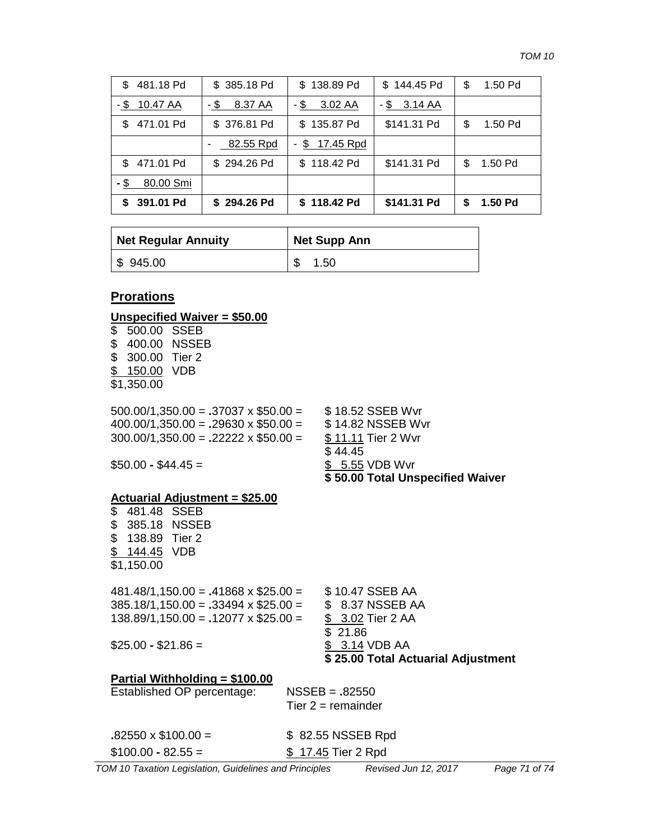| \$481.18 Pd       | \$385.18 Pd    | \$138.89 Pd      | \$144.45 Pd    | \$<br>1.50 Pd |
|-------------------|----------------|------------------|----------------|---------------|
| - \$ 10.47 AA     | $-$ \$ 8.37 AA | -\$3.02 AA       | $-$ \$ 3.14 AA |               |
| \$471.01 Pd       | \$376.81 Pd    | \$135.87 Pd      | \$141.31 Pd    | 1.50 Pd<br>S  |
|                   | 82.55 Rpd      | \$17.45 Rpd<br>- |                |               |
| \$471.01 Pd       | \$294.26 Pd    | \$118.42 Pd      | \$141.31 Pd    | 1.50 Pd<br>S  |
| - \$<br>80.00 Smi |                |                  |                |               |
| \$ 391.01 Pd      | \$294.26 Pd    | \$118.42 Pd      | \$141.31 Pd    | 1.50 Pd<br>S  |

| <b>Net Regular Annuity</b> | <b>Net Supp Ann</b> |  |
|----------------------------|---------------------|--|
| $\frac{1}{2}$ 945.00       | 1.50                |  |

#### **Prorations**

#### **Unspecified Waiver = \$50.00**

\$ 500.00 SSEB \$ 400.00 NSSEB \$ 300.00 Tier 2 \$ 150.00 VDB \$1,350.00

500.00/1,350.00 = **.**37037 x \$50.00 = \$ 18.52 SSEB Wvr 400.00/1,350.00 = **.**29630 x \$50.00 = \$ 14.82 NSSEB Wvr 300.00/1,350.00 = **.**22222 x \$50.00 = \$ 11.11 Tier 2 Wvr

\$ 44.45  $$50.00 - $44.45 =$ <br> $$ \underline{$ 5.55} VDB Wvr$ **\$ 50.00 Total Unspecified Waiver**

#### **Actuarial Adjustment = \$25.00**

\$ 481.48 SSEB \$ 385.18 NSSEB \$ 138.89 Tier 2 <u>\$144.45</u> VDB \$1,150.00

481.48/1,150.00 = **.**41868 x \$25.00 = \$ 10.47 SSEB AA 385.18/1,150.00 = **.**33494 x \$25.00 = \$ 8.37 NSSEB AA 138.89/1,150.00 = **.**12077 x \$25.00 = \$ 3.02 Tier 2 AA

\$ 21.86  $$25.00 - $21.86 =$  \$ 3.14 VDB AA **\$ 25.00 Total Actuarial Adjustment**

# **Partial Withholding = \$100.00**

| Established OP percentage: | $NSSEB = .82550$<br>Tier $2 =$ remainder |
|----------------------------|------------------------------------------|
| $.82550 \times $100.00 =$  | \$82.55 NSSEB Rpd                        |
| $$100.00 - 82.55 =$        | \$17.45 Tier 2 Rpd                       |
|                            |                                          |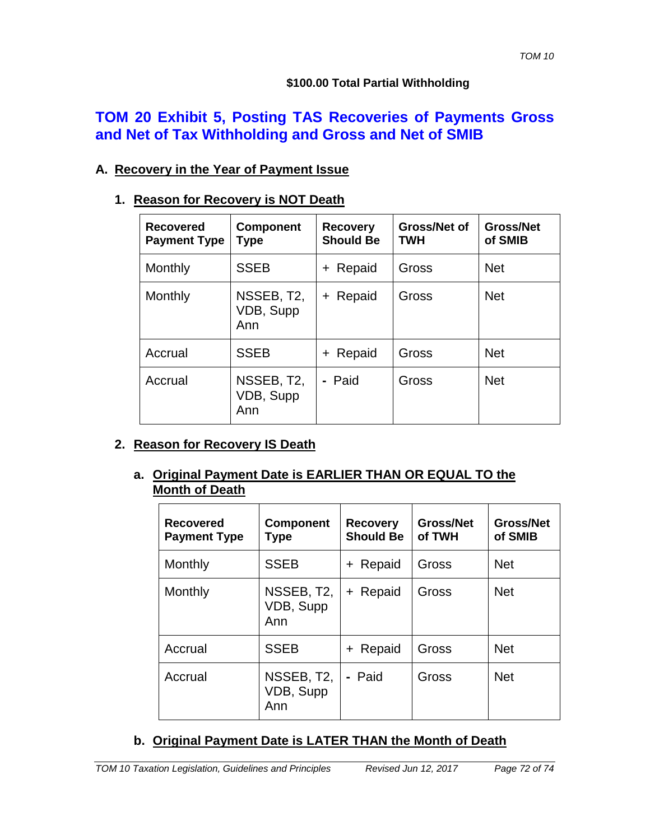### **\$100.00 Total Partial Withholding**

# **TOM 20 Exhibit 5, Posting TAS Recoveries of Payments Gross and Net of Tax Withholding and Gross and Net of SMIB**

# **A. Recovery in the Year of Payment Issue**

# **1. Reason for Recovery is NOT Death**

| <b>Recovered</b><br><b>Payment Type</b> | <b>Component</b><br>Type       | <b>Recovery</b><br><b>Should Be</b> | <b>Gross/Net of</b><br><b>TWH</b> | <b>Gross/Net</b><br>of SMIB |
|-----------------------------------------|--------------------------------|-------------------------------------|-----------------------------------|-----------------------------|
| Monthly                                 | <b>SSEB</b>                    | + Repaid                            | Gross                             | <b>Net</b>                  |
| Monthly                                 | NSSEB, T2,<br>VDB, Supp<br>Ann | + Repaid                            | Gross                             | <b>Net</b>                  |
| Accrual                                 | <b>SSEB</b>                    | Repaid<br>÷.                        | Gross                             | <b>Net</b>                  |
| Accrual                                 | NSSEB, T2,<br>VDB, Supp<br>Ann | - Paid                              | Gross                             | <b>Net</b>                  |

# **2. Reason for Recovery IS Death**

### **a. Original Payment Date is EARLIER THAN OR EQUAL TO the Month of Death**

| <b>Recovered</b><br><b>Payment Type</b> | <b>Component</b><br>Type       | <b>Recovery</b><br><b>Should Be</b> | <b>Gross/Net</b><br>of TWH | <b>Gross/Net</b><br>of SMIB |
|-----------------------------------------|--------------------------------|-------------------------------------|----------------------------|-----------------------------|
| Monthly                                 | <b>SSEB</b>                    | + Repaid                            | Gross                      | <b>Net</b>                  |
| Monthly                                 | NSSEB, T2,<br>VDB, Supp<br>Ann | + Repaid                            | Gross                      | <b>Net</b>                  |
| Accrual                                 | <b>SSEB</b>                    | + Repaid                            | Gross                      | <b>Net</b>                  |
| Accrual                                 | NSSEB, T2,<br>VDB, Supp<br>Ann | - Paid                              | Gross                      | <b>Net</b>                  |

# **b. Original Payment Date is LATER THAN the Month of Death**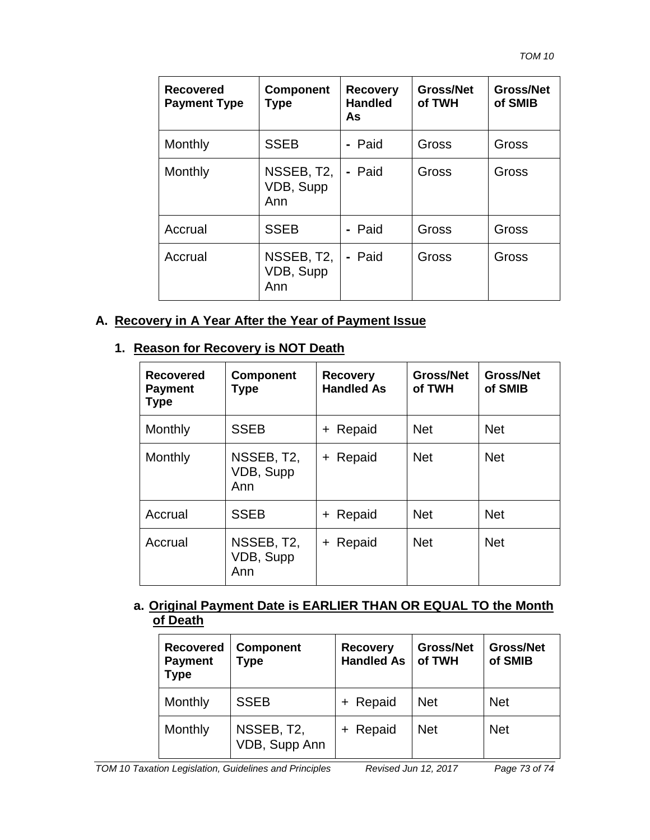| <b>Recovered</b><br><b>Payment Type</b> | <b>Component</b><br><b>Type</b> | <b>Recovery</b><br><b>Handled</b><br>As | <b>Gross/Net</b><br>of TWH | <b>Gross/Net</b><br>of SMIB |
|-----------------------------------------|---------------------------------|-----------------------------------------|----------------------------|-----------------------------|
| Monthly                                 | <b>SSEB</b>                     | - Paid                                  | Gross                      | Gross                       |
| Monthly                                 | NSSEB, T2,<br>VDB, Supp<br>Ann  | - Paid                                  | Gross                      | Gross                       |
| Accrual                                 | <b>SSEB</b>                     | - Paid                                  | Gross                      | Gross                       |
| Accrual                                 | NSSEB, T2,<br>VDB, Supp<br>Ann  | - Paid                                  | Gross                      | Gross                       |

## **A. Recovery in A Year After the Year of Payment Issue**

## **1. Reason for Recovery is NOT Death**

| <b>Recovered</b><br><b>Payment</b><br><b>Type</b> | <b>Component</b><br>Type       | <b>Recovery</b><br><b>Handled As</b> | <b>Gross/Net</b><br>of TWH | <b>Gross/Net</b><br>of SMIB |
|---------------------------------------------------|--------------------------------|--------------------------------------|----------------------------|-----------------------------|
| Monthly                                           | <b>SSEB</b>                    | Repaid<br>$\ddot{}$                  | <b>Net</b>                 | <b>Net</b>                  |
| Monthly                                           | NSSEB, T2,<br>VDB, Supp<br>Ann | Repaid<br>$+$                        | <b>Net</b>                 | <b>Net</b>                  |
| Accrual                                           | <b>SSEB</b>                    | + Repaid                             | <b>Net</b>                 | <b>Net</b>                  |
| Accrual                                           | NSSEB, T2,<br>VDB, Supp<br>Ann | Repaid<br>$\ddot{}$                  | <b>Net</b>                 | <b>Net</b>                  |

## **a. Original Payment Date is EARLIER THAN OR EQUAL TO the Month of Death**

| <b>Recovered</b><br><b>Payment</b><br><b>Type</b> | <b>Component</b><br><b>Type</b> | <b>Recovery</b><br><b>Handled As</b> | <b>Gross/Net</b><br>of TWH | <b>Gross/Net</b><br>of SMIB |
|---------------------------------------------------|---------------------------------|--------------------------------------|----------------------------|-----------------------------|
| Monthly                                           | <b>SSEB</b>                     | + Repaid                             | <b>Net</b>                 | <b>Net</b>                  |
| Monthly                                           | NSSEB, T2,<br>VDB, Supp Ann     | + Repaid                             | <b>Net</b>                 | <b>Net</b>                  |